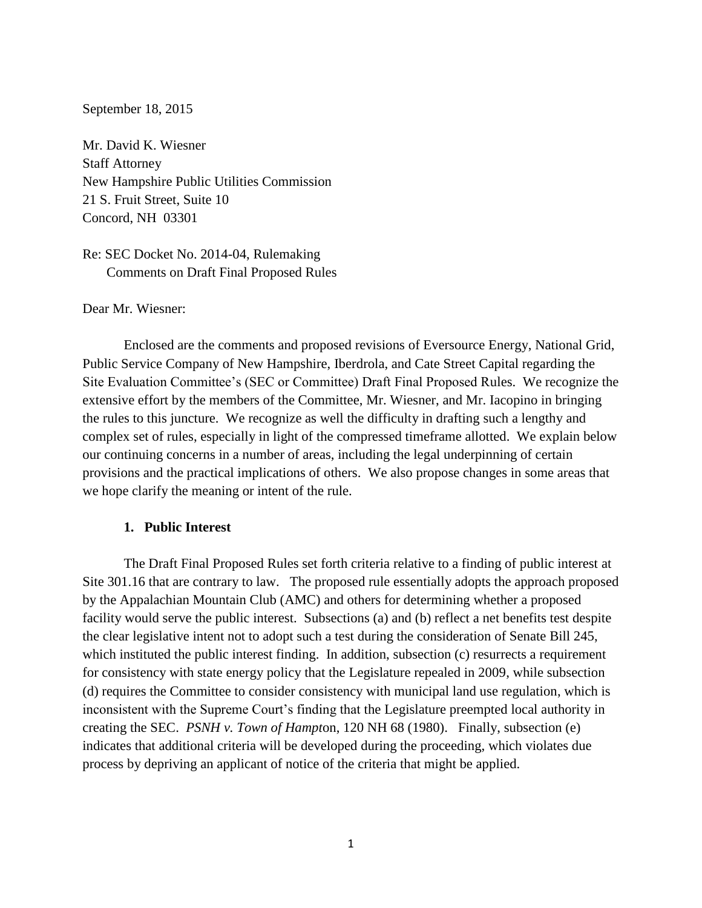### September 18, 2015

Mr. David K. Wiesner Staff Attorney New Hampshire Public Utilities Commission 21 S. Fruit Street, Suite 10 Concord, NH 03301

Re: SEC Docket No. 2014-04, Rulemaking Comments on Draft Final Proposed Rules

## Dear Mr. Wiesner:

Enclosed are the comments and proposed revisions of Eversource Energy, National Grid, Public Service Company of New Hampshire, Iberdrola, and Cate Street Capital regarding the Site Evaluation Committee's (SEC or Committee) Draft Final Proposed Rules. We recognize the extensive effort by the members of the Committee, Mr. Wiesner, and Mr. Iacopino in bringing the rules to this juncture. We recognize as well the difficulty in drafting such a lengthy and complex set of rules, especially in light of the compressed timeframe allotted. We explain below our continuing concerns in a number of areas, including the legal underpinning of certain provisions and the practical implications of others. We also propose changes in some areas that we hope clarify the meaning or intent of the rule.

### **1. Public Interest**

The Draft Final Proposed Rules set forth criteria relative to a finding of public interest at Site 301.16 that are contrary to law. The proposed rule essentially adopts the approach proposed by the Appalachian Mountain Club (AMC) and others for determining whether a proposed facility would serve the public interest. Subsections (a) and (b) reflect a net benefits test despite the clear legislative intent not to adopt such a test during the consideration of Senate Bill 245, which instituted the public interest finding. In addition, subsection (c) resurrects a requirement for consistency with state energy policy that the Legislature repealed in 2009, while subsection (d) requires the Committee to consider consistency with municipal land use regulation, which is inconsistent with the Supreme Court's finding that the Legislature preempted local authority in creating the SEC. *PSNH v. Town of Hampt*on, 120 NH 68 (1980). Finally, subsection (e) indicates that additional criteria will be developed during the proceeding, which violates due process by depriving an applicant of notice of the criteria that might be applied.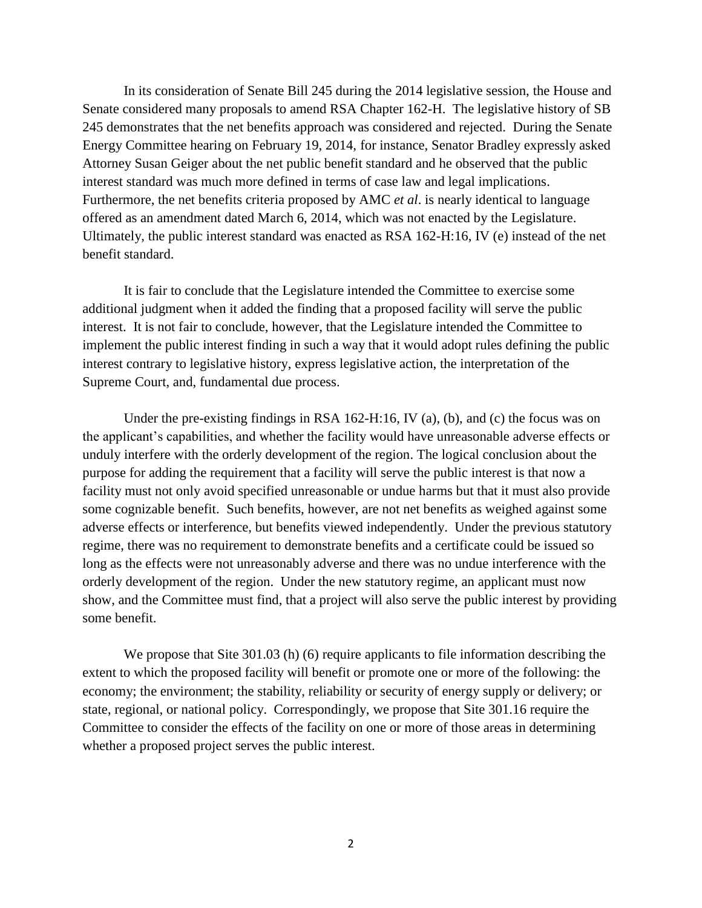In its consideration of Senate Bill 245 during the 2014 legislative session, the House and Senate considered many proposals to amend RSA Chapter 162-H. The legislative history of SB 245 demonstrates that the net benefits approach was considered and rejected. During the Senate Energy Committee hearing on February 19, 2014, for instance, Senator Bradley expressly asked Attorney Susan Geiger about the net public benefit standard and he observed that the public interest standard was much more defined in terms of case law and legal implications. Furthermore, the net benefits criteria proposed by AMC *et al*. is nearly identical to language offered as an amendment dated March 6, 2014, which was not enacted by the Legislature. Ultimately, the public interest standard was enacted as RSA 162-H:16, IV (e) instead of the net benefit standard.

It is fair to conclude that the Legislature intended the Committee to exercise some additional judgment when it added the finding that a proposed facility will serve the public interest. It is not fair to conclude, however, that the Legislature intended the Committee to implement the public interest finding in such a way that it would adopt rules defining the public interest contrary to legislative history, express legislative action, the interpretation of the Supreme Court, and, fundamental due process.

Under the pre-existing findings in RSA 162-H:16, IV (a), (b), and (c) the focus was on the applicant's capabilities, and whether the facility would have unreasonable adverse effects or unduly interfere with the orderly development of the region. The logical conclusion about the purpose for adding the requirement that a facility will serve the public interest is that now a facility must not only avoid specified unreasonable or undue harms but that it must also provide some cognizable benefit. Such benefits, however, are not net benefits as weighed against some adverse effects or interference, but benefits viewed independently. Under the previous statutory regime, there was no requirement to demonstrate benefits and a certificate could be issued so long as the effects were not unreasonably adverse and there was no undue interference with the orderly development of the region. Under the new statutory regime, an applicant must now show, and the Committee must find, that a project will also serve the public interest by providing some benefit.

We propose that Site 301.03 (h) (6) require applicants to file information describing the extent to which the proposed facility will benefit or promote one or more of the following: the economy; the environment; the stability, reliability or security of energy supply or delivery; or state, regional, or national policy. Correspondingly, we propose that Site 301.16 require the Committee to consider the effects of the facility on one or more of those areas in determining whether a proposed project serves the public interest.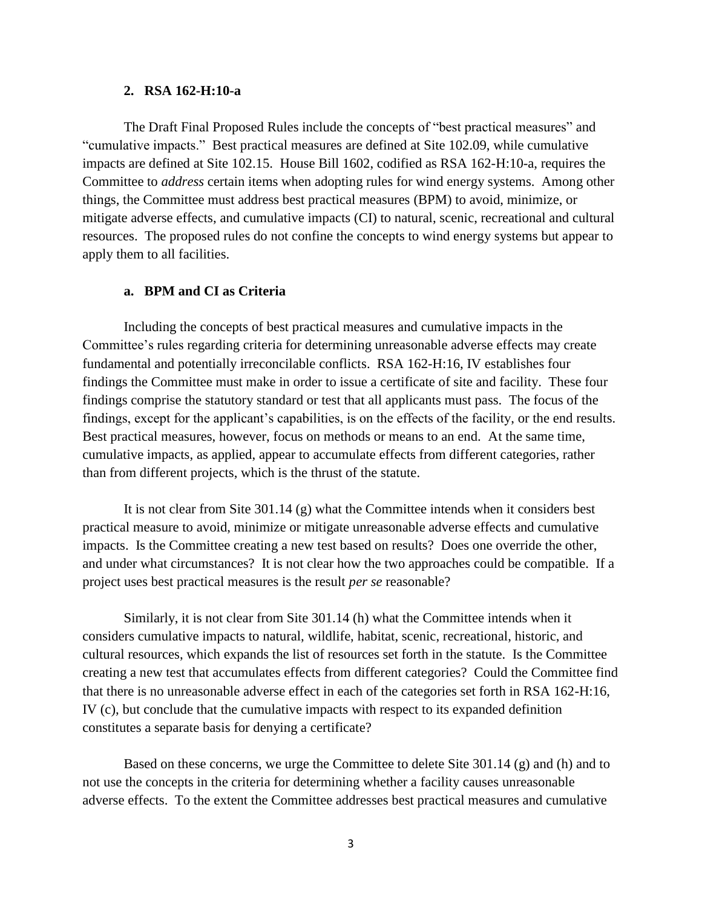## **2. RSA 162-H:10-a**

The Draft Final Proposed Rules include the concepts of "best practical measures" and "cumulative impacts." Best practical measures are defined at Site 102.09, while cumulative impacts are defined at Site 102.15. House Bill 1602, codified as RSA 162-H:10-a, requires the Committee to *address* certain items when adopting rules for wind energy systems. Among other things, the Committee must address best practical measures (BPM) to avoid, minimize, or mitigate adverse effects, and cumulative impacts (CI) to natural, scenic, recreational and cultural resources. The proposed rules do not confine the concepts to wind energy systems but appear to apply them to all facilities.

# **a. BPM and CI as Criteria**

Including the concepts of best practical measures and cumulative impacts in the Committee's rules regarding criteria for determining unreasonable adverse effects may create fundamental and potentially irreconcilable conflicts. RSA 162-H:16, IV establishes four findings the Committee must make in order to issue a certificate of site and facility. These four findings comprise the statutory standard or test that all applicants must pass. The focus of the findings, except for the applicant's capabilities, is on the effects of the facility, or the end results. Best practical measures, however, focus on methods or means to an end. At the same time, cumulative impacts, as applied, appear to accumulate effects from different categories, rather than from different projects, which is the thrust of the statute.

It is not clear from Site 301.14 (g) what the Committee intends when it considers best practical measure to avoid, minimize or mitigate unreasonable adverse effects and cumulative impacts. Is the Committee creating a new test based on results? Does one override the other, and under what circumstances? It is not clear how the two approaches could be compatible. If a project uses best practical measures is the result *per se* reasonable?

Similarly, it is not clear from Site 301.14 (h) what the Committee intends when it considers cumulative impacts to natural, wildlife, habitat, scenic, recreational, historic, and cultural resources, which expands the list of resources set forth in the statute. Is the Committee creating a new test that accumulates effects from different categories? Could the Committee find that there is no unreasonable adverse effect in each of the categories set forth in RSA 162-H:16, IV (c), but conclude that the cumulative impacts with respect to its expanded definition constitutes a separate basis for denying a certificate?

Based on these concerns, we urge the Committee to delete Site 301.14 (g) and (h) and to not use the concepts in the criteria for determining whether a facility causes unreasonable adverse effects. To the extent the Committee addresses best practical measures and cumulative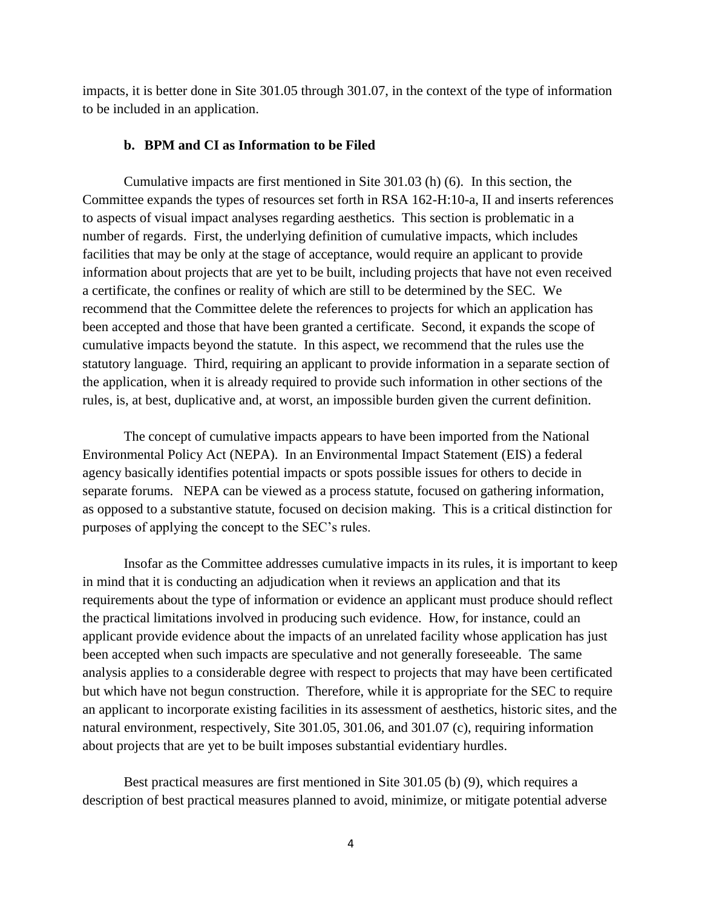impacts, it is better done in Site 301.05 through 301.07, in the context of the type of information to be included in an application.

### **b. BPM and CI as Information to be Filed**

Cumulative impacts are first mentioned in Site 301.03 (h) (6). In this section, the Committee expands the types of resources set forth in RSA 162-H:10-a, II and inserts references to aspects of visual impact analyses regarding aesthetics. This section is problematic in a number of regards. First, the underlying definition of cumulative impacts, which includes facilities that may be only at the stage of acceptance, would require an applicant to provide information about projects that are yet to be built, including projects that have not even received a certificate, the confines or reality of which are still to be determined by the SEC. We recommend that the Committee delete the references to projects for which an application has been accepted and those that have been granted a certificate. Second, it expands the scope of cumulative impacts beyond the statute. In this aspect, we recommend that the rules use the statutory language. Third, requiring an applicant to provide information in a separate section of the application, when it is already required to provide such information in other sections of the rules, is, at best, duplicative and, at worst, an impossible burden given the current definition.

The concept of cumulative impacts appears to have been imported from the National Environmental Policy Act (NEPA). In an Environmental Impact Statement (EIS) a federal agency basically identifies potential impacts or spots possible issues for others to decide in separate forums. NEPA can be viewed as a process statute, focused on gathering information, as opposed to a substantive statute, focused on decision making. This is a critical distinction for purposes of applying the concept to the SEC's rules.

Insofar as the Committee addresses cumulative impacts in its rules, it is important to keep in mind that it is conducting an adjudication when it reviews an application and that its requirements about the type of information or evidence an applicant must produce should reflect the practical limitations involved in producing such evidence. How, for instance, could an applicant provide evidence about the impacts of an unrelated facility whose application has just been accepted when such impacts are speculative and not generally foreseeable. The same analysis applies to a considerable degree with respect to projects that may have been certificated but which have not begun construction. Therefore, while it is appropriate for the SEC to require an applicant to incorporate existing facilities in its assessment of aesthetics, historic sites, and the natural environment, respectively, Site 301.05, 301.06, and 301.07 (c), requiring information about projects that are yet to be built imposes substantial evidentiary hurdles.

Best practical measures are first mentioned in Site 301.05 (b) (9), which requires a description of best practical measures planned to avoid, minimize, or mitigate potential adverse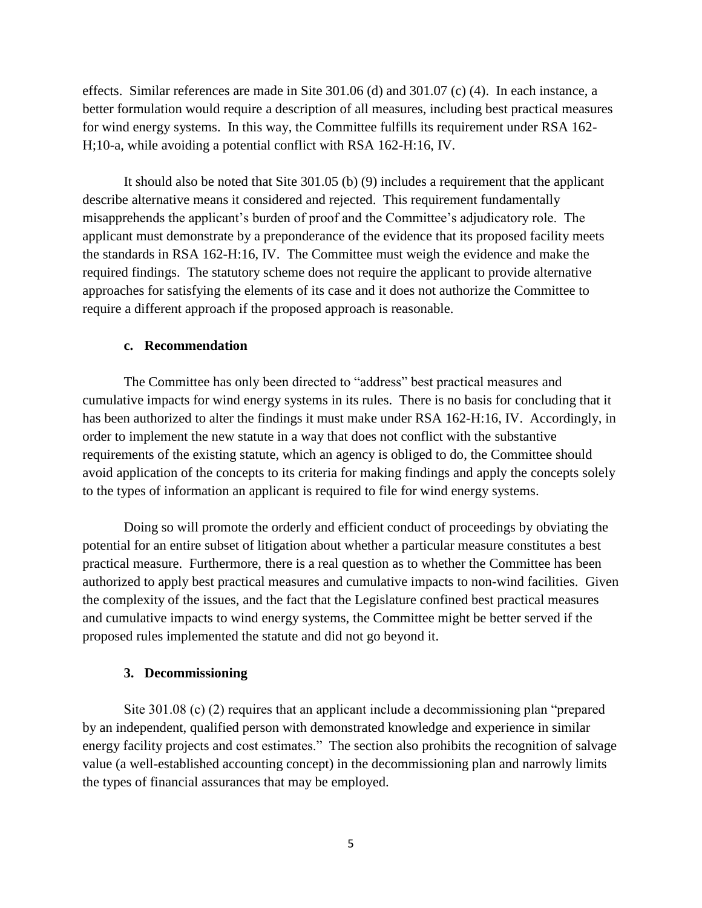effects. Similar references are made in Site 301.06 (d) and 301.07 (c) (4). In each instance, a better formulation would require a description of all measures, including best practical measures for wind energy systems. In this way, the Committee fulfills its requirement under RSA 162- H;10-a, while avoiding a potential conflict with RSA 162-H:16, IV.

It should also be noted that Site 301.05 (b) (9) includes a requirement that the applicant describe alternative means it considered and rejected. This requirement fundamentally misapprehends the applicant's burden of proof and the Committee's adjudicatory role. The applicant must demonstrate by a preponderance of the evidence that its proposed facility meets the standards in RSA 162-H:16, IV. The Committee must weigh the evidence and make the required findings. The statutory scheme does not require the applicant to provide alternative approaches for satisfying the elements of its case and it does not authorize the Committee to require a different approach if the proposed approach is reasonable.

## **c. Recommendation**

The Committee has only been directed to "address" best practical measures and cumulative impacts for wind energy systems in its rules. There is no basis for concluding that it has been authorized to alter the findings it must make under RSA 162-H:16, IV. Accordingly, in order to implement the new statute in a way that does not conflict with the substantive requirements of the existing statute, which an agency is obliged to do, the Committee should avoid application of the concepts to its criteria for making findings and apply the concepts solely to the types of information an applicant is required to file for wind energy systems.

Doing so will promote the orderly and efficient conduct of proceedings by obviating the potential for an entire subset of litigation about whether a particular measure constitutes a best practical measure. Furthermore, there is a real question as to whether the Committee has been authorized to apply best practical measures and cumulative impacts to non-wind facilities. Given the complexity of the issues, and the fact that the Legislature confined best practical measures and cumulative impacts to wind energy systems, the Committee might be better served if the proposed rules implemented the statute and did not go beyond it.

## **3. Decommissioning**

Site 301.08 (c) (2) requires that an applicant include a decommissioning plan "prepared by an independent, qualified person with demonstrated knowledge and experience in similar energy facility projects and cost estimates." The section also prohibits the recognition of salvage value (a well-established accounting concept) in the decommissioning plan and narrowly limits the types of financial assurances that may be employed.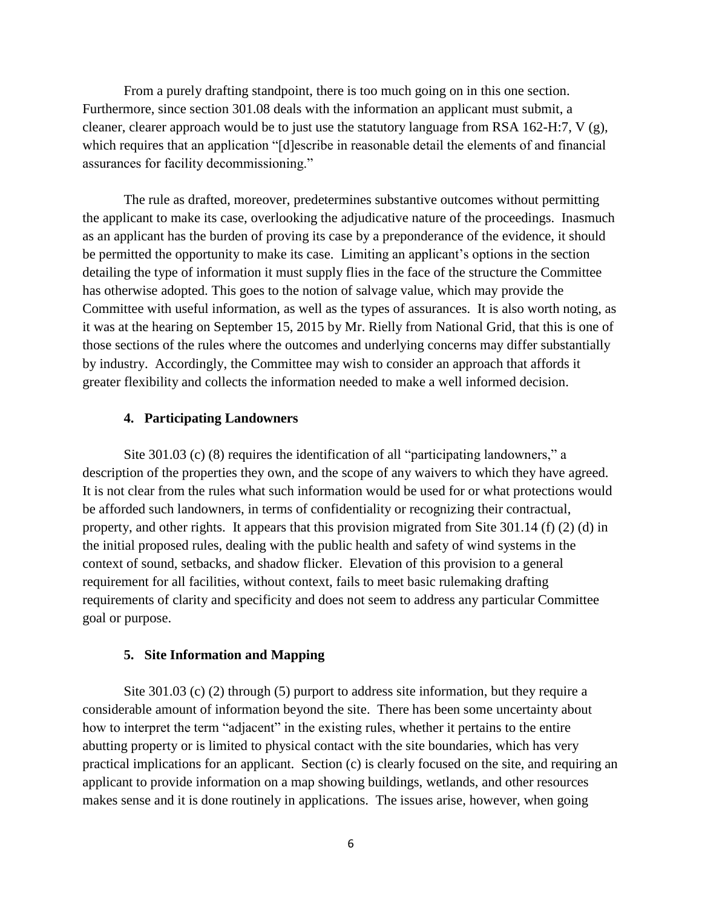From a purely drafting standpoint, there is too much going on in this one section. Furthermore, since section 301.08 deals with the information an applicant must submit, a cleaner, clearer approach would be to just use the statutory language from RSA 162-H:7, V  $(g)$ , which requires that an application "[d]escribe in reasonable detail the elements of and financial assurances for facility decommissioning."

The rule as drafted, moreover, predetermines substantive outcomes without permitting the applicant to make its case, overlooking the adjudicative nature of the proceedings. Inasmuch as an applicant has the burden of proving its case by a preponderance of the evidence, it should be permitted the opportunity to make its case. Limiting an applicant's options in the section detailing the type of information it must supply flies in the face of the structure the Committee has otherwise adopted. This goes to the notion of salvage value, which may provide the Committee with useful information, as well as the types of assurances. It is also worth noting, as it was at the hearing on September 15, 2015 by Mr. Rielly from National Grid, that this is one of those sections of the rules where the outcomes and underlying concerns may differ substantially by industry. Accordingly, the Committee may wish to consider an approach that affords it greater flexibility and collects the information needed to make a well informed decision.

# **4. Participating Landowners**

Site 301.03 (c) (8) requires the identification of all "participating landowners," a description of the properties they own, and the scope of any waivers to which they have agreed. It is not clear from the rules what such information would be used for or what protections would be afforded such landowners, in terms of confidentiality or recognizing their contractual, property, and other rights. It appears that this provision migrated from Site 301.14 (f) (2) (d) in the initial proposed rules, dealing with the public health and safety of wind systems in the context of sound, setbacks, and shadow flicker. Elevation of this provision to a general requirement for all facilities, without context, fails to meet basic rulemaking drafting requirements of clarity and specificity and does not seem to address any particular Committee goal or purpose.

# **5. Site Information and Mapping**

Site 301.03 (c) (2) through (5) purport to address site information, but they require a considerable amount of information beyond the site. There has been some uncertainty about how to interpret the term "adjacent" in the existing rules, whether it pertains to the entire abutting property or is limited to physical contact with the site boundaries, which has very practical implications for an applicant. Section (c) is clearly focused on the site, and requiring an applicant to provide information on a map showing buildings, wetlands, and other resources makes sense and it is done routinely in applications. The issues arise, however, when going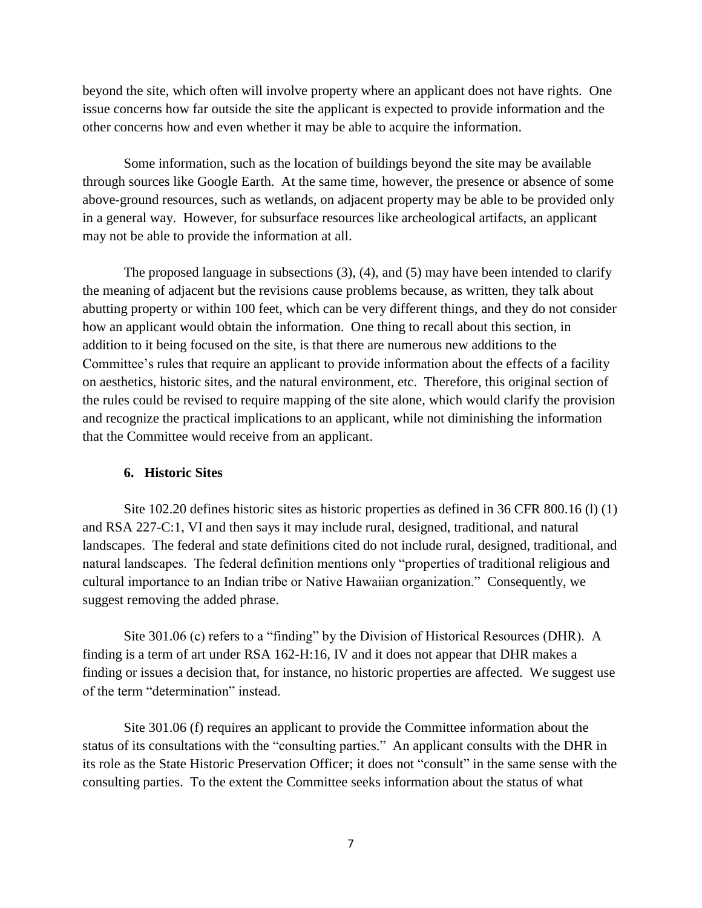beyond the site, which often will involve property where an applicant does not have rights. One issue concerns how far outside the site the applicant is expected to provide information and the other concerns how and even whether it may be able to acquire the information.

Some information, such as the location of buildings beyond the site may be available through sources like Google Earth. At the same time, however, the presence or absence of some above-ground resources, such as wetlands, on adjacent property may be able to be provided only in a general way. However, for subsurface resources like archeological artifacts, an applicant may not be able to provide the information at all.

The proposed language in subsections (3), (4), and (5) may have been intended to clarify the meaning of adjacent but the revisions cause problems because, as written, they talk about abutting property or within 100 feet, which can be very different things, and they do not consider how an applicant would obtain the information. One thing to recall about this section, in addition to it being focused on the site, is that there are numerous new additions to the Committee's rules that require an applicant to provide information about the effects of a facility on aesthetics, historic sites, and the natural environment, etc. Therefore, this original section of the rules could be revised to require mapping of the site alone, which would clarify the provision and recognize the practical implications to an applicant, while not diminishing the information that the Committee would receive from an applicant.

# **6. Historic Sites**

Site 102.20 defines historic sites as historic properties as defined in 36 CFR 800.16 (l) (1) and RSA 227-C:1, VI and then says it may include rural, designed, traditional, and natural landscapes. The federal and state definitions cited do not include rural, designed, traditional, and natural landscapes. The federal definition mentions only "properties of traditional religious and cultural importance to an Indian tribe or Native Hawaiian organization." Consequently, we suggest removing the added phrase.

Site 301.06 (c) refers to a "finding" by the Division of Historical Resources (DHR). A finding is a term of art under RSA 162-H:16, IV and it does not appear that DHR makes a finding or issues a decision that, for instance, no historic properties are affected. We suggest use of the term "determination" instead.

Site 301.06 (f) requires an applicant to provide the Committee information about the status of its consultations with the "consulting parties." An applicant consults with the DHR in its role as the State Historic Preservation Officer; it does not "consult" in the same sense with the consulting parties. To the extent the Committee seeks information about the status of what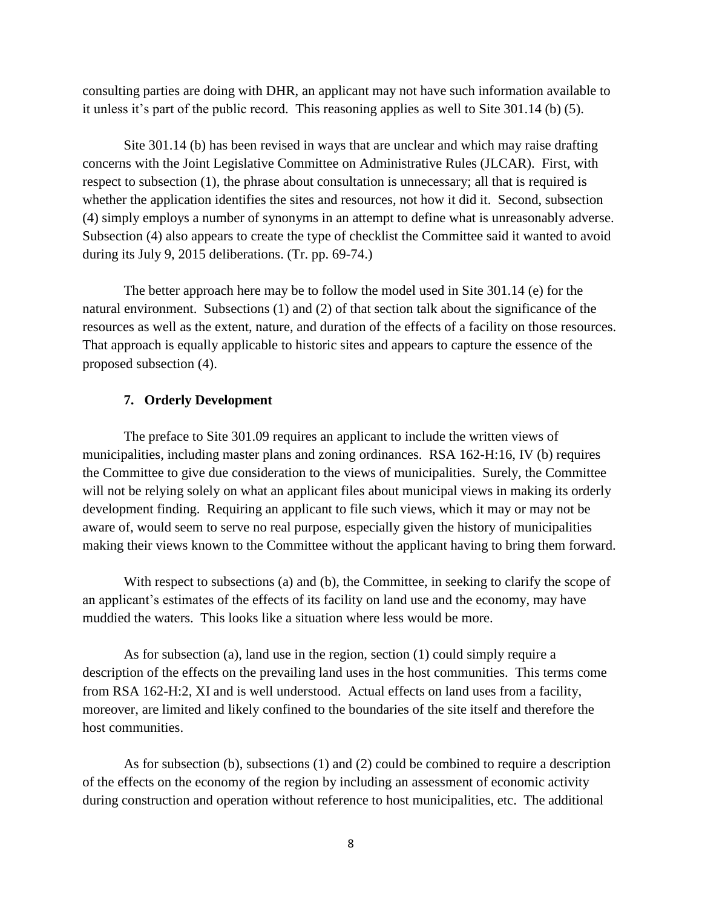consulting parties are doing with DHR, an applicant may not have such information available to it unless it's part of the public record. This reasoning applies as well to Site 301.14 (b) (5).

Site 301.14 (b) has been revised in ways that are unclear and which may raise drafting concerns with the Joint Legislative Committee on Administrative Rules (JLCAR). First, with respect to subsection (1), the phrase about consultation is unnecessary; all that is required is whether the application identifies the sites and resources, not how it did it. Second, subsection (4) simply employs a number of synonyms in an attempt to define what is unreasonably adverse. Subsection (4) also appears to create the type of checklist the Committee said it wanted to avoid during its July 9, 2015 deliberations. (Tr. pp. 69-74.)

The better approach here may be to follow the model used in Site 301.14 (e) for the natural environment. Subsections (1) and (2) of that section talk about the significance of the resources as well as the extent, nature, and duration of the effects of a facility on those resources. That approach is equally applicable to historic sites and appears to capture the essence of the proposed subsection (4).

## **7. Orderly Development**

The preface to Site 301.09 requires an applicant to include the written views of municipalities, including master plans and zoning ordinances. RSA 162-H:16, IV (b) requires the Committee to give due consideration to the views of municipalities. Surely, the Committee will not be relying solely on what an applicant files about municipal views in making its orderly development finding. Requiring an applicant to file such views, which it may or may not be aware of, would seem to serve no real purpose, especially given the history of municipalities making their views known to the Committee without the applicant having to bring them forward.

With respect to subsections (a) and (b), the Committee, in seeking to clarify the scope of an applicant's estimates of the effects of its facility on land use and the economy, may have muddied the waters. This looks like a situation where less would be more.

As for subsection (a), land use in the region, section (1) could simply require a description of the effects on the prevailing land uses in the host communities. This terms come from RSA 162-H:2, XI and is well understood. Actual effects on land uses from a facility, moreover, are limited and likely confined to the boundaries of the site itself and therefore the host communities.

As for subsection (b), subsections (1) and (2) could be combined to require a description of the effects on the economy of the region by including an assessment of economic activity during construction and operation without reference to host municipalities, etc. The additional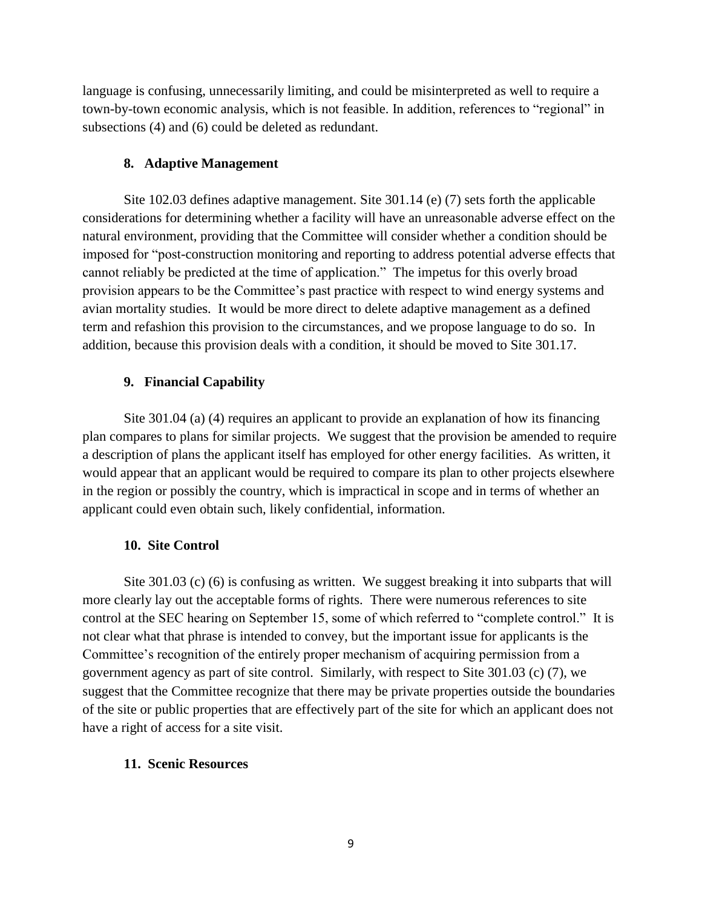language is confusing, unnecessarily limiting, and could be misinterpreted as well to require a town-by-town economic analysis, which is not feasible. In addition, references to "regional" in subsections (4) and (6) could be deleted as redundant.

# **8. Adaptive Management**

Site 102.03 defines adaptive management. Site 301.14 (e) (7) sets forth the applicable considerations for determining whether a facility will have an unreasonable adverse effect on the natural environment, providing that the Committee will consider whether a condition should be imposed for "post-construction monitoring and reporting to address potential adverse effects that cannot reliably be predicted at the time of application." The impetus for this overly broad provision appears to be the Committee's past practice with respect to wind energy systems and avian mortality studies. It would be more direct to delete adaptive management as a defined term and refashion this provision to the circumstances, and we propose language to do so. In addition, because this provision deals with a condition, it should be moved to Site 301.17.

# **9. Financial Capability**

Site 301.04 (a) (4) requires an applicant to provide an explanation of how its financing plan compares to plans for similar projects. We suggest that the provision be amended to require a description of plans the applicant itself has employed for other energy facilities. As written, it would appear that an applicant would be required to compare its plan to other projects elsewhere in the region or possibly the country, which is impractical in scope and in terms of whether an applicant could even obtain such, likely confidential, information.

## **10. Site Control**

Site 301.03 (c) (6) is confusing as written. We suggest breaking it into subparts that will more clearly lay out the acceptable forms of rights. There were numerous references to site control at the SEC hearing on September 15, some of which referred to "complete control." It is not clear what that phrase is intended to convey, but the important issue for applicants is the Committee's recognition of the entirely proper mechanism of acquiring permission from a government agency as part of site control. Similarly, with respect to Site 301.03 (c) (7), we suggest that the Committee recognize that there may be private properties outside the boundaries of the site or public properties that are effectively part of the site for which an applicant does not have a right of access for a site visit.

# **11. Scenic Resources**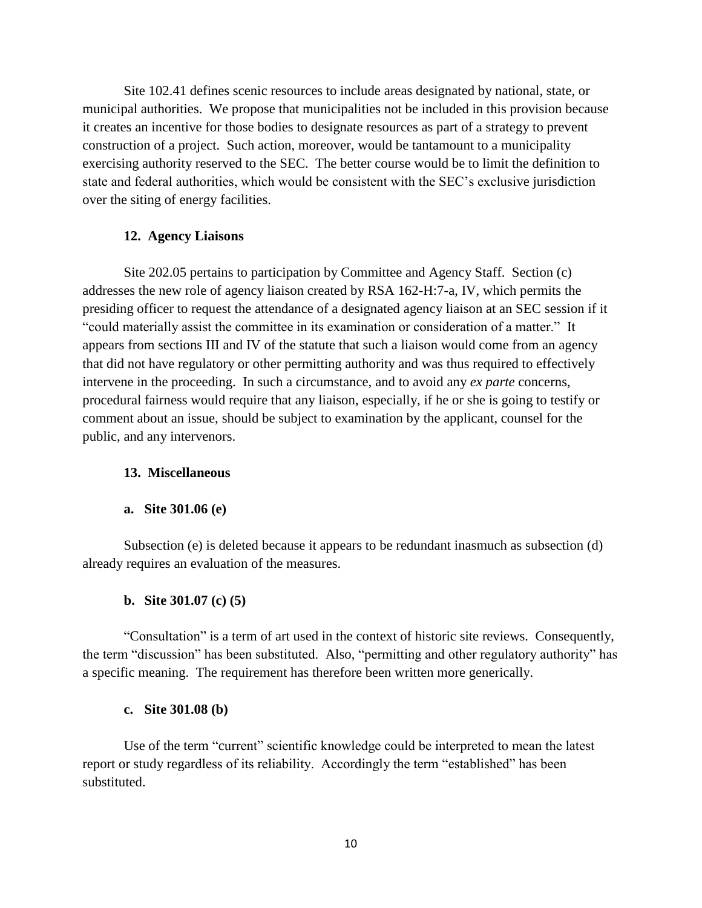Site 102.41 defines scenic resources to include areas designated by national, state, or municipal authorities. We propose that municipalities not be included in this provision because it creates an incentive for those bodies to designate resources as part of a strategy to prevent construction of a project. Such action, moreover, would be tantamount to a municipality exercising authority reserved to the SEC. The better course would be to limit the definition to state and federal authorities, which would be consistent with the SEC's exclusive jurisdiction over the siting of energy facilities.

# **12. Agency Liaisons**

Site 202.05 pertains to participation by Committee and Agency Staff. Section (c) addresses the new role of agency liaison created by RSA 162-H:7-a, IV, which permits the presiding officer to request the attendance of a designated agency liaison at an SEC session if it "could materially assist the committee in its examination or consideration of a matter." It appears from sections III and IV of the statute that such a liaison would come from an agency that did not have regulatory or other permitting authority and was thus required to effectively intervene in the proceeding. In such a circumstance, and to avoid any *ex parte* concerns, procedural fairness would require that any liaison, especially, if he or she is going to testify or comment about an issue, should be subject to examination by the applicant, counsel for the public, and any intervenors.

## **13. Miscellaneous**

### **a. Site 301.06 (e)**

Subsection (e) is deleted because it appears to be redundant inasmuch as subsection (d) already requires an evaluation of the measures.

## **b. Site 301.07 (c) (5)**

"Consultation" is a term of art used in the context of historic site reviews. Consequently, the term "discussion" has been substituted. Also, "permitting and other regulatory authority" has a specific meaning. The requirement has therefore been written more generically.

## **c. Site 301.08 (b)**

Use of the term "current" scientific knowledge could be interpreted to mean the latest report or study regardless of its reliability. Accordingly the term "established" has been substituted.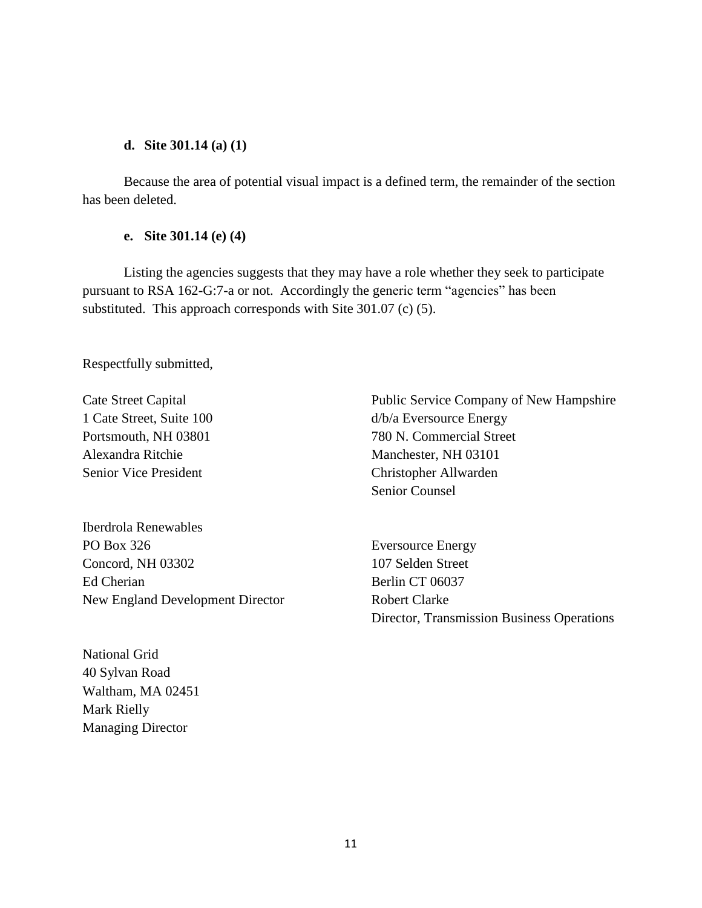# **d. Site 301.14 (a) (1)**

Because the area of potential visual impact is a defined term, the remainder of the section has been deleted.

# **e. Site 301.14 (e) (4)**

Listing the agencies suggests that they may have a role whether they seek to participate pursuant to RSA 162-G:7-a or not. Accordingly the generic term "agencies" has been substituted. This approach corresponds with Site 301.07 (c) (5).

Respectfully submitted,

Alexandra Ritchie Manchester, NH 03101 Senior Vice President Christopher Allwarden

Iberdrola Renewables PO Box 326 Eversource Energy Concord, NH 03302 107 Selden Street Ed Cherian Berlin CT 06037 New England Development Director Robert Clarke

Cate Street Capital Public Service Company of New Hampshire 1 Cate Street, Suite 100 d/b/a Eversource Energy Portsmouth, NH 03801 780 N. Commercial Street Senior Counsel

Director, Transmission Business Operations

National Grid 40 Sylvan Road Waltham, MA 02451 Mark Rielly Managing Director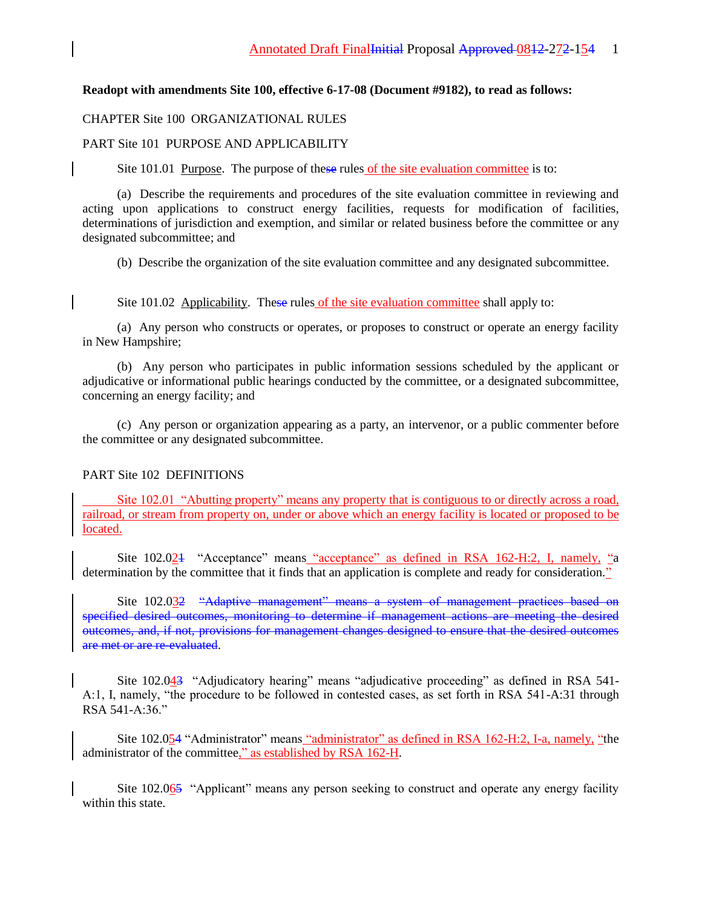### **Readopt with amendments Site 100, effective 6-17-08 (Document #9182), to read as follows:**

### CHAPTER Site 100 ORGANIZATIONAL RULES

### PART Site 101 PURPOSE AND APPLICABILITY

Site 101.01 Purpose. The purpose of these rules of the site evaluation committee is to:

(a) Describe the requirements and procedures of the site evaluation committee in reviewing and acting upon applications to construct energy facilities, requests for modification of facilities, determinations of jurisdiction and exemption, and similar or related business before the committee or any designated subcommittee; and

(b) Describe the organization of the site evaluation committee and any designated subcommittee.

Site 101.02 Applicability. These rules of the site evaluation committee shall apply to:

(a) Any person who constructs or operates, or proposes to construct or operate an energy facility in New Hampshire;

(b) Any person who participates in public information sessions scheduled by the applicant or adjudicative or informational public hearings conducted by the committee, or a designated subcommittee, concerning an energy facility; and

(c) Any person or organization appearing as a party, an intervenor, or a public commenter before the committee or any designated subcommittee.

### PART Site 102 DEFINITIONS

Site 102.01 "Abutting property" means any property that is contiguous to or directly across a road, railroad, or stream from property on, under or above which an energy facility is located or proposed to be located.

Site 102.024 "Acceptance" means "acceptance" as defined in RSA 162-H:2, I, namely, "a determination by the committee that it finds that an application is complete and ready for consideration."

Site 102.032 "Adaptive management" means a system of management practices based on specified desired outcomes, monitoring to determine if management actions are meeting the desired outcomes, and, if not, provisions for management changes designed to ensure that the desired outcomes are met or are re-evaluated.

Site 102.043 "Adjudicatory hearing" means "adjudicative proceeding" as defined in RSA 541- A:1, I, namely, "the procedure to be followed in contested cases, as set forth in RSA 541-A:31 through RSA 541-A:36."

Site 102.054 "Administrator" means "administrator" as defined in RSA 162-H:2, I-a, namely, "the administrator of the committee," as established by RSA 162-H.

Site 102.065 "Applicant" means any person seeking to construct and operate any energy facility within this state.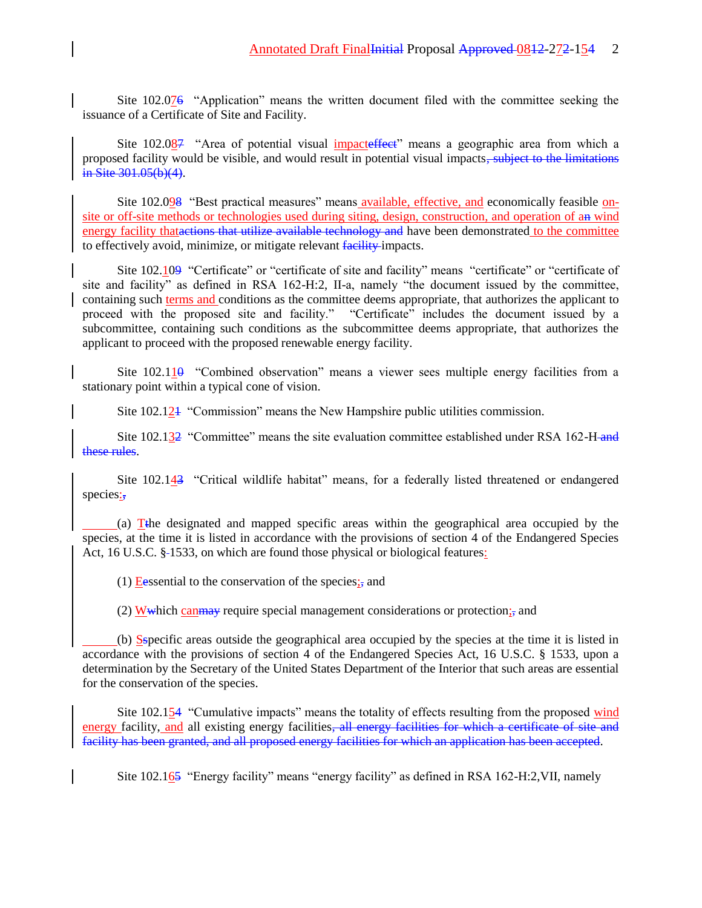Site 102.076 "Application" means the written document filed with the committee seeking the issuance of a Certificate of Site and Facility.

Site 102.087 "Area of potential visual impacteffect" means a geographic area from which a proposed facility would be visible, and would result in potential visual impacts, subject to the limitations in Site 301.05(b)(4).

Site 102.098 "Best practical measures" means available, effective, and economically feasible onsite or off-site methods or technologies used during siting, design, construction, and operation of an wind energy facility thatactions that utilize available technology and have been demonstrated to the committee to effectively avoid, minimize, or mitigate relevant facility impacts.

Site 102.109 "Certificate" or "certificate of site and facility" means "certificate" or "certificate of site and facility" as defined in RSA 162-H:2, II-a, namely "the document issued by the committee, containing such terms and conditions as the committee deems appropriate, that authorizes the applicant to proceed with the proposed site and facility." "Certificate" includes the document issued by a subcommittee, containing such conditions as the subcommittee deems appropriate, that authorizes the applicant to proceed with the proposed renewable energy facility.

Site  $102.110$  "Combined observation" means a viewer sees multiple energy facilities from a stationary point within a typical cone of vision.

Site 102.121 "Commission" means the New Hampshire public utilities commission.

Site 102.132 "Committee" means the site evaluation committee established under RSA 162-H and these rules.

Site 102.143 "Critical wildlife habitat" means, for a federally listed threatened or endangered species:

(a) Tthe designated and mapped specific areas within the geographical area occupied by the species, at the time it is listed in accordance with the provisions of section 4 of the Endangered Species Act, 16 U.S.C. §-1533, on which are found those physical or biological features:

(1) Eessential to the conservation of the species; and

(2) W which can may require special management considerations or protection; and

(b) Sspecific areas outside the geographical area occupied by the species at the time it is listed in accordance with the provisions of section 4 of the Endangered Species Act, 16 U.S.C. § 1533, upon a determination by the Secretary of the United States Department of the Interior that such areas are essential for the conservation of the species.

Site 102.154 "Cumulative impacts" means the totality of effects resulting from the proposed wind energy facility, and all existing energy facilities, all energy facilities for which a certificate of site and facility has been granted, and all proposed energy facilities for which an application has been accepted.

Site 102.165 "Energy facility" means "energy facility" as defined in RSA 162-H:2,VII, namely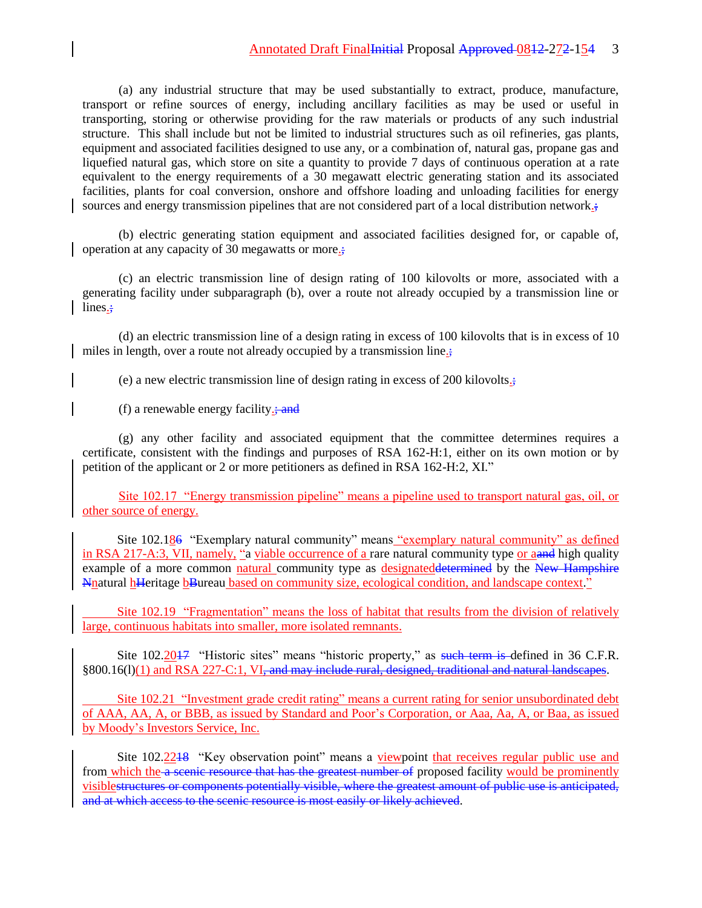(a) any industrial structure that may be used substantially to extract, produce, manufacture, transport or refine sources of energy, including ancillary facilities as may be used or useful in transporting, storing or otherwise providing for the raw materials or products of any such industrial structure. This shall include but not be limited to industrial structures such as oil refineries, gas plants, equipment and associated facilities designed to use any, or a combination of, natural gas, propane gas and liquefied natural gas, which store on site a quantity to provide 7 days of continuous operation at a rate equivalent to the energy requirements of a 30 megawatt electric generating station and its associated facilities, plants for coal conversion, onshore and offshore loading and unloading facilities for energy sources and energy transmission pipelines that are not considered part of a local distribution network.;

(b) electric generating station equipment and associated facilities designed for, or capable of, operation at any capacity of 30 megawatts or more.;

(c) an electric transmission line of design rating of 100 kilovolts or more, associated with a generating facility under subparagraph (b), over a route not already occupied by a transmission line or lines.;

(d) an electric transmission line of a design rating in excess of 100 kilovolts that is in excess of 10 miles in length, over a route not already occupied by a transmission line.;

(e) a new electric transmission line of design rating in excess of 200 kilovolts.;

(f) a renewable energy facility. $\div$ **and** 

(g) any other facility and associated equipment that the committee determines requires a certificate, consistent with the findings and purposes of RSA 162-H:1, either on its own motion or by petition of the applicant or 2 or more petitioners as defined in RSA 162-H:2, XI."

Site 102.17 "Energy transmission pipeline" means a pipeline used to transport natural gas, oil, or other source of energy.

Site 102.186 "Exemplary natural community" means "exemplary natural community" as defined in RSA 217-A:3, VII, namely, "a viable occurrence of a rare natural community type or a and high quality example of a more common natural community type as designated determined by the New Hampshire Nnatural hHeritage bBureau based on community size, ecological condition, and landscape context."

Site 102.19 "Fragmentation" means the loss of habitat that results from the division of relatively large, continuous habitats into smaller, more isolated remnants.

Site 102.2017 "Historic sites" means "historic property," as such term is defined in 36 C.F.R. §800.16(l)(1) and RSA 227-C:1, VI, and may include rural, designed, traditional and natural landscapes.

Site 102.21 "Investment grade credit rating" means a current rating for senior unsubordinated debt of AAA, AA, A, or BBB, as issued by Standard and Poor's Corporation, or Aaa, Aa, A, or Baa, as issued by Moody's Investors Service, Inc.

Site 102.2248 "Key observation point" means a viewpoint that receives regular public use and from which the a scenic resource that has the greatest number of proposed facility would be prominently visiblestructures or components potentially visible, where the greatest amount of public use is anticipated, and at which access to the scenic resource is most easily or likely achieved.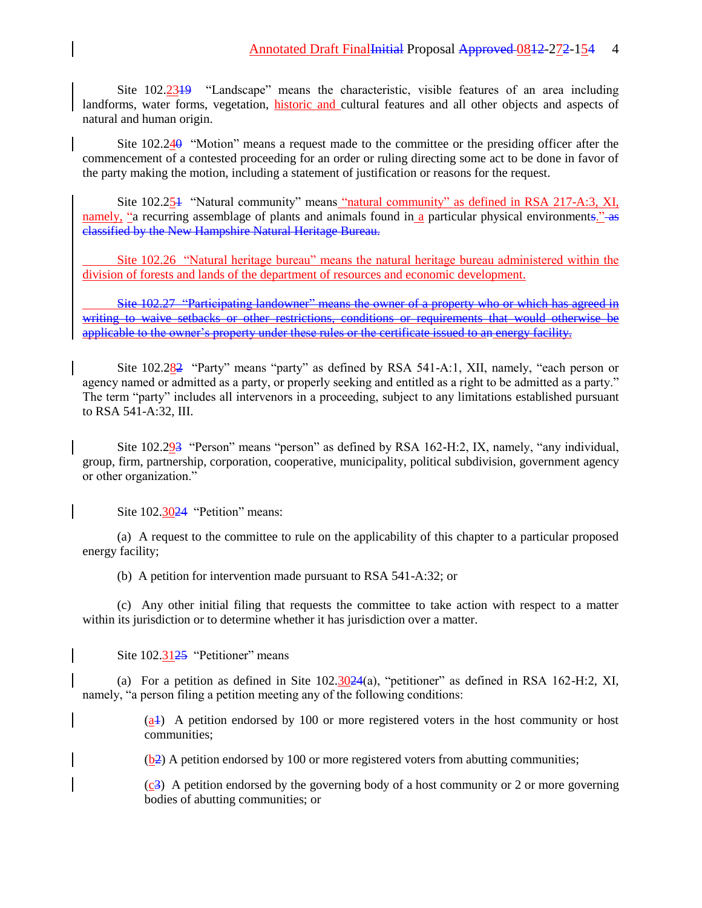Site 102.2319 "Landscape" means the characteristic, visible features of an area including landforms, water forms, vegetation, historic and cultural features and all other objects and aspects of natural and human origin.

Site  $102.240$  "Motion" means a request made to the committee or the presiding officer after the commencement of a contested proceeding for an order or ruling directing some act to be done in favor of the party making the motion, including a statement of justification or reasons for the request.

Site 102.251 "Natural community" means "natural community" as defined in RSA 217-A:3, XI, namely, "a recurring assemblage of plants and animals found in a particular physical environments." As classified by the New Hampshire Natural Heritage Bureau.

Site 102.26 "Natural heritage bureau" means the natural heritage bureau administered within the division of forests and lands of the department of resources and economic development.

Site 102.27 "Participating landowner" means the owner of a property who or which has agreed in writing to waive setbacks or other restrictions, conditions or requirements that would otherwise be applicable to the owner's property under these rules or the certificate issued to an energy facility.

Site 102.282 "Party" means "party" as defined by RSA 541-A:1, XII, namely, "each person or agency named or admitted as a party, or properly seeking and entitled as a right to be admitted as a party." The term "party" includes all intervenors in a proceeding, subject to any limitations established pursuant to RSA 541-A:32, III.

Site 102.293 "Person" means "person" as defined by RSA 162-H:2, IX, namely, "any individual, group, firm, partnership, corporation, cooperative, municipality, political subdivision, government agency or other organization."

Site 102.3024 "Petition" means:

(a) A request to the committee to rule on the applicability of this chapter to a particular proposed energy facility;

(b) A petition for intervention made pursuant to RSA 541-A:32; or

(c) Any other initial filing that requests the committee to take action with respect to a matter within its jurisdiction or to determine whether it has jurisdiction over a matter.

Site 102.3125 "Petitioner" means

(a) For a petition as defined in Site  $102.3024(a)$ , "petitioner" as defined in RSA 162-H:2, XI, namely, "a person filing a petition meeting any of the following conditions:

> $(a+)$  A petition endorsed by 100 or more registered voters in the host community or host communities;

 $(b2)$  A petition endorsed by 100 or more registered voters from abutting communities;

(c3) A petition endorsed by the governing body of a host community or 2 or more governing bodies of abutting communities; or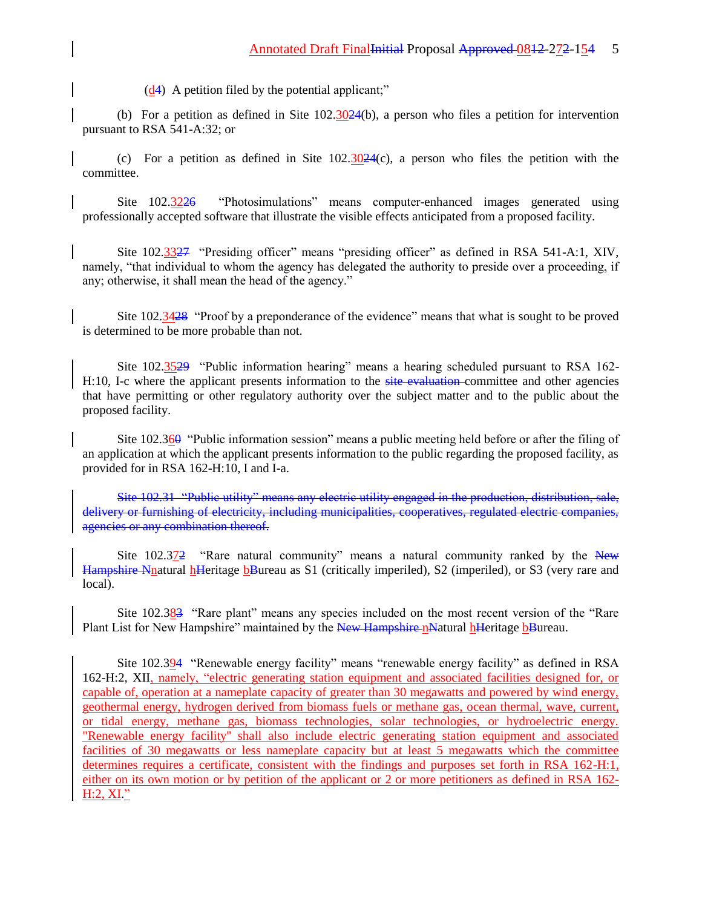$(d4)$  A petition filed by the potential applicant;"

(b) For a petition as defined in Site  $102.3024(b)$ , a person who files a petition for intervention pursuant to RSA 541-A:32; or

(c) For a petition as defined in Site  $102.3024(c)$ , a person who files the petition with the committee.

Site 102.3226 "Photosimulations" means computer-enhanced images generated using professionally accepted software that illustrate the visible effects anticipated from a proposed facility.

Site 102.3327 "Presiding officer" means "presiding officer" as defined in RSA 541-A:1, XIV, namely, "that individual to whom the agency has delegated the authority to preside over a proceeding, if any; otherwise, it shall mean the head of the agency."

Site 102.3428 "Proof by a preponderance of the evidence" means that what is sought to be proved is determined to be more probable than not.

Site 102.3529 "Public information hearing" means a hearing scheduled pursuant to RSA 162- H:10, I-c where the applicant presents information to the site evaluation committee and other agencies that have permitting or other regulatory authority over the subject matter and to the public about the proposed facility.

Site  $102.36\theta$  "Public information session" means a public meeting held before or after the filing of an application at which the applicant presents information to the public regarding the proposed facility, as provided for in RSA 162-H:10, I and I-a.

Site 102.31 "Public utility" means any electric utility engaged in the production, distribution, sale, delivery or furnishing of electricity, including municipalities, cooperatives, regulated electric companies, agencies or any combination thereof.

Site  $102.372$  "Rare natural community" means a natural community ranked by the New Hampshire Nnatural hHeritage bBureau as S1 (critically imperiled), S2 (imperiled), or S3 (very rare and local).

Site 102.383 "Rare plant" means any species included on the most recent version of the "Rare Plant List for New Hampshire" maintained by the New Hampshire nNatural hHeritage bBureau.

Site 102.394 "Renewable energy facility" means "renewable energy facility" as defined in RSA 162-H:2, XII, namely, "electric generating station equipment and associated facilities designed for, or capable of, operation at a nameplate capacity of greater than 30 megawatts and powered by wind energy, geothermal energy, hydrogen derived from biomass fuels or methane gas, ocean thermal, wave, current, or tidal energy, methane gas, biomass technologies, solar technologies, or hydroelectric energy. "Renewable energy facility'' shall also include electric generating station equipment and associated facilities of 30 megawatts or less nameplate capacity but at least 5 megawatts which the committee determines requires a certificate, consistent with the findings and purposes set forth in RSA 162-H:1, either on its own motion or by petition of the applicant or 2 or more petitioners as defined in RSA 162-  $H:2, XI.$ "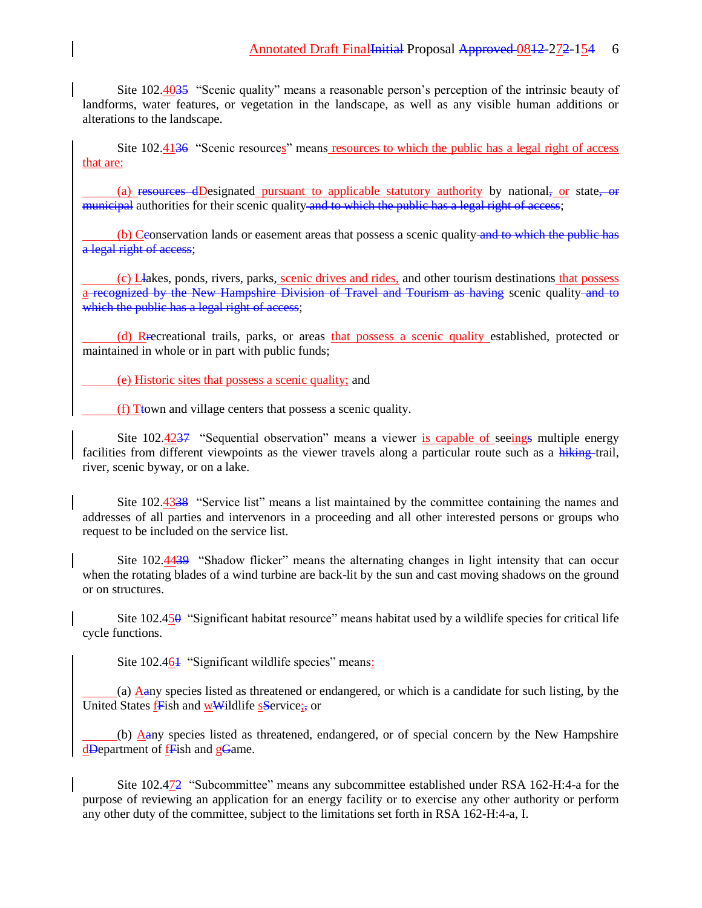Site 102.4035 "Scenic quality" means a reasonable person's perception of the intrinsic beauty of landforms, water features, or vegetation in the landscape, as well as any visible human additions or alterations to the landscape.

Site 102.4136 "Scenic resources" means resources to which the public has a legal right of access that are:

(a) resources dDesignated pursuant to applicable statutory authority by national, or state, or municipal authorities for their scenic quality and to which the public has a legal right of access;

(b) Ceonservation lands or easement areas that possess a scenic quality and to which the public has a legal right of access;

(c) Llakes, ponds, rivers, parks, scenic drives and rides, and other tourism destinations that possess a recognized by the New Hampshire Division of Travel and Tourism as having scenic quality and to which the public has a legal right of access;

(d) Recreational trails, parks, or areas that possess a scenic quality established, protected or maintained in whole or in part with public funds;

(e) Historic sites that possess a scenic quality; and

(f) Ttown and village centers that possess a scenic quality.

Site 102.4237 "Sequential observation" means a viewer is capable of seeings multiple energy facilities from different viewpoints as the viewer travels along a particular route such as a hiking-trail, river, scenic byway, or on a lake.

Site 102.4338 "Service list" means a list maintained by the committee containing the names and addresses of all parties and intervenors in a proceeding and all other interested persons or groups who request to be included on the service list.

Site 102.4439 "Shadow flicker" means the alternating changes in light intensity that can occur when the rotating blades of a wind turbine are back-lit by the sun and cast moving shadows on the ground or on structures.

Site 102.450 "Significant habitat resource" means habitat used by a wildlife species for critical life cycle functions.

Site 102.464 "Significant wildlife species" means:

(a) Aany species listed as threatened or endangered, or which is a candidate for such listing, by the United States fFish and wWildlife sService;, or

(b) Aany species listed as threatened, endangered, or of special concern by the New Hampshire dDepartment of **fF**ish and **gGame**.

Site 102.472 "Subcommittee" means any subcommittee established under RSA 162-H:4-a for the purpose of reviewing an application for an energy facility or to exercise any other authority or perform any other duty of the committee, subject to the limitations set forth in RSA 162-H:4-a, I.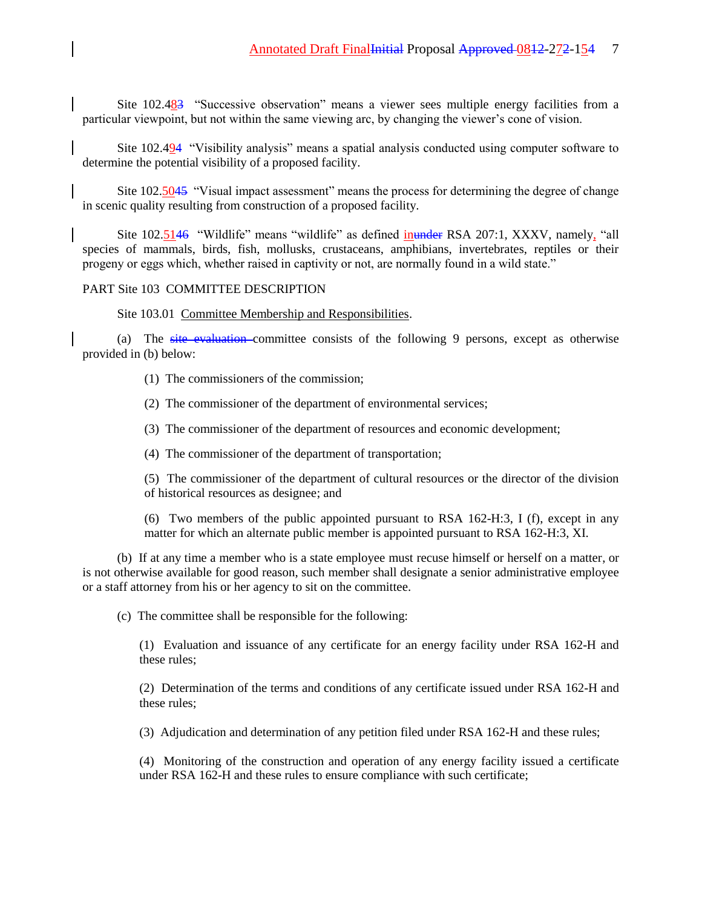Site 102.483 "Successive observation" means a viewer sees multiple energy facilities from a particular viewpoint, but not within the same viewing arc, by changing the viewer's cone of vision.

Site 102.494 "Visibility analysis" means a spatial analysis conducted using computer software to determine the potential visibility of a proposed facility.

Site 102.5045 "Visual impact assessment" means the process for determining the degree of change in scenic quality resulting from construction of a proposed facility.

Site 102.5146 "Wildlife" means "wildlife" as defined inunder RSA 207:1, XXXV, namely, "all species of mammals, birds, fish, mollusks, crustaceans, amphibians, invertebrates, reptiles or their progeny or eggs which, whether raised in captivity or not, are normally found in a wild state."

## PART Site 103 COMMITTEE DESCRIPTION

Site 103.01 Committee Membership and Responsibilities.

(a) The site evaluation committee consists of the following 9 persons, except as otherwise provided in (b) below:

- (1) The commissioners of the commission;
- (2) The commissioner of the department of environmental services;
- (3) The commissioner of the department of resources and economic development;
- (4) The commissioner of the department of transportation;

(5) The commissioner of the department of cultural resources or the director of the division of historical resources as designee; and

(6) Two members of the public appointed pursuant to RSA 162-H:3, I (f), except in any matter for which an alternate public member is appointed pursuant to RSA 162-H:3, XI.

(b) If at any time a member who is a state employee must recuse himself or herself on a matter, or is not otherwise available for good reason, such member shall designate a senior administrative employee or a staff attorney from his or her agency to sit on the committee.

(c) The committee shall be responsible for the following:

(1) Evaluation and issuance of any certificate for an energy facility under RSA 162-H and these rules;

(2) Determination of the terms and conditions of any certificate issued under RSA 162-H and these rules;

(3) Adjudication and determination of any petition filed under RSA 162-H and these rules;

(4) Monitoring of the construction and operation of any energy facility issued a certificate under RSA 162-H and these rules to ensure compliance with such certificate;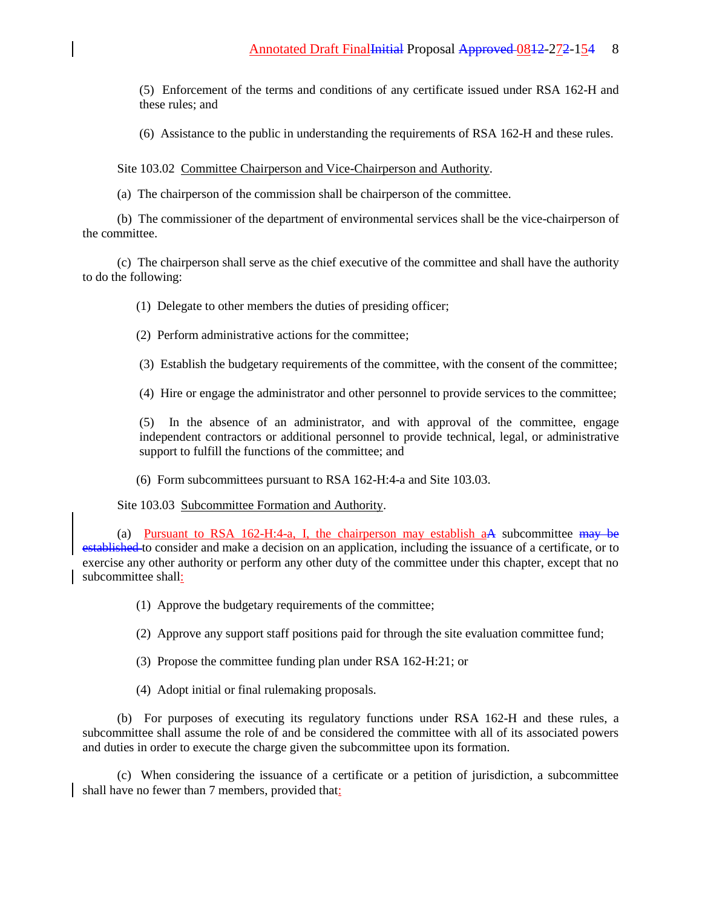(5) Enforcement of the terms and conditions of any certificate issued under RSA 162-H and these rules; and

(6) Assistance to the public in understanding the requirements of RSA 162-H and these rules.

Site 103.02 Committee Chairperson and Vice-Chairperson and Authority.

(a) The chairperson of the commission shall be chairperson of the committee.

(b) The commissioner of the department of environmental services shall be the vice-chairperson of the committee.

(c) The chairperson shall serve as the chief executive of the committee and shall have the authority to do the following:

(1) Delegate to other members the duties of presiding officer;

(2) Perform administrative actions for the committee;

(3) Establish the budgetary requirements of the committee, with the consent of the committee;

(4) Hire or engage the administrator and other personnel to provide services to the committee;

(5) In the absence of an administrator, and with approval of the committee, engage independent contractors or additional personnel to provide technical, legal, or administrative support to fulfill the functions of the committee; and

(6) Form subcommittees pursuant to RSA 162-H:4-a and Site 103.03.

Site 103.03 Subcommittee Formation and Authority.

(a) Pursuant to RSA 162-H:4-a, I, the chairperson may establish aA subcommittee may be established to consider and make a decision on an application, including the issuance of a certificate, or to exercise any other authority or perform any other duty of the committee under this chapter, except that no subcommittee shall:

(1) Approve the budgetary requirements of the committee;

(2) Approve any support staff positions paid for through the site evaluation committee fund;

(3) Propose the committee funding plan under RSA 162-H:21; or

(4) Adopt initial or final rulemaking proposals.

(b) For purposes of executing its regulatory functions under RSA 162-H and these rules, a subcommittee shall assume the role of and be considered the committee with all of its associated powers and duties in order to execute the charge given the subcommittee upon its formation.

(c) When considering the issuance of a certificate or a petition of jurisdiction, a subcommittee shall have no fewer than 7 members, provided that: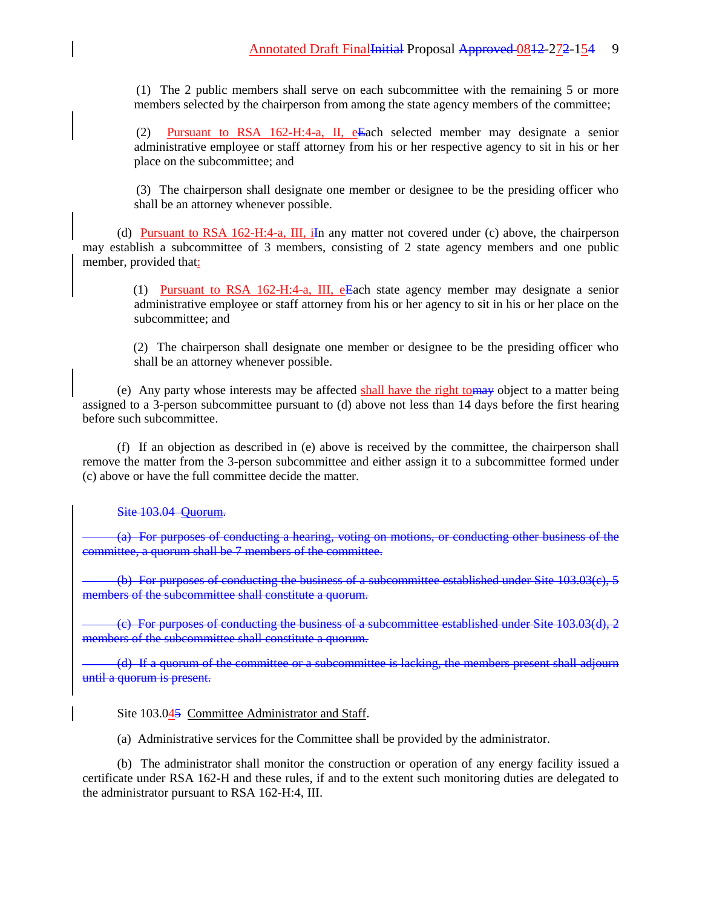(1) The 2 public members shall serve on each subcommittee with the remaining 5 or more members selected by the chairperson from among the state agency members of the committee;

 (2) Pursuant to RSA 162-H:4-a, II, eEach selected member may designate a senior administrative employee or staff attorney from his or her respective agency to sit in his or her place on the subcommittee; and

 (3) The chairperson shall designate one member or designee to be the presiding officer who shall be an attorney whenever possible.

(d) Pursuant to RSA 162-H:4-a, III, iIn any matter not covered under (c) above, the chairperson may establish a subcommittee of 3 members, consisting of 2 state agency members and one public member, provided that:

 (1) Pursuant to RSA 162-H:4-a, III, eEach state agency member may designate a senior administrative employee or staff attorney from his or her agency to sit in his or her place on the subcommittee; and

 (2) The chairperson shall designate one member or designee to be the presiding officer who shall be an attorney whenever possible.

(e) Any party whose interests may be affected shall have the right tomay object to a matter being assigned to a 3-person subcommittee pursuant to (d) above not less than 14 days before the first hearing before such subcommittee.

(f) If an objection as described in (e) above is received by the committee, the chairperson shall remove the matter from the 3-person subcommittee and either assign it to a subcommittee formed under (c) above or have the full committee decide the matter.

Site 103.04 Quorum.

(a) For purposes of conducting a hearing, voting on motions, or conducting other business of the committee, a quorum shall be 7 members of the committee.

(b) For purposes of conducting the business of a subcommittee established under Site 103.03(c), 5 members of the subcommittee shall constitute a quorum.

(c) For purposes of conducting the business of a subcommittee established under Site 103.03(d), 2 members of the subcommittee shall constitute a quorum.

(d) If a quorum of the committee or a subcommittee is lacking, the members present shall adjourn until a quorum is present.

### Site 103.045 Committee Administrator and Staff.

(a) Administrative services for the Committee shall be provided by the administrator.

(b) The administrator shall monitor the construction or operation of any energy facility issued a certificate under RSA 162-H and these rules, if and to the extent such monitoring duties are delegated to the administrator pursuant to RSA 162-H:4, III.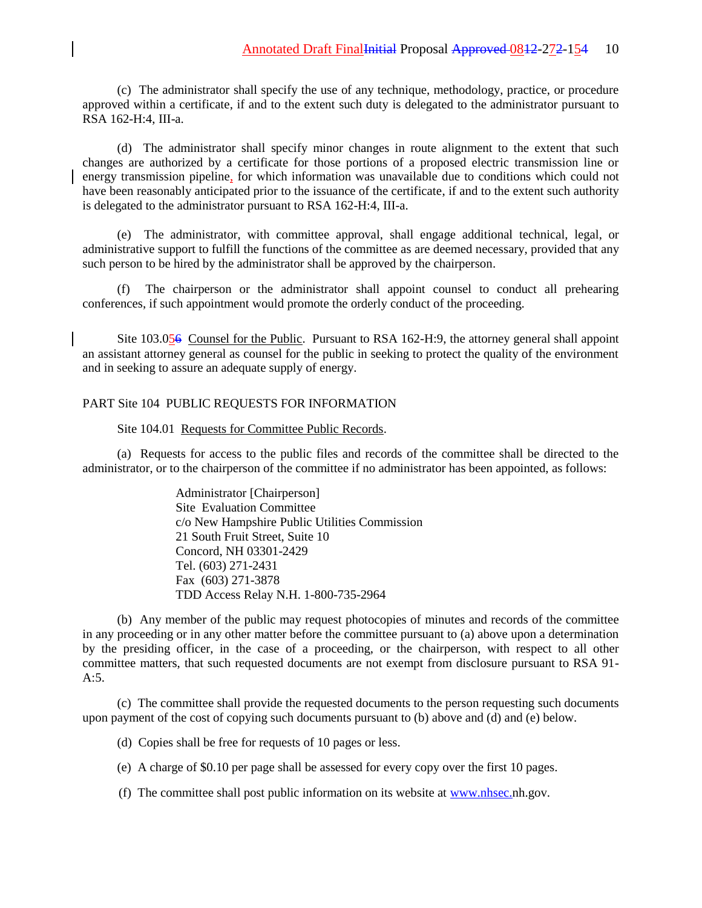(c) The administrator shall specify the use of any technique, methodology, practice, or procedure approved within a certificate, if and to the extent such duty is delegated to the administrator pursuant to RSA 162-H:4, III-a.

(d) The administrator shall specify minor changes in route alignment to the extent that such changes are authorized by a certificate for those portions of a proposed electric transmission line or energy transmission pipeline, for which information was unavailable due to conditions which could not have been reasonably anticipated prior to the issuance of the certificate, if and to the extent such authority is delegated to the administrator pursuant to RSA 162-H:4, III-a.

(e) The administrator, with committee approval, shall engage additional technical, legal, or administrative support to fulfill the functions of the committee as are deemed necessary, provided that any such person to be hired by the administrator shall be approved by the chairperson.

(f) The chairperson or the administrator shall appoint counsel to conduct all prehearing conferences, if such appointment would promote the orderly conduct of the proceeding.

Site 103.056 Counsel for the Public. Pursuant to RSA 162-H:9, the attorney general shall appoint an assistant attorney general as counsel for the public in seeking to protect the quality of the environment and in seeking to assure an adequate supply of energy.

## PART Site 104 PUBLIC REQUESTS FOR INFORMATION

Site 104.01 Requests for Committee Public Records.

(a) Requests for access to the public files and records of the committee shall be directed to the administrator, or to the chairperson of the committee if no administrator has been appointed, as follows:

> Administrator [Chairperson] Site Evaluation Committee c/o New Hampshire Public Utilities Commission 21 South Fruit Street, Suite 10 Concord, NH 03301-2429 Tel. (603) 271-2431 Fax (603) 271-3878 TDD Access Relay N.H. 1-800-735-2964

(b) Any member of the public may request photocopies of minutes and records of the committee in any proceeding or in any other matter before the committee pursuant to (a) above upon a determination by the presiding officer, in the case of a proceeding, or the chairperson, with respect to all other committee matters, that such requested documents are not exempt from disclosure pursuant to RSA 91- A:5.

(c) The committee shall provide the requested documents to the person requesting such documents upon payment of the cost of copying such documents pursuant to (b) above and (d) and (e) below.

(d) Copies shall be free for requests of 10 pages or less.

(e) A charge of \$0.10 per page shall be assessed for every copy over the first 10 pages.

(f) The committee shall post public information on its website at [www.nhsec.n](http://www.nhsec./)h.gov.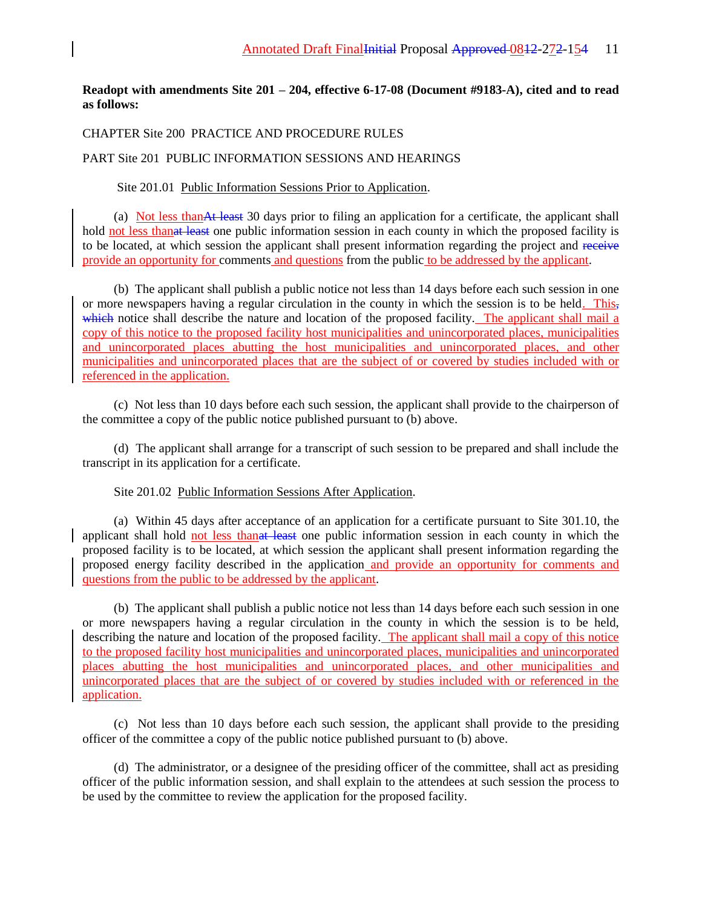## **Readopt with amendments Site 201 – 204, effective 6-17-08 (Document #9183-A), cited and to read as follows:**

## CHAPTER Site 200 PRACTICE AND PROCEDURE RULES

## PART Site 201 PUBLIC INFORMATION SESSIONS AND HEARINGS

### Site 201.01 Public Information Sessions Prior to Application.

(a) Not less thanAt least 30 days prior to filing an application for a certificate, the applicant shall hold not less than at least one public information session in each county in which the proposed facility is to be located, at which session the applicant shall present information regarding the project and receive provide an opportunity for comments and questions from the public to be addressed by the applicant.

(b) The applicant shall publish a public notice not less than 14 days before each such session in one or more newspapers having a regular circulation in the county in which the session is to be held. This, which notice shall describe the nature and location of the proposed facility. The applicant shall mail a copy of this notice to the proposed facility host municipalities and unincorporated places, municipalities and unincorporated places abutting the host municipalities and unincorporated places, and other municipalities and unincorporated places that are the subject of or covered by studies included with or referenced in the application.

(c) Not less than 10 days before each such session, the applicant shall provide to the chairperson of the committee a copy of the public notice published pursuant to (b) above.

(d) The applicant shall arrange for a transcript of such session to be prepared and shall include the transcript in its application for a certificate.

## Site 201.02 Public Information Sessions After Application.

(a) Within 45 days after acceptance of an application for a certificate pursuant to Site 301.10, the applicant shall hold not less thanat least one public information session in each county in which the proposed facility is to be located, at which session the applicant shall present information regarding the proposed energy facility described in the application and provide an opportunity for comments and questions from the public to be addressed by the applicant.

(b) The applicant shall publish a public notice not less than 14 days before each such session in one or more newspapers having a regular circulation in the county in which the session is to be held, describing the nature and location of the proposed facility. The applicant shall mail a copy of this notice to the proposed facility host municipalities and unincorporated places, municipalities and unincorporated places abutting the host municipalities and unincorporated places, and other municipalities and unincorporated places that are the subject of or covered by studies included with or referenced in the application.

(c) Not less than 10 days before each such session, the applicant shall provide to the presiding officer of the committee a copy of the public notice published pursuant to (b) above.

(d) The administrator, or a designee of the presiding officer of the committee, shall act as presiding officer of the public information session, and shall explain to the attendees at such session the process to be used by the committee to review the application for the proposed facility.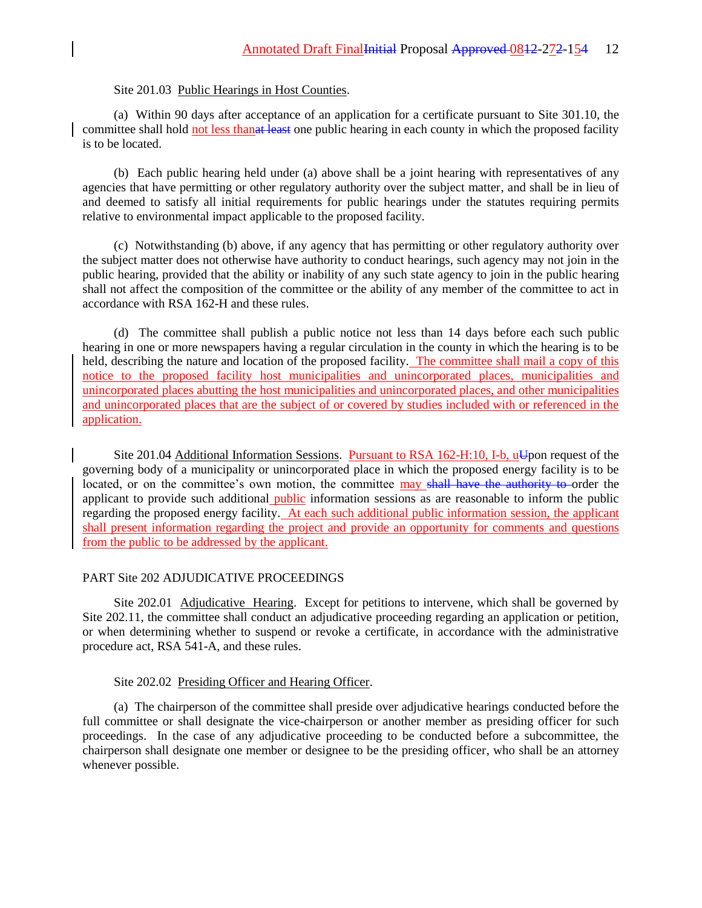# Site 201.03 Public Hearings in Host Counties.

(a) Within 90 days after acceptance of an application for a certificate pursuant to Site 301.10, the committee shall hold not less than at least one public hearing in each county in which the proposed facility is to be located.

(b) Each public hearing held under (a) above shall be a joint hearing with representatives of any agencies that have permitting or other regulatory authority over the subject matter, and shall be in lieu of and deemed to satisfy all initial requirements for public hearings under the statutes requiring permits relative to environmental impact applicable to the proposed facility.

(c) Notwithstanding (b) above, if any agency that has permitting or other regulatory authority over the subject matter does not otherwise have authority to conduct hearings, such agency may not join in the public hearing, provided that the ability or inability of any such state agency to join in the public hearing shall not affect the composition of the committee or the ability of any member of the committee to act in accordance with RSA 162-H and these rules.

(d) The committee shall publish a public notice not less than 14 days before each such public hearing in one or more newspapers having a regular circulation in the county in which the hearing is to be held, describing the nature and location of the proposed facility. The committee shall mail a copy of this notice to the proposed facility host municipalities and unincorporated places, municipalities and unincorporated places abutting the host municipalities and unincorporated places, and other municipalities and unincorporated places that are the subject of or covered by studies included with or referenced in the application.

Site 201.04 Additional Information Sessions. Pursuant to RSA 162-H:10, I-b, uUpon request of the governing body of a municipality or unincorporated place in which the proposed energy facility is to be located, or on the committee's own motion, the committee may shall have the authority to order the applicant to provide such additional public information sessions as are reasonable to inform the public regarding the proposed energy facility. At each such additional public information session, the applicant shall present information regarding the project and provide an opportunity for comments and questions from the public to be addressed by the applicant.

### PART Site 202 ADJUDICATIVE PROCEEDINGS

Site 202.01 Adjudicative Hearing. Except for petitions to intervene, which shall be governed by Site 202.11, the committee shall conduct an adjudicative proceeding regarding an application or petition, or when determining whether to suspend or revoke a certificate, in accordance with the administrative procedure act, RSA 541-A, and these rules.

### Site 202.02 Presiding Officer and Hearing Officer.

(a) The chairperson of the committee shall preside over adjudicative hearings conducted before the full committee or shall designate the vice-chairperson or another member as presiding officer for such proceedings. In the case of any adjudicative proceeding to be conducted before a subcommittee, the chairperson shall designate one member or designee to be the presiding officer, who shall be an attorney whenever possible.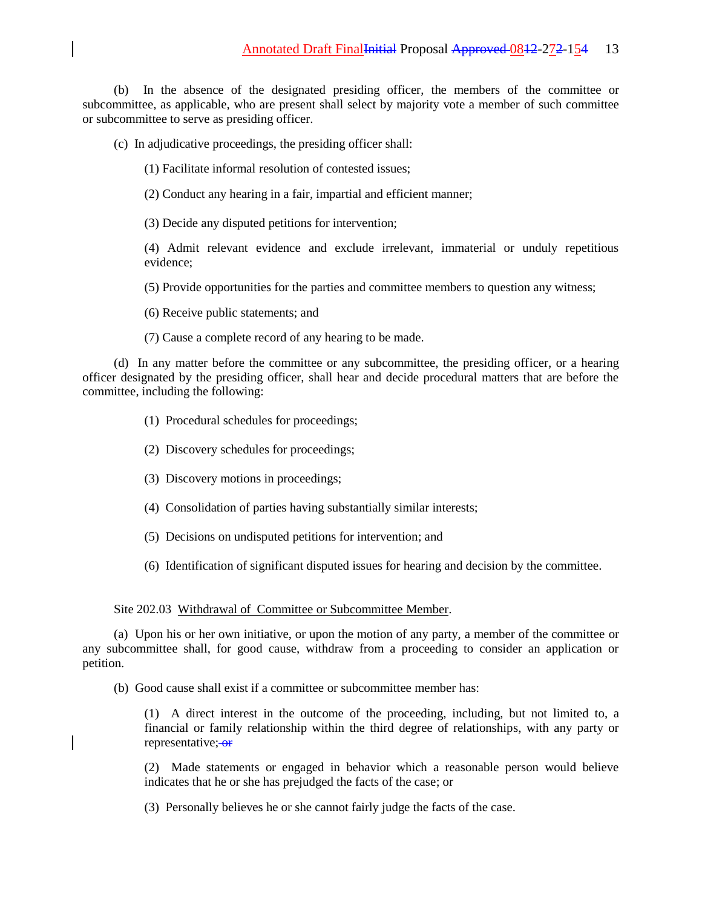(b) In the absence of the designated presiding officer, the members of the committee or subcommittee, as applicable, who are present shall select by majority vote a member of such committee or subcommittee to serve as presiding officer.

- (c) In adjudicative proceedings, the presiding officer shall:
	- (1) Facilitate informal resolution of contested issues;
	- (2) Conduct any hearing in a fair, impartial and efficient manner;
	- (3) Decide any disputed petitions for intervention;

(4) Admit relevant evidence and exclude irrelevant, immaterial or unduly repetitious evidence;

- (5) Provide opportunities for the parties and committee members to question any witness;
- (6) Receive public statements; and
- (7) Cause a complete record of any hearing to be made.

(d) In any matter before the committee or any subcommittee, the presiding officer, or a hearing officer designated by the presiding officer, shall hear and decide procedural matters that are before the committee, including the following:

- (1) Procedural schedules for proceedings;
- (2) Discovery schedules for proceedings;
- (3) Discovery motions in proceedings;
- (4) Consolidation of parties having substantially similar interests;
- (5) Decisions on undisputed petitions for intervention; and
- (6) Identification of significant disputed issues for hearing and decision by the committee.

### Site 202.03 Withdrawal of Committee or Subcommittee Member.

(a) Upon his or her own initiative, or upon the motion of any party, a member of the committee or any subcommittee shall, for good cause, withdraw from a proceeding to consider an application or petition.

(b) Good cause shall exist if a committee or subcommittee member has:

(1) A direct interest in the outcome of the proceeding, including, but not limited to, a financial or family relationship within the third degree of relationships, with any party or representative; or

(2) Made statements or engaged in behavior which a reasonable person would believe indicates that he or she has prejudged the facts of the case; or

(3) Personally believes he or she cannot fairly judge the facts of the case.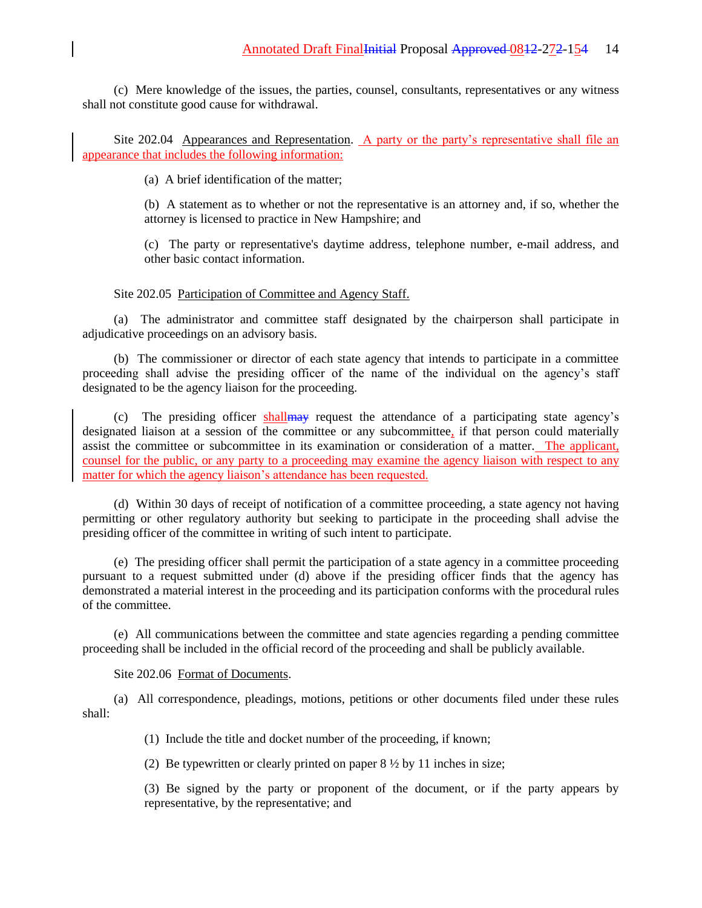(c) Mere knowledge of the issues, the parties, counsel, consultants, representatives or any witness shall not constitute good cause for withdrawal.

Site 202.04 Appearances and Representation. A party or the party's representative shall file an appearance that includes the following information:

(a) A brief identification of the matter;

(b) A statement as to whether or not the representative is an attorney and, if so, whether the attorney is licensed to practice in New Hampshire; and

(c) The party or representative's daytime address, telephone number, e-mail address, and other basic contact information.

#### Site 202.05 Participation of Committee and Agency Staff.

(a) The administrator and committee staff designated by the chairperson shall participate in adjudicative proceedings on an advisory basis.

(b) The commissioner or director of each state agency that intends to participate in a committee proceeding shall advise the presiding officer of the name of the individual on the agency's staff designated to be the agency liaison for the proceeding.

(c) The presiding officer shallmay request the attendance of a participating state agency's designated liaison at a session of the committee or any subcommittee, if that person could materially assist the committee or subcommittee in its examination or consideration of a matter. The applicant, counsel for the public, or any party to a proceeding may examine the agency liaison with respect to any matter for which the agency liaison's attendance has been requested.

(d) Within 30 days of receipt of notification of a committee proceeding, a state agency not having permitting or other regulatory authority but seeking to participate in the proceeding shall advise the presiding officer of the committee in writing of such intent to participate.

(e) The presiding officer shall permit the participation of a state agency in a committee proceeding pursuant to a request submitted under (d) above if the presiding officer finds that the agency has demonstrated a material interest in the proceeding and its participation conforms with the procedural rules of the committee.

(e) All communications between the committee and state agencies regarding a pending committee proceeding shall be included in the official record of the proceeding and shall be publicly available.

## Site 202.06 Format of Documents.

(a) All correspondence, pleadings, motions, petitions or other documents filed under these rules shall:

(1) Include the title and docket number of the proceeding, if known;

(2) Be typewritten or clearly printed on paper  $8\frac{1}{2}$  by 11 inches in size;

(3) Be signed by the party or proponent of the document, or if the party appears by representative, by the representative; and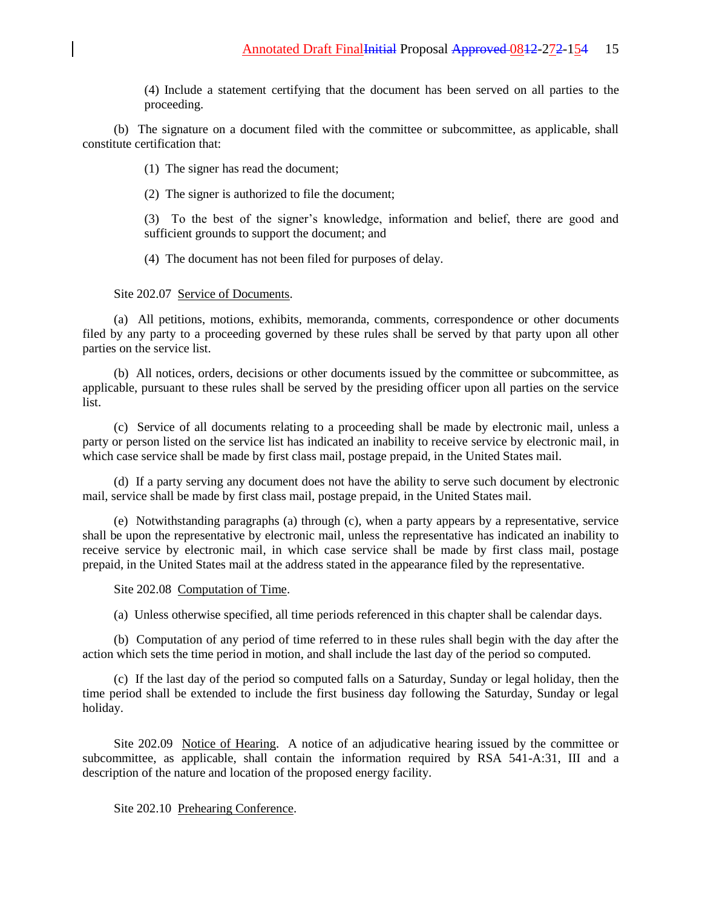(4) Include a statement certifying that the document has been served on all parties to the proceeding.

(b) The signature on a document filed with the committee or subcommittee, as applicable, shall constitute certification that:

(1) The signer has read the document;

(2) The signer is authorized to file the document;

(3) To the best of the signer's knowledge, information and belief, there are good and sufficient grounds to support the document; and

(4) The document has not been filed for purposes of delay.

### Site 202.07 Service of Documents.

(a) All petitions, motions, exhibits, memoranda, comments, correspondence or other documents filed by any party to a proceeding governed by these rules shall be served by that party upon all other parties on the service list.

(b) All notices, orders, decisions or other documents issued by the committee or subcommittee, as applicable, pursuant to these rules shall be served by the presiding officer upon all parties on the service list.

(c) Service of all documents relating to a proceeding shall be made by electronic mail, unless a party or person listed on the service list has indicated an inability to receive service by electronic mail, in which case service shall be made by first class mail, postage prepaid, in the United States mail.

(d) If a party serving any document does not have the ability to serve such document by electronic mail, service shall be made by first class mail, postage prepaid, in the United States mail.

(e) Notwithstanding paragraphs (a) through (c), when a party appears by a representative, service shall be upon the representative by electronic mail, unless the representative has indicated an inability to receive service by electronic mail, in which case service shall be made by first class mail, postage prepaid, in the United States mail at the address stated in the appearance filed by the representative.

Site 202.08 Computation of Time.

(a) Unless otherwise specified, all time periods referenced in this chapter shall be calendar days.

(b) Computation of any period of time referred to in these rules shall begin with the day after the action which sets the time period in motion, and shall include the last day of the period so computed.

(c) If the last day of the period so computed falls on a Saturday, Sunday or legal holiday, then the time period shall be extended to include the first business day following the Saturday, Sunday or legal holiday.

Site 202.09 Notice of Hearing. A notice of an adjudicative hearing issued by the committee or subcommittee, as applicable, shall contain the information required by RSA 541-A:31, III and a description of the nature and location of the proposed energy facility.

### Site 202.10 Prehearing Conference.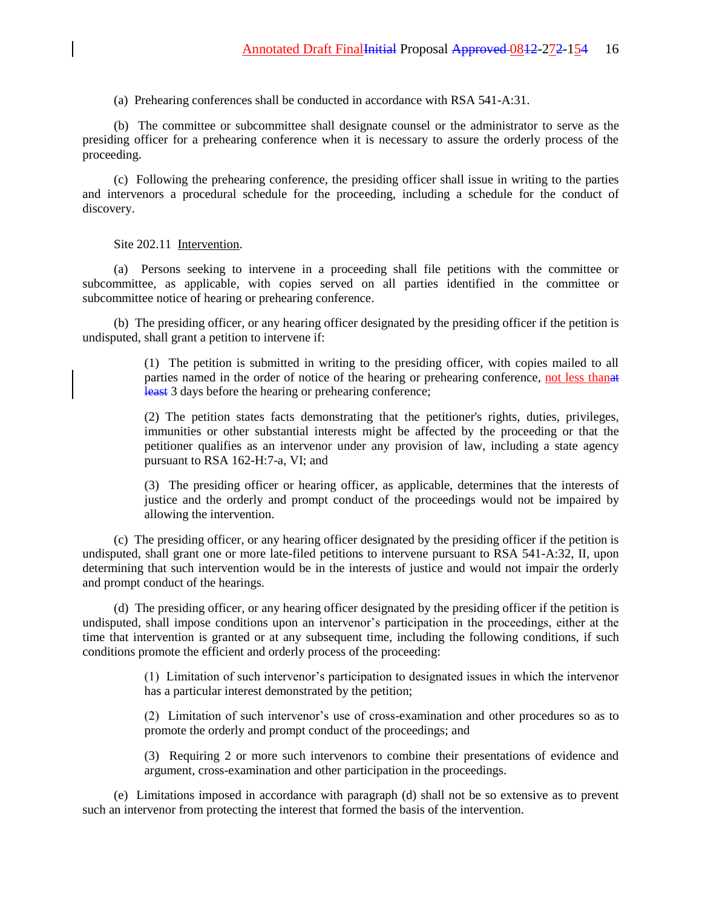(a) Prehearing conferences shall be conducted in accordance with RSA 541-A:31.

(b) The committee or subcommittee shall designate counsel or the administrator to serve as the presiding officer for a prehearing conference when it is necessary to assure the orderly process of the proceeding.

(c) Following the prehearing conference, the presiding officer shall issue in writing to the parties and intervenors a procedural schedule for the proceeding, including a schedule for the conduct of discovery.

Site 202.11 Intervention.

(a) Persons seeking to intervene in a proceeding shall file petitions with the committee or subcommittee, as applicable, with copies served on all parties identified in the committee or subcommittee notice of hearing or prehearing conference.

(b) The presiding officer, or any hearing officer designated by the presiding officer if the petition is undisputed, shall grant a petition to intervene if:

> (1) The petition is submitted in writing to the presiding officer, with copies mailed to all parties named in the order of notice of the hearing or prehearing conference, not less thanat least 3 days before the hearing or prehearing conference;

> (2) The petition states facts demonstrating that the petitioner's rights, duties, privileges, immunities or other substantial interests might be affected by the proceeding or that the petitioner qualifies as an intervenor under any provision of law, including a state agency pursuant to RSA 162-H:7-a, VI; and

> (3) The presiding officer or hearing officer, as applicable, determines that the interests of justice and the orderly and prompt conduct of the proceedings would not be impaired by allowing the intervention.

(c) The presiding officer, or any hearing officer designated by the presiding officer if the petition is undisputed, shall grant one or more late-filed petitions to intervene pursuant to RSA 541-A:32, II, upon determining that such intervention would be in the interests of justice and would not impair the orderly and prompt conduct of the hearings.

(d) The presiding officer, or any hearing officer designated by the presiding officer if the petition is undisputed, shall impose conditions upon an intervenor's participation in the proceedings, either at the time that intervention is granted or at any subsequent time, including the following conditions, if such conditions promote the efficient and orderly process of the proceeding:

> (1) Limitation of such intervenor's participation to designated issues in which the intervenor has a particular interest demonstrated by the petition;

> (2) Limitation of such intervenor's use of cross-examination and other procedures so as to promote the orderly and prompt conduct of the proceedings; and

> (3) Requiring 2 or more such intervenors to combine their presentations of evidence and argument, cross-examination and other participation in the proceedings.

(e) Limitations imposed in accordance with paragraph (d) shall not be so extensive as to prevent such an intervenor from protecting the interest that formed the basis of the intervention.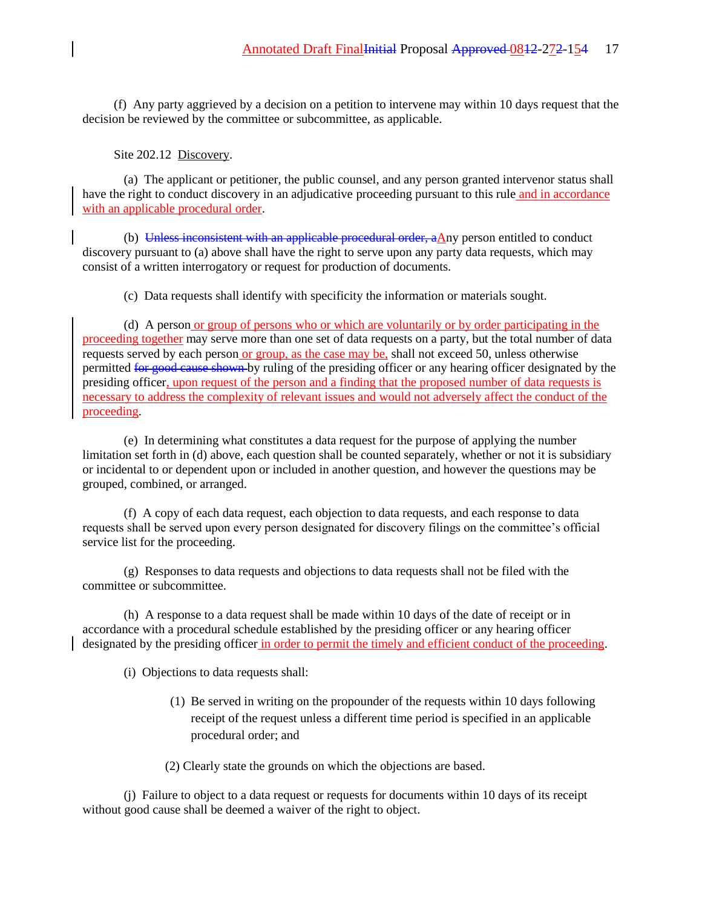(f) Any party aggrieved by a decision on a petition to intervene may within 10 days request that the decision be reviewed by the committee or subcommittee, as applicable.

## Site 202.12 Discovery.

(a) The applicant or petitioner, the public counsel, and any person granted intervenor status shall have the right to conduct discovery in an adjudicative proceeding pursuant to this rule and in accordance with an applicable procedural order.

(b) Unless inconsistent with an applicable procedural order,  $a\Delta ny$  person entitled to conduct discovery pursuant to (a) above shall have the right to serve upon any party data requests, which may consist of a written interrogatory or request for production of documents.

(c) Data requests shall identify with specificity the information or materials sought.

(d) A person or group of persons who or which are voluntarily or by order participating in the proceeding together may serve more than one set of data requests on a party, but the total number of data requests served by each person or group, as the case may be, shall not exceed 50, unless otherwise permitted for good cause shown by ruling of the presiding officer or any hearing officer designated by the presiding officer, upon request of the person and a finding that the proposed number of data requests is necessary to address the complexity of relevant issues and would not adversely affect the conduct of the proceeding.

(e) In determining what constitutes a data request for the purpose of applying the number limitation set forth in (d) above, each question shall be counted separately, whether or not it is subsidiary or incidental to or dependent upon or included in another question, and however the questions may be grouped, combined, or arranged.

(f) A copy of each data request, each objection to data requests, and each response to data requests shall be served upon every person designated for discovery filings on the committee's official service list for the proceeding.

(g) Responses to data requests and objections to data requests shall not be filed with the committee or subcommittee.

(h) A response to a data request shall be made within 10 days of the date of receipt or in accordance with a procedural schedule established by the presiding officer or any hearing officer designated by the presiding officer in order to permit the timely and efficient conduct of the proceeding.

(i) Objections to data requests shall:

(1) Be served in writing on the propounder of the requests within 10 days following receipt of the request unless a different time period is specified in an applicable procedural order; and

(2) Clearly state the grounds on which the objections are based.

(j) Failure to object to a data request or requests for documents within 10 days of its receipt without good cause shall be deemed a waiver of the right to object.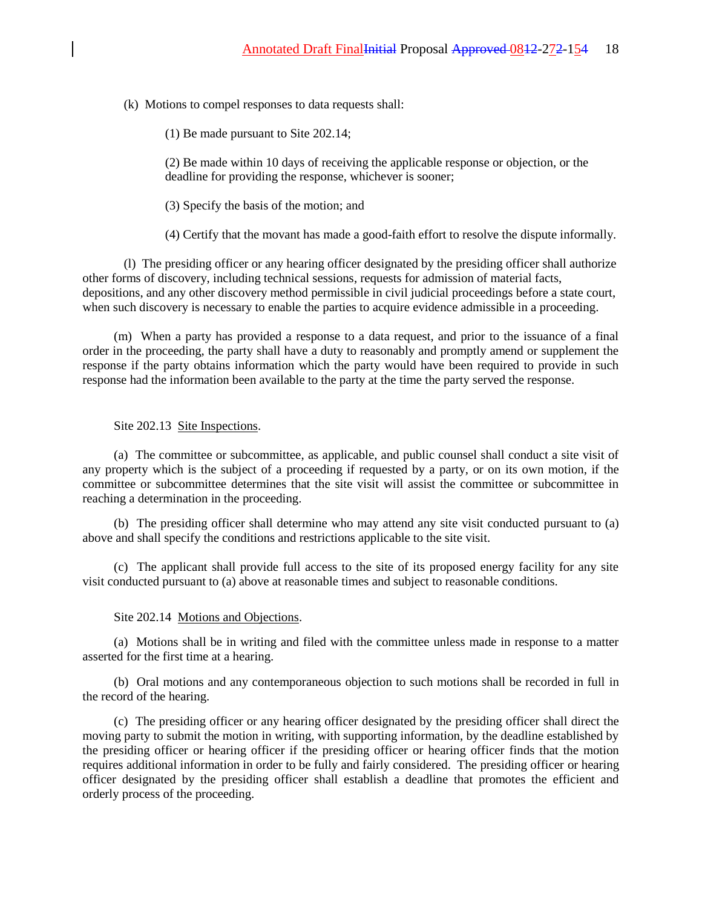(k) Motions to compel responses to data requests shall:

(1) Be made pursuant to Site 202.14;

(2) Be made within 10 days of receiving the applicable response or objection, or the deadline for providing the response, whichever is sooner;

(3) Specify the basis of the motion; and

(4) Certify that the movant has made a good-faith effort to resolve the dispute informally.

(l) The presiding officer or any hearing officer designated by the presiding officer shall authorize other forms of discovery, including technical sessions, requests for admission of material facts, depositions, and any other discovery method permissible in civil judicial proceedings before a state court, when such discovery is necessary to enable the parties to acquire evidence admissible in a proceeding.

(m) When a party has provided a response to a data request, and prior to the issuance of a final order in the proceeding, the party shall have a duty to reasonably and promptly amend or supplement the response if the party obtains information which the party would have been required to provide in such response had the information been available to the party at the time the party served the response.

Site 202.13 Site Inspections.

(a) The committee or subcommittee, as applicable, and public counsel shall conduct a site visit of any property which is the subject of a proceeding if requested by a party, or on its own motion, if the committee or subcommittee determines that the site visit will assist the committee or subcommittee in reaching a determination in the proceeding.

(b) The presiding officer shall determine who may attend any site visit conducted pursuant to (a) above and shall specify the conditions and restrictions applicable to the site visit.

(c) The applicant shall provide full access to the site of its proposed energy facility for any site visit conducted pursuant to (a) above at reasonable times and subject to reasonable conditions.

#### Site 202.14 Motions and Objections.

(a) Motions shall be in writing and filed with the committee unless made in response to a matter asserted for the first time at a hearing.

(b) Oral motions and any contemporaneous objection to such motions shall be recorded in full in the record of the hearing.

(c) The presiding officer or any hearing officer designated by the presiding officer shall direct the moving party to submit the motion in writing, with supporting information, by the deadline established by the presiding officer or hearing officer if the presiding officer or hearing officer finds that the motion requires additional information in order to be fully and fairly considered. The presiding officer or hearing officer designated by the presiding officer shall establish a deadline that promotes the efficient and orderly process of the proceeding.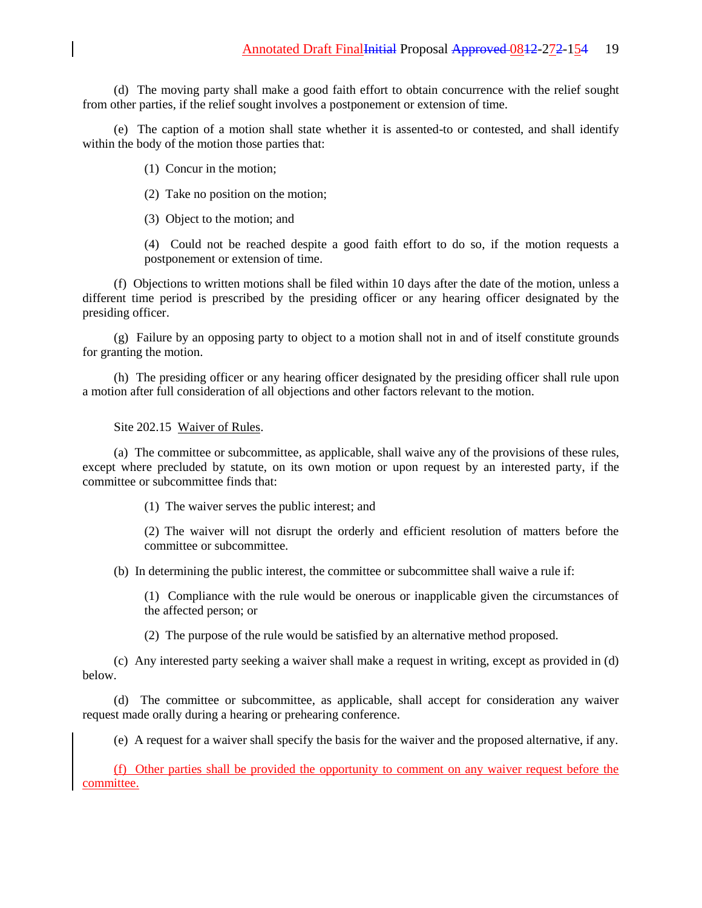(d) The moving party shall make a good faith effort to obtain concurrence with the relief sought from other parties, if the relief sought involves a postponement or extension of time.

(e) The caption of a motion shall state whether it is assented-to or contested, and shall identify within the body of the motion those parties that:

(1) Concur in the motion;

(2) Take no position on the motion;

(3) Object to the motion; and

(4) Could not be reached despite a good faith effort to do so, if the motion requests a postponement or extension of time.

(f) Objections to written motions shall be filed within 10 days after the date of the motion, unless a different time period is prescribed by the presiding officer or any hearing officer designated by the presiding officer.

(g) Failure by an opposing party to object to a motion shall not in and of itself constitute grounds for granting the motion.

(h) The presiding officer or any hearing officer designated by the presiding officer shall rule upon a motion after full consideration of all objections and other factors relevant to the motion.

Site 202.15 Waiver of Rules.

(a) The committee or subcommittee, as applicable, shall waive any of the provisions of these rules, except where precluded by statute, on its own motion or upon request by an interested party, if the committee or subcommittee finds that:

(1) The waiver serves the public interest; and

(2) The waiver will not disrupt the orderly and efficient resolution of matters before the committee or subcommittee.

(b) In determining the public interest, the committee or subcommittee shall waive a rule if:

(1) Compliance with the rule would be onerous or inapplicable given the circumstances of the affected person; or

(2) The purpose of the rule would be satisfied by an alternative method proposed.

(c) Any interested party seeking a waiver shall make a request in writing, except as provided in (d) below.

(d) The committee or subcommittee, as applicable, shall accept for consideration any waiver request made orally during a hearing or prehearing conference.

(e) A request for a waiver shall specify the basis for the waiver and the proposed alternative, if any.

(f) Other parties shall be provided the opportunity to comment on any waiver request before the committee.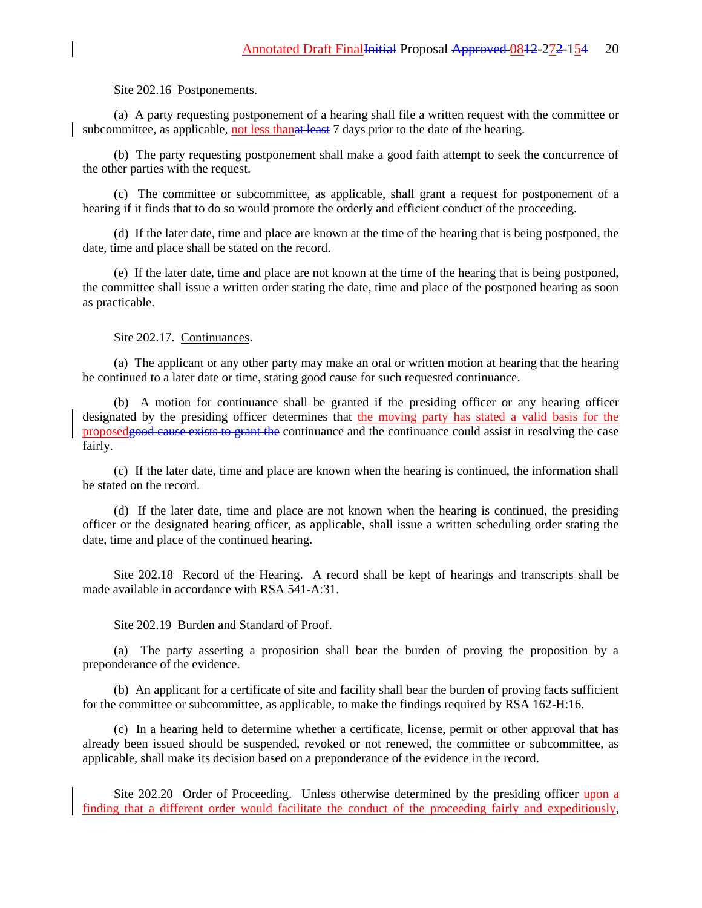### Site 202.16 Postponements.

(a) A party requesting postponement of a hearing shall file a written request with the committee or subcommittee, as applicable, not less than at least 7 days prior to the date of the hearing.

(b) The party requesting postponement shall make a good faith attempt to seek the concurrence of the other parties with the request.

(c) The committee or subcommittee, as applicable, shall grant a request for postponement of a hearing if it finds that to do so would promote the orderly and efficient conduct of the proceeding.

(d) If the later date, time and place are known at the time of the hearing that is being postponed, the date, time and place shall be stated on the record.

(e) If the later date, time and place are not known at the time of the hearing that is being postponed, the committee shall issue a written order stating the date, time and place of the postponed hearing as soon as practicable.

#### Site 202.17. Continuances.

(a) The applicant or any other party may make an oral or written motion at hearing that the hearing be continued to a later date or time, stating good cause for such requested continuance.

(b) A motion for continuance shall be granted if the presiding officer or any hearing officer designated by the presiding officer determines that the moving party has stated a valid basis for the proposedgood cause exists to grant the continuance and the continuance could assist in resolving the case fairly.

(c) If the later date, time and place are known when the hearing is continued, the information shall be stated on the record.

(d) If the later date, time and place are not known when the hearing is continued, the presiding officer or the designated hearing officer, as applicable, shall issue a written scheduling order stating the date, time and place of the continued hearing.

Site 202.18 Record of the Hearing. A record shall be kept of hearings and transcripts shall be made available in accordance with RSA 541-A:31.

### Site 202.19 Burden and Standard of Proof.

(a) The party asserting a proposition shall bear the burden of proving the proposition by a preponderance of the evidence.

(b) An applicant for a certificate of site and facility shall bear the burden of proving facts sufficient for the committee or subcommittee, as applicable, to make the findings required by RSA 162-H:16.

(c) In a hearing held to determine whether a certificate, license, permit or other approval that has already been issued should be suspended, revoked or not renewed, the committee or subcommittee, as applicable, shall make its decision based on a preponderance of the evidence in the record.

Site 202.20 Order of Proceeding. Unless otherwise determined by the presiding officer upon a finding that a different order would facilitate the conduct of the proceeding fairly and expeditiously,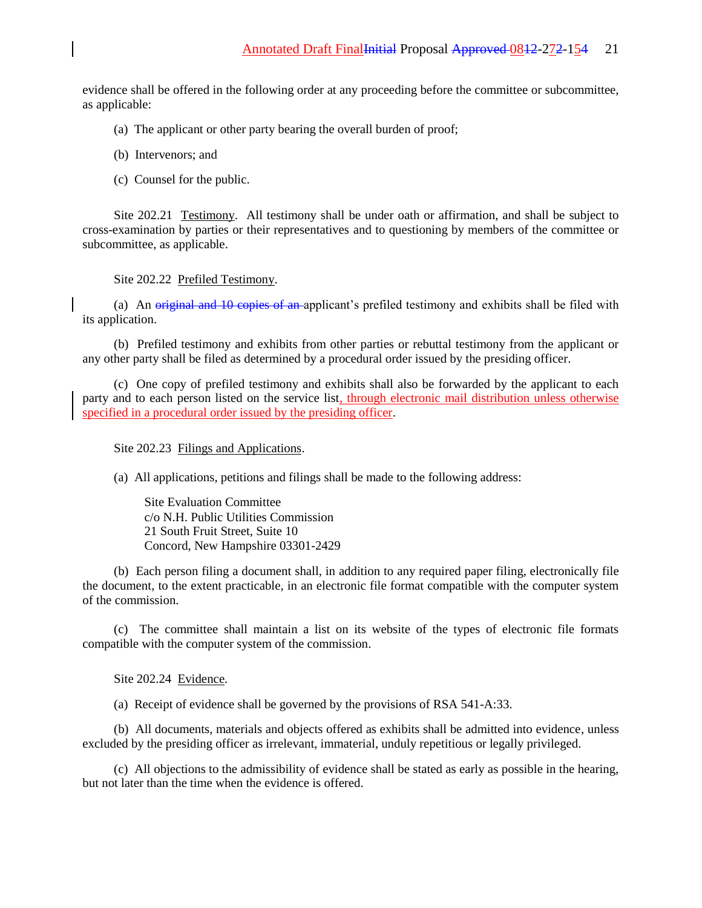evidence shall be offered in the following order at any proceeding before the committee or subcommittee, as applicable:

- (a) The applicant or other party bearing the overall burden of proof;
- (b) Intervenors; and
- (c) Counsel for the public.

Site 202.21 Testimony. All testimony shall be under oath or affirmation, and shall be subject to cross-examination by parties or their representatives and to questioning by members of the committee or subcommittee, as applicable.

Site 202.22 Prefiled Testimony.

(a) An original and 10 copies of an applicant's prefiled testimony and exhibits shall be filed with its application.

(b) Prefiled testimony and exhibits from other parties or rebuttal testimony from the applicant or any other party shall be filed as determined by a procedural order issued by the presiding officer.

(c) One copy of prefiled testimony and exhibits shall also be forwarded by the applicant to each party and to each person listed on the service list, through electronic mail distribution unless otherwise specified in a procedural order issued by the presiding officer.

## Site 202.23 Filings and Applications.

(a) All applications, petitions and filings shall be made to the following address:

Site Evaluation Committee c/o N.H. Public Utilities Commission 21 South Fruit Street, Suite 10 Concord, New Hampshire 03301-2429

(b) Each person filing a document shall, in addition to any required paper filing, electronically file the document, to the extent practicable, in an electronic file format compatible with the computer system of the commission.

(c) The committee shall maintain a list on its website of the types of electronic file formats compatible with the computer system of the commission.

Site 202.24 Evidence.

(a) Receipt of evidence shall be governed by the provisions of RSA 541-A:33.

(b) All documents, materials and objects offered as exhibits shall be admitted into evidence, unless excluded by the presiding officer as irrelevant, immaterial, unduly repetitious or legally privileged.

(c) All objections to the admissibility of evidence shall be stated as early as possible in the hearing, but not later than the time when the evidence is offered.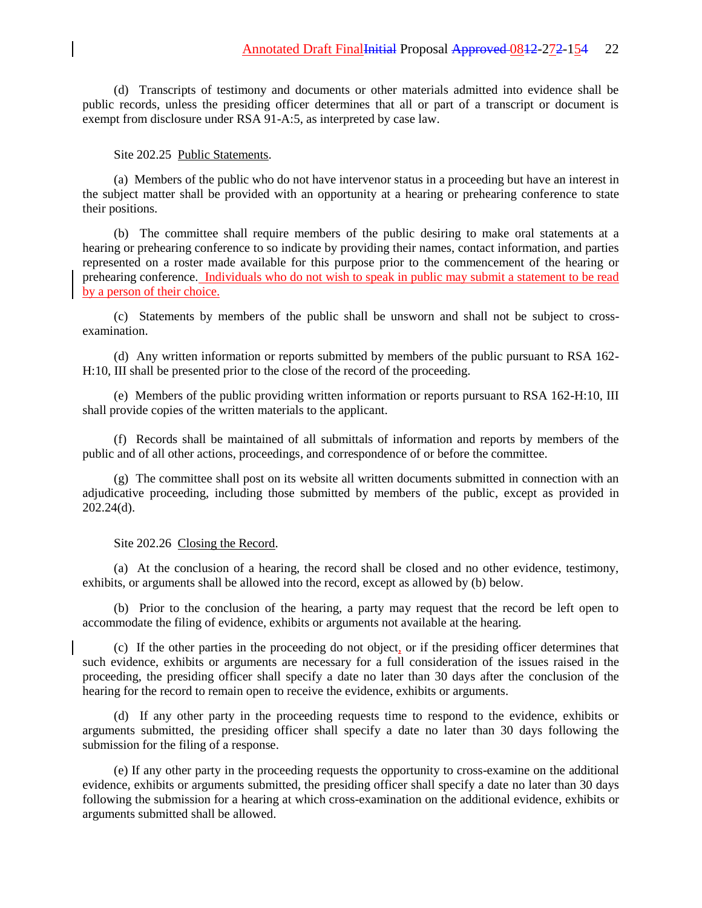(d) Transcripts of testimony and documents or other materials admitted into evidence shall be public records, unless the presiding officer determines that all or part of a transcript or document is exempt from disclosure under RSA 91-A:5, as interpreted by case law.

#### Site 202.25 Public Statements.

(a) Members of the public who do not have intervenor status in a proceeding but have an interest in the subject matter shall be provided with an opportunity at a hearing or prehearing conference to state their positions.

(b) The committee shall require members of the public desiring to make oral statements at a hearing or prehearing conference to so indicate by providing their names, contact information, and parties represented on a roster made available for this purpose prior to the commencement of the hearing or prehearing conference. Individuals who do not wish to speak in public may submit a statement to be read by a person of their choice.

(c) Statements by members of the public shall be unsworn and shall not be subject to crossexamination.

(d) Any written information or reports submitted by members of the public pursuant to RSA 162- H:10, III shall be presented prior to the close of the record of the proceeding.

(e) Members of the public providing written information or reports pursuant to RSA 162-H:10, III shall provide copies of the written materials to the applicant.

(f) Records shall be maintained of all submittals of information and reports by members of the public and of all other actions, proceedings, and correspondence of or before the committee.

(g) The committee shall post on its website all written documents submitted in connection with an adjudicative proceeding, including those submitted by members of the public, except as provided in 202.24(d).

### Site 202.26 Closing the Record.

(a) At the conclusion of a hearing, the record shall be closed and no other evidence, testimony, exhibits, or arguments shall be allowed into the record, except as allowed by (b) below.

(b) Prior to the conclusion of the hearing, a party may request that the record be left open to accommodate the filing of evidence, exhibits or arguments not available at the hearing.

(c) If the other parties in the proceeding do not object, or if the presiding officer determines that such evidence, exhibits or arguments are necessary for a full consideration of the issues raised in the proceeding, the presiding officer shall specify a date no later than 30 days after the conclusion of the hearing for the record to remain open to receive the evidence, exhibits or arguments.

(d) If any other party in the proceeding requests time to respond to the evidence, exhibits or arguments submitted, the presiding officer shall specify a date no later than 30 days following the submission for the filing of a response.

(e) If any other party in the proceeding requests the opportunity to cross-examine on the additional evidence, exhibits or arguments submitted, the presiding officer shall specify a date no later than 30 days following the submission for a hearing at which cross-examination on the additional evidence, exhibits or arguments submitted shall be allowed.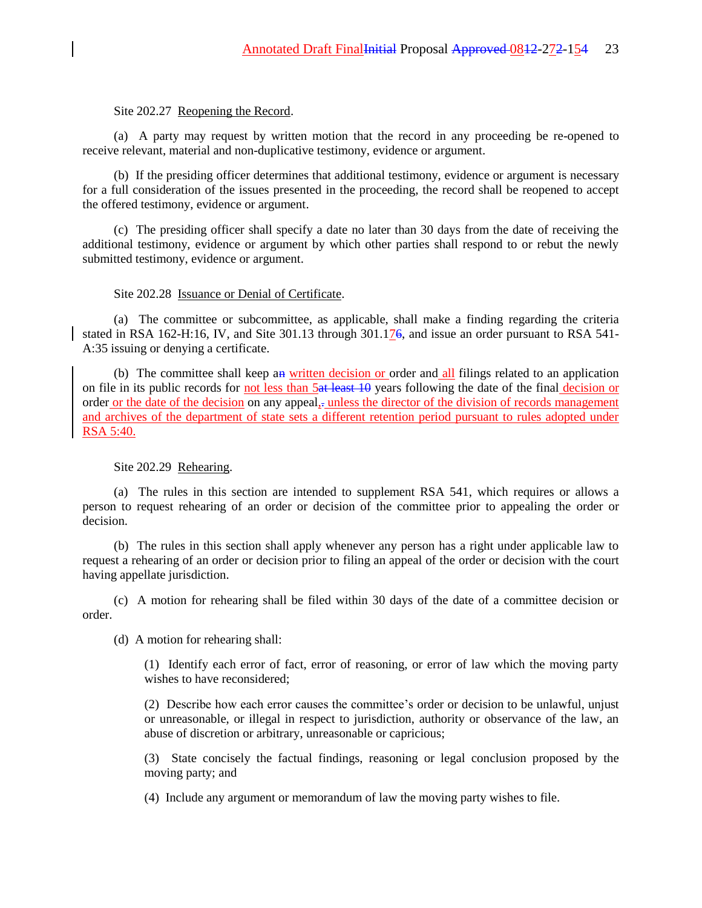## Site 202.27 Reopening the Record.

(a) A party may request by written motion that the record in any proceeding be re-opened to receive relevant, material and non-duplicative testimony, evidence or argument.

(b) If the presiding officer determines that additional testimony, evidence or argument is necessary for a full consideration of the issues presented in the proceeding, the record shall be reopened to accept the offered testimony, evidence or argument.

(c) The presiding officer shall specify a date no later than 30 days from the date of receiving the additional testimony, evidence or argument by which other parties shall respond to or rebut the newly submitted testimony, evidence or argument.

## Site 202.28 Issuance or Denial of Certificate.

(a) The committee or subcommittee, as applicable, shall make a finding regarding the criteria stated in RSA 162-H:16, IV, and Site 301.13 through 301.176, and issue an order pursuant to RSA 541-A:35 issuing or denying a certificate.

(b) The committee shall keep an written decision or order and all filings related to an application on file in its public records for not less than 5at least 10 years following the date of the final decision or order or the date of the decision on any appeal,. unless the director of the division of records management and archives of the department of state sets a different retention period pursuant to rules adopted under RSA 5:40.

## Site 202.29 Rehearing.

(a) The rules in this section are intended to supplement RSA 541, which requires or allows a person to request rehearing of an order or decision of the committee prior to appealing the order or decision.

(b) The rules in this section shall apply whenever any person has a right under applicable law to request a rehearing of an order or decision prior to filing an appeal of the order or decision with the court having appellate jurisdiction.

(c) A motion for rehearing shall be filed within 30 days of the date of a committee decision or order.

(d) A motion for rehearing shall:

(1) Identify each error of fact, error of reasoning, or error of law which the moving party wishes to have reconsidered;

(2) Describe how each error causes the committee's order or decision to be unlawful, unjust or unreasonable, or illegal in respect to jurisdiction, authority or observance of the law, an abuse of discretion or arbitrary, unreasonable or capricious;

(3) State concisely the factual findings, reasoning or legal conclusion proposed by the moving party; and

(4) Include any argument or memorandum of law the moving party wishes to file.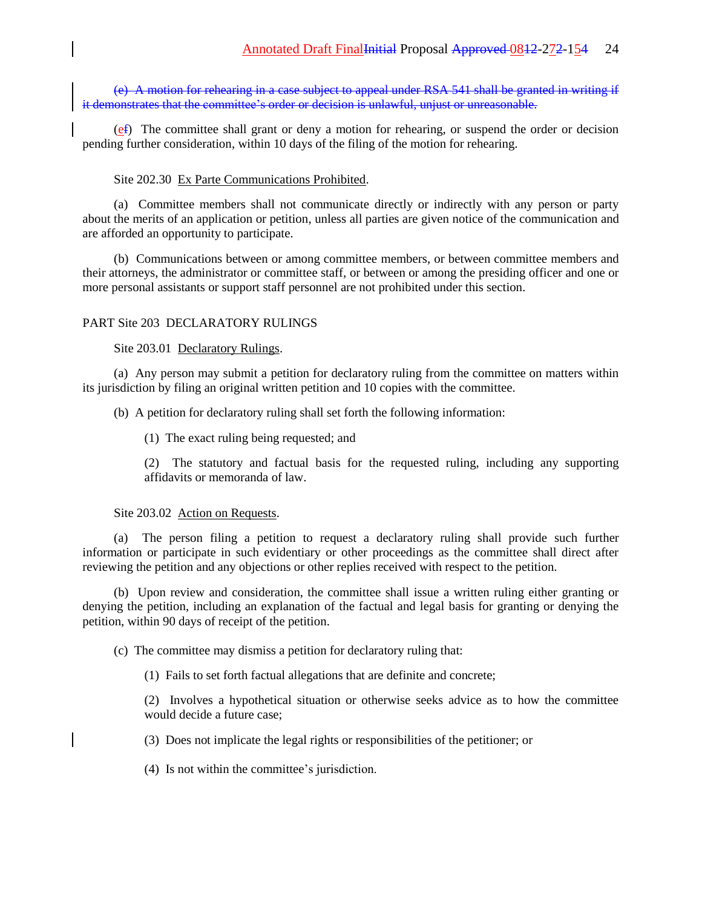(e) A motion for rehearing in a case subject to appeal under RSA 541 shall be granted in writing if it demonstrates that the committee's order or decision is unlawful, unjust or unreasonable.

(ef) The committee shall grant or deny a motion for rehearing, or suspend the order or decision pending further consideration, within 10 days of the filing of the motion for rehearing.

### Site 202.30 Ex Parte Communications Prohibited.

(a) Committee members shall not communicate directly or indirectly with any person or party about the merits of an application or petition, unless all parties are given notice of the communication and are afforded an opportunity to participate.

(b) Communications between or among committee members, or between committee members and their attorneys, the administrator or committee staff, or between or among the presiding officer and one or more personal assistants or support staff personnel are not prohibited under this section.

## PART Site 203 DECLARATORY RULINGS

Site 203.01 Declaratory Rulings.

(a) Any person may submit a petition for declaratory ruling from the committee on matters within its jurisdiction by filing an original written petition and 10 copies with the committee.

(b) A petition for declaratory ruling shall set forth the following information:

(1) The exact ruling being requested; and

(2) The statutory and factual basis for the requested ruling, including any supporting affidavits or memoranda of law.

### Site 203.02 Action on Requests.

(a) The person filing a petition to request a declaratory ruling shall provide such further information or participate in such evidentiary or other proceedings as the committee shall direct after reviewing the petition and any objections or other replies received with respect to the petition.

(b) Upon review and consideration, the committee shall issue a written ruling either granting or denying the petition, including an explanation of the factual and legal basis for granting or denying the petition, within 90 days of receipt of the petition.

(c) The committee may dismiss a petition for declaratory ruling that:

(1) Fails to set forth factual allegations that are definite and concrete;

(2) Involves a hypothetical situation or otherwise seeks advice as to how the committee would decide a future case;

(3) Does not implicate the legal rights or responsibilities of the petitioner; or

(4) Is not within the committee's jurisdiction.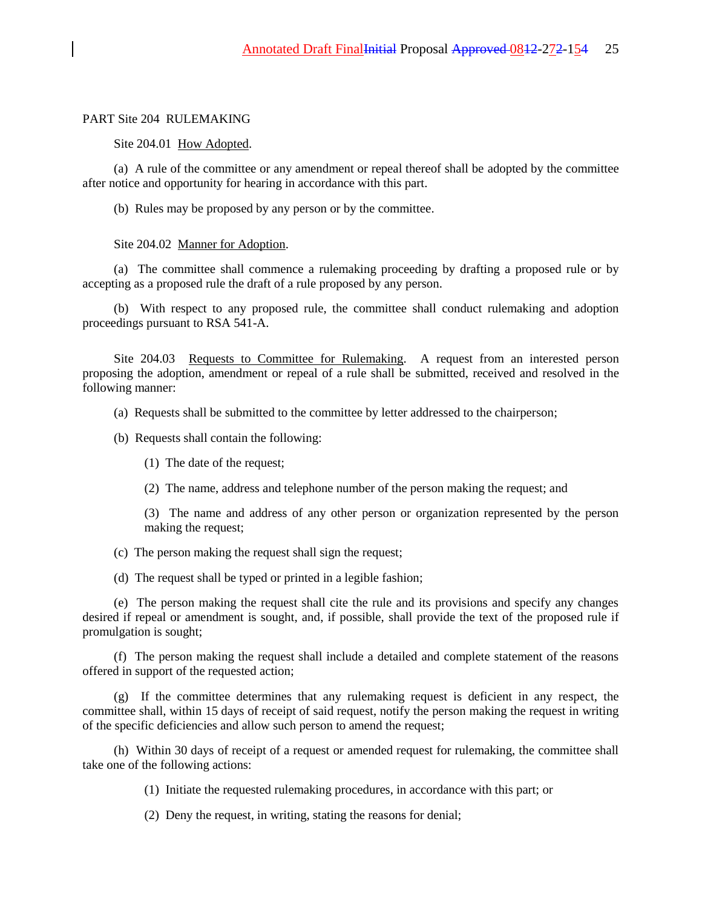### PART Site 204 RULEMAKING

### Site 204.01 How Adopted.

(a) A rule of the committee or any amendment or repeal thereof shall be adopted by the committee after notice and opportunity for hearing in accordance with this part.

(b) Rules may be proposed by any person or by the committee.

#### Site 204.02 Manner for Adoption.

(a) The committee shall commence a rulemaking proceeding by drafting a proposed rule or by accepting as a proposed rule the draft of a rule proposed by any person.

(b) With respect to any proposed rule, the committee shall conduct rulemaking and adoption proceedings pursuant to RSA 541-A.

Site 204.03 Requests to Committee for Rulemaking. A request from an interested person proposing the adoption, amendment or repeal of a rule shall be submitted, received and resolved in the following manner:

(a) Requests shall be submitted to the committee by letter addressed to the chairperson;

(b) Requests shall contain the following:

- (1) The date of the request;
- (2) The name, address and telephone number of the person making the request; and

(3) The name and address of any other person or organization represented by the person making the request;

(c) The person making the request shall sign the request;

(d) The request shall be typed or printed in a legible fashion;

(e) The person making the request shall cite the rule and its provisions and specify any changes desired if repeal or amendment is sought, and, if possible, shall provide the text of the proposed rule if promulgation is sought;

(f) The person making the request shall include a detailed and complete statement of the reasons offered in support of the requested action;

(g) If the committee determines that any rulemaking request is deficient in any respect, the committee shall, within 15 days of receipt of said request, notify the person making the request in writing of the specific deficiencies and allow such person to amend the request;

(h) Within 30 days of receipt of a request or amended request for rulemaking, the committee shall take one of the following actions:

(1) Initiate the requested rulemaking procedures, in accordance with this part; or

(2) Deny the request, in writing, stating the reasons for denial;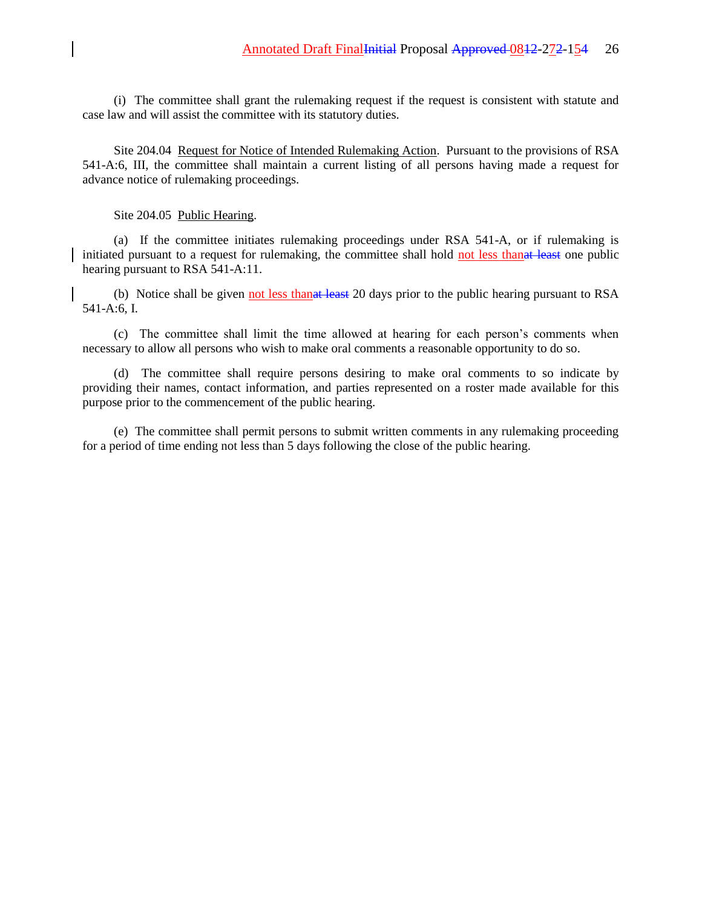(i) The committee shall grant the rulemaking request if the request is consistent with statute and case law and will assist the committee with its statutory duties.

Site 204.04 Request for Notice of Intended Rulemaking Action. Pursuant to the provisions of RSA 541-A:6, III, the committee shall maintain a current listing of all persons having made a request for advance notice of rulemaking proceedings.

Site 204.05 Public Hearing.

(a) If the committee initiates rulemaking proceedings under RSA 541-A, or if rulemaking is initiated pursuant to a request for rulemaking, the committee shall hold not less than at least one public hearing pursuant to RSA 541-A:11.

(b) Notice shall be given not less than at least 20 days prior to the public hearing pursuant to RSA 541-A:6, I.

(c) The committee shall limit the time allowed at hearing for each person's comments when necessary to allow all persons who wish to make oral comments a reasonable opportunity to do so.

(d) The committee shall require persons desiring to make oral comments to so indicate by providing their names, contact information, and parties represented on a roster made available for this purpose prior to the commencement of the public hearing.

(e) The committee shall permit persons to submit written comments in any rulemaking proceeding for a period of time ending not less than 5 days following the close of the public hearing.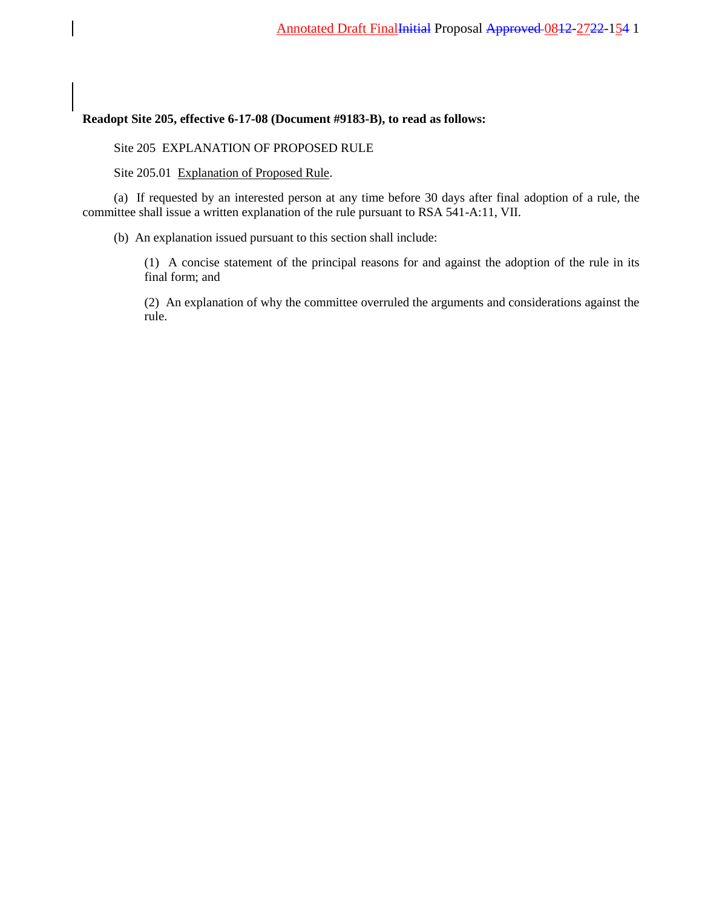## **Readopt Site 205, effective 6-17-08 (Document #9183-B), to read as follows:**

Site 205 EXPLANATION OF PROPOSED RULE

Site 205.01 Explanation of Proposed Rule.

(a) If requested by an interested person at any time before 30 days after final adoption of a rule, the committee shall issue a written explanation of the rule pursuant to RSA 541-A:11, VII.

(b) An explanation issued pursuant to this section shall include:

(1) A concise statement of the principal reasons for and against the adoption of the rule in its final form; and

(2) An explanation of why the committee overruled the arguments and considerations against the rule.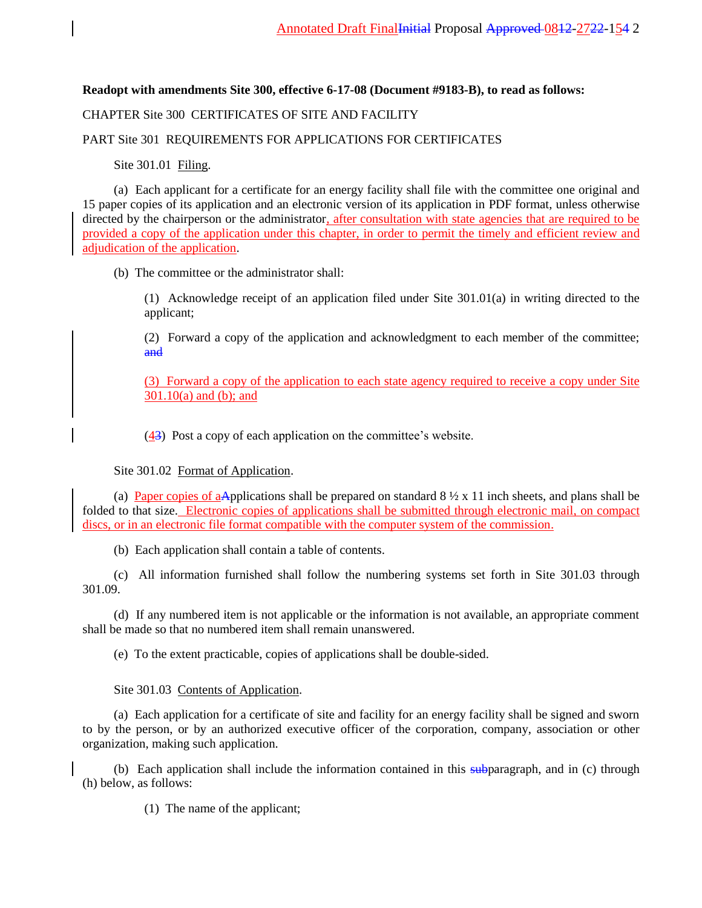**Readopt with amendments Site 300, effective 6-17-08 (Document #9183-B), to read as follows:**

# CHAPTER Site 300 CERTIFICATES OF SITE AND FACILITY

## PART Site 301 REQUIREMENTS FOR APPLICATIONS FOR CERTIFICATES

Site 301.01 Filing.

(a) Each applicant for a certificate for an energy facility shall file with the committee one original and 15 paper copies of its application and an electronic version of its application in PDF format, unless otherwise directed by the chairperson or the administrator, after consultation with state agencies that are required to be provided a copy of the application under this chapter, in order to permit the timely and efficient review and adjudication of the application.

## (b) The committee or the administrator shall:

(1) Acknowledge receipt of an application filed under Site 301.01(a) in writing directed to the applicant;

(2) Forward a copy of the application and acknowledgment to each member of the committee; and

(3) Forward a copy of the application to each state agency required to receive a copy under Site 301.10(a) and (b); and

 $\left(\frac{43}{3}\right)$  Post a copy of each application on the committee's website.

## Site 301.02 Format of Application.

(a) Paper copies of aApplications shall be prepared on standard  $8\frac{1}{2} \times 11$  inch sheets, and plans shall be folded to that size. Electronic copies of applications shall be submitted through electronic mail, on compact discs, or in an electronic file format compatible with the computer system of the commission.

(b) Each application shall contain a table of contents.

(c) All information furnished shall follow the numbering systems set forth in Site 301.03 through 301.09.

(d) If any numbered item is not applicable or the information is not available, an appropriate comment shall be made so that no numbered item shall remain unanswered.

(e) To the extent practicable, copies of applications shall be double-sided.

## Site 301.03 Contents of Application.

(a) Each application for a certificate of site and facility for an energy facility shall be signed and sworn to by the person, or by an authorized executive officer of the corporation, company, association or other organization, making such application.

(b) Each application shall include the information contained in this subparagraph, and in (c) through (h) below, as follows:

(1) The name of the applicant;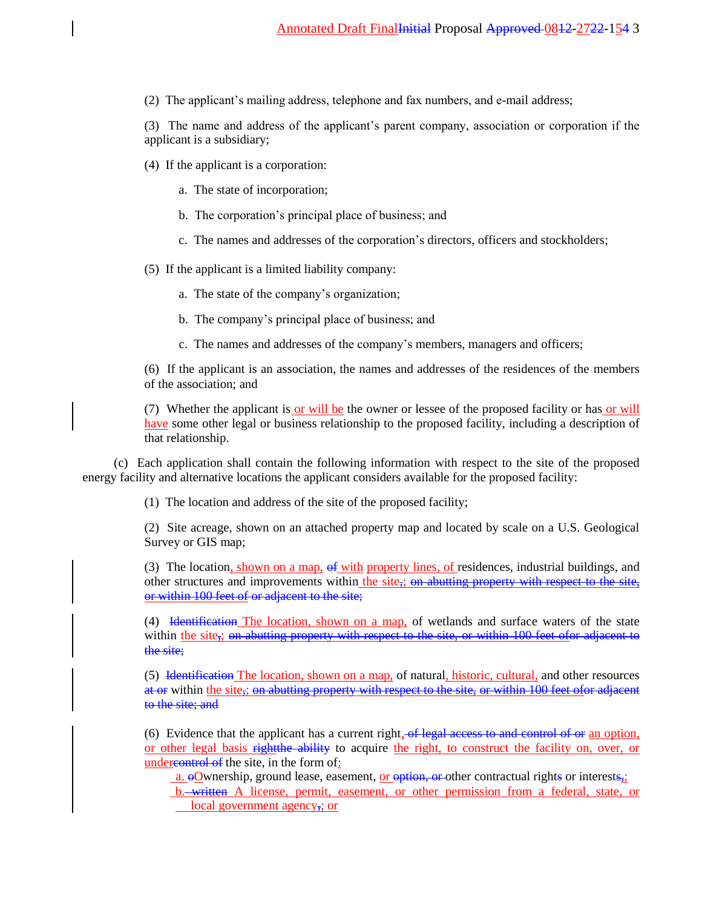(2) The applicant's mailing address, telephone and fax numbers, and e-mail address;

(3) The name and address of the applicant's parent company, association or corporation if the applicant is a subsidiary;

- (4) If the applicant is a corporation:
	- a. The state of incorporation;
	- b. The corporation's principal place of business; and
	- c. The names and addresses of the corporation's directors, officers and stockholders;

(5) If the applicant is a limited liability company:

- a. The state of the company's organization;
- b. The company's principal place of business; and
- c. The names and addresses of the company's members, managers and officers;

(6) If the applicant is an association, the names and addresses of the residences of the members of the association; and

(7) Whether the applicant is or will be the owner or lessee of the proposed facility or has or will have some other legal or business relationship to the proposed facility, including a description of that relationship.

(c) Each application shall contain the following information with respect to the site of the proposed energy facility and alternative locations the applicant considers available for the proposed facility:

(1) The location and address of the site of the proposed facility;

(2) Site acreage, shown on an attached property map and located by scale on a U.S. Geological Survey or GIS map;

(3) The location, shown on a map, of with property lines, of residences, industrial buildings, and other structures and improvements within the site<sub>s</sub>; on abutting property with respect to the site, or within 100 feet of or adjacent to the site;

(4) Identification The location, shown on a map, of wetlands and surface waters of the state within the site,; on abutting property with respect to the site, or within 100 feet of or adjacent to the site;

(5) Identification The location, shown on a map, of natural, historic, cultural, and other resources at or within the site,; on abutting property with respect to the site, or within 100 feet ofor adjacent to the site; and

(6) Evidence that the applicant has a current right,  $-$ of legal access to and control of or an option, or other legal basis rightthe ability to acquire the right, to construct the facility on, over, or undercontrol of the site, in the form of:

a.  $\Theta$ Ownership, ground lease, easement, or  $\Theta$ tion, or other contractual rights or interests,;

b. written A license, permit, easement, or other permission from a federal, state, or local government agency, or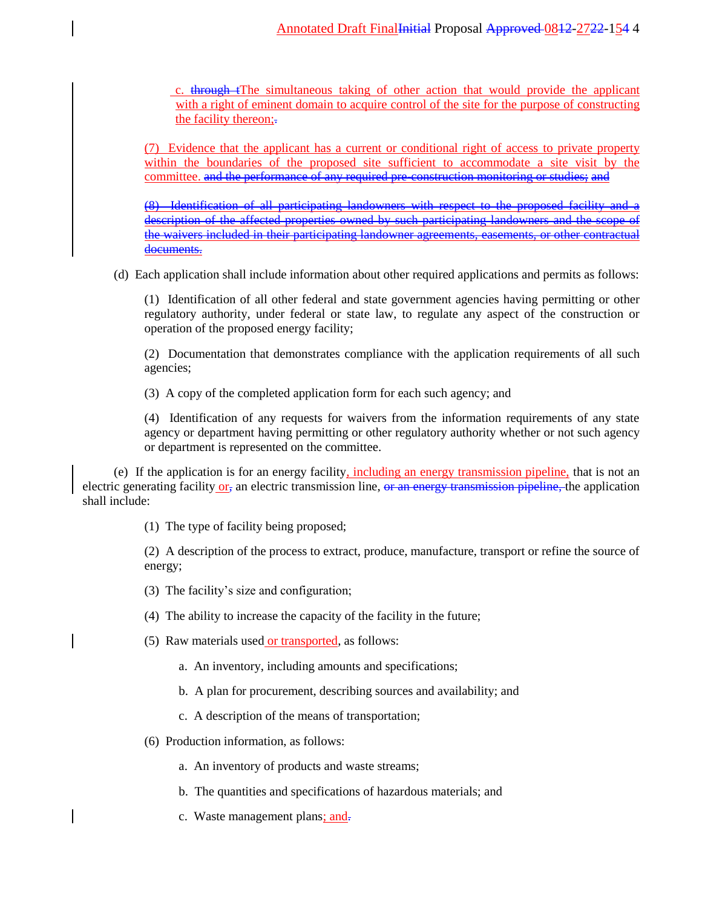c.  $t$  through  $t$ The simultaneous taking of other action that would provide the applicant with a right of eminent domain to acquire control of the site for the purpose of constructing the facility thereon;.

(7) Evidence that the applicant has a current or conditional right of access to private property within the boundaries of the proposed site sufficient to accommodate a site visit by the committee. and the performance of any required pre-construction monitoring or studies; and

(8) Identification of all participating landowners with respect to the proposed facility and description of the affected properties owned by such participating landowners and the scope the waivers included in their participating landowner agreements, easements, or other contractual documents.

(d) Each application shall include information about other required applications and permits as follows:

(1) Identification of all other federal and state government agencies having permitting or other regulatory authority, under federal or state law, to regulate any aspect of the construction or operation of the proposed energy facility;

(2) Documentation that demonstrates compliance with the application requirements of all such agencies;

(3) A copy of the completed application form for each such agency; and

(4) Identification of any requests for waivers from the information requirements of any state agency or department having permitting or other regulatory authority whether or not such agency or department is represented on the committee.

(e) If the application is for an energy facility, including an energy transmission pipeline, that is not an electric generating facility or, an electric transmission line, or an energy transmission pipeline, the application shall include:

(1) The type of facility being proposed;

(2) A description of the process to extract, produce, manufacture, transport or refine the source of energy;

- (3) The facility's size and configuration;
- (4) The ability to increase the capacity of the facility in the future;
- (5) Raw materials used or transported, as follows:
	- a. An inventory, including amounts and specifications;
	- b. A plan for procurement, describing sources and availability; and
	- c. A description of the means of transportation;
- (6) Production information, as follows:
	- a. An inventory of products and waste streams;
	- b. The quantities and specifications of hazardous materials; and
	- c. Waste management plans; and-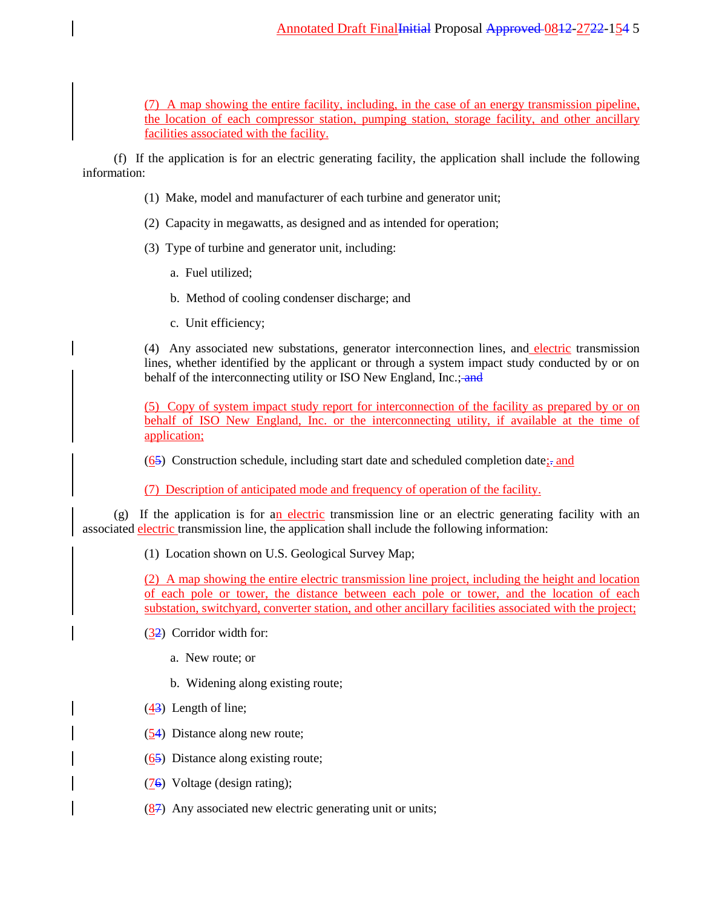# Annotated Draft FinalInitial Proposal Approved 0812-2722-154 5

(7) A map showing the entire facility, including, in the case of an energy transmission pipeline, the location of each compressor station, pumping station, storage facility, and other ancillary facilities associated with the facility.

(f) If the application is for an electric generating facility, the application shall include the following information:

- (1) Make, model and manufacturer of each turbine and generator unit;
- (2) Capacity in megawatts, as designed and as intended for operation;
- (3) Type of turbine and generator unit, including:
	- a. Fuel utilized;
	- b. Method of cooling condenser discharge; and
	- c. Unit efficiency;

(4) Any associated new substations, generator interconnection lines, and electric transmission lines, whether identified by the applicant or through a system impact study conducted by or on behalf of the interconnecting utility or ISO New England, Inc.; and

(5) Copy of system impact study report for interconnection of the facility as prepared by or on behalf of ISO New England, Inc. or the interconnecting utility, if available at the time of application;

 $(65)$  Construction schedule, including start date and scheduled completion date; $\frac{1}{2}$  and

(7) Description of anticipated mode and frequency of operation of the facility.

 $(g)$  If the application is for an electric transmission line or an electric generating facility with an associated electric transmission line, the application shall include the following information:

(1) Location shown on U.S. Geological Survey Map;

(2) A map showing the entire electric transmission line project, including the height and location of each pole or tower, the distance between each pole or tower, and the location of each substation, switchyard, converter station, and other ancillary facilities associated with the project;

- (32) Corridor width for:
	- a. New route; or
	- b. Widening along existing route;
- (43) Length of line;
- (54) Distance along new route;
- (65) Distance along existing route;
- (76) Voltage (design rating);
- (87) Any associated new electric generating unit or units;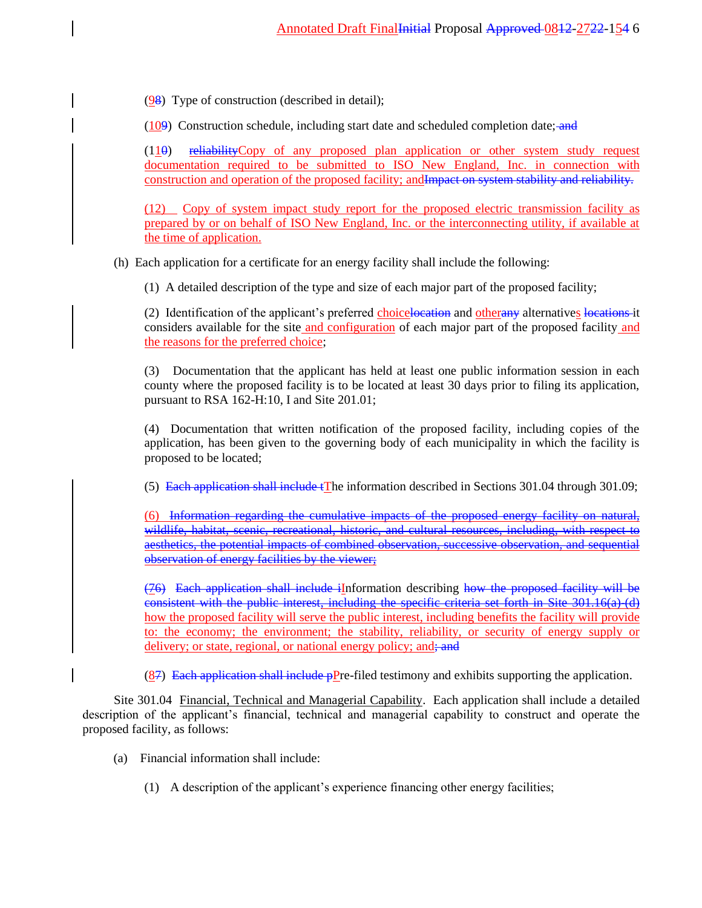$(98)$  Type of construction (described in detail);

(109) Construction schedule, including start date and scheduled completion date; and

(110) reliabilityCopy of any proposed plan application or other system study request documentation required to be submitted to ISO New England, Inc. in connection with construction and operation of the proposed facility; andImpact on system stability and reliability.

(12) Copy of system impact study report for the proposed electric transmission facility as prepared by or on behalf of ISO New England, Inc. or the interconnecting utility, if available at the time of application.

(h) Each application for a certificate for an energy facility shall include the following:

(1) A detailed description of the type and size of each major part of the proposed facility;

(2) Identification of the applicant's preferred choicelocation and otherany alternatives locations it considers available for the site and configuration of each major part of the proposed facility and the reasons for the preferred choice;

(3) Documentation that the applicant has held at least one public information session in each county where the proposed facility is to be located at least 30 days prior to filing its application, pursuant to RSA 162-H:10, I and Site 201.01;

(4) Documentation that written notification of the proposed facility, including copies of the application, has been given to the governing body of each municipality in which the facility is proposed to be located;

(5) Each application shall include tThe information described in Sections 301.04 through 301.09;

(6) Information regarding the cumulative impacts of the proposed energy facility on natural, wildlife, habitat, scenic, recreational, historic, and cultural resources, including, with respect to aesthetics, the potential impacts of combined observation, successive observation, and sequential observation of energy facilities by the viewer;

(76) Each application shall include iInformation describing how the proposed facility will be consistent with the public interest, including the specific criteria set forth in Site 301.16(a)-(d) how the proposed facility will serve the public interest, including benefits the facility will provide to: the economy; the environment; the stability, reliability, or security of energy supply or delivery; or state, regional, or national energy policy; and

 $(87)$  Each application shall include pPre-filed testimony and exhibits supporting the application.

Site 301.04 Financial, Technical and Managerial Capability. Each application shall include a detailed description of the applicant's financial, technical and managerial capability to construct and operate the proposed facility, as follows:

- (a) Financial information shall include:
	- (1) A description of the applicant's experience financing other energy facilities;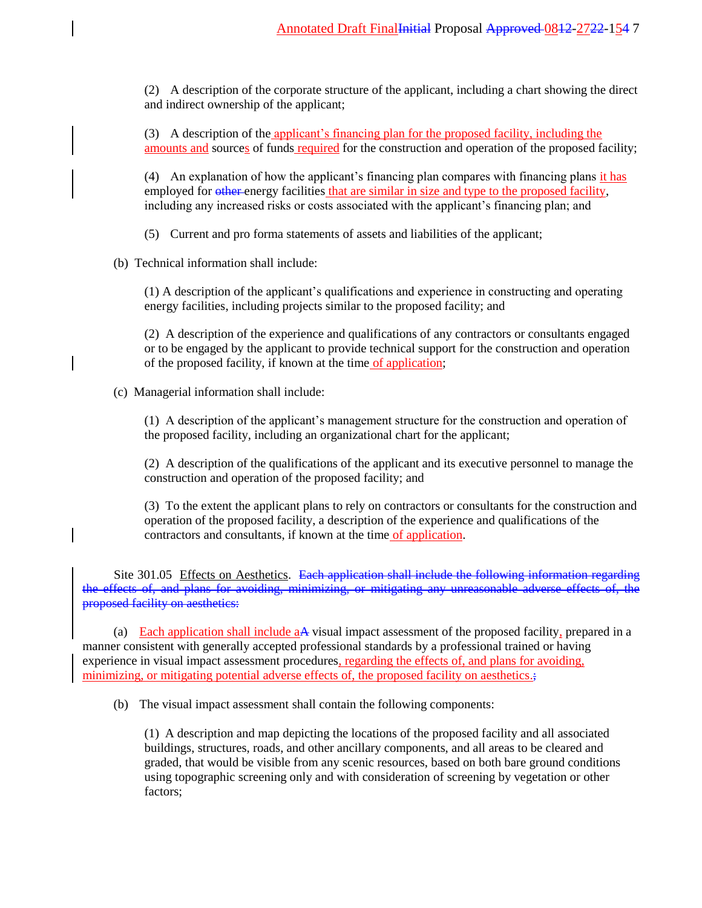(2) A description of the corporate structure of the applicant, including a chart showing the direct and indirect ownership of the applicant;

(3) A description of the applicant's financing plan for the proposed facility, including the amounts and sources of funds required for the construction and operation of the proposed facility;

(4) An explanation of how the applicant's financing plan compares with financing plans it has employed for other energy facilities that are similar in size and type to the proposed facility, including any increased risks or costs associated with the applicant's financing plan; and

(5) Current and pro forma statements of assets and liabilities of the applicant;

(b) Technical information shall include:

(1) A description of the applicant's qualifications and experience in constructing and operating energy facilities, including projects similar to the proposed facility; and

(2) A description of the experience and qualifications of any contractors or consultants engaged or to be engaged by the applicant to provide technical support for the construction and operation of the proposed facility, if known at the time of application;

(c) Managerial information shall include:

(1) A description of the applicant's management structure for the construction and operation of the proposed facility, including an organizational chart for the applicant;

(2) A description of the qualifications of the applicant and its executive personnel to manage the construction and operation of the proposed facility; and

(3) To the extent the applicant plans to rely on contractors or consultants for the construction and operation of the proposed facility, a description of the experience and qualifications of the contractors and consultants, if known at the time of application.

Site 301.05 Effects on Aesthetics. Each application shall include the following information regarding the effects of, and plans for avoiding, minimizing, or mitigating any unreasonable adverse effects of, the proposed facility on aesthetics:

(a) Each application shall include aA visual impact assessment of the proposed facility, prepared in a manner consistent with generally accepted professional standards by a professional trained or having experience in visual impact assessment procedures, regarding the effects of, and plans for avoiding, minimizing, or mitigating potential adverse effects of, the proposed facility on aesthetics.;

(b) The visual impact assessment shall contain the following components:

(1) A description and map depicting the locations of the proposed facility and all associated buildings, structures, roads, and other ancillary components, and all areas to be cleared and graded, that would be visible from any scenic resources, based on both bare ground conditions using topographic screening only and with consideration of screening by vegetation or other factors;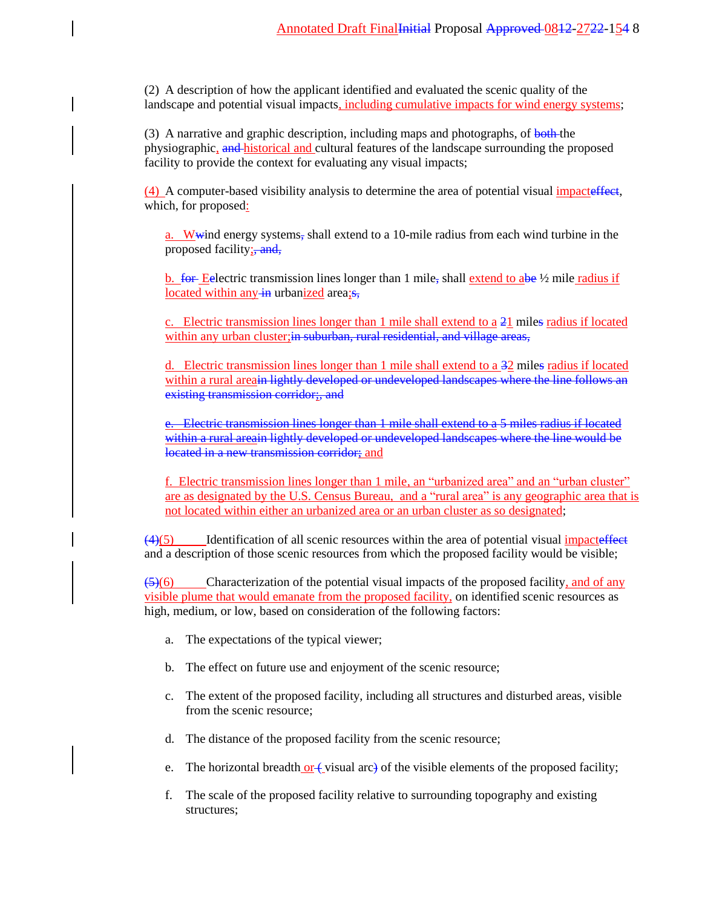(2) A description of how the applicant identified and evaluated the scenic quality of the landscape and potential visual impacts, including cumulative impacts for wind energy systems;

(3) A narrative and graphic description, including maps and photographs, of both the physiographic, and historical and cultural features of the landscape surrounding the proposed facility to provide the context for evaluating any visual impacts;

(4) A computer-based visibility analysis to determine the area of potential visual impacteffect, which, for proposed:

a. Wwind energy systems, shall extend to a 10-mile radius from each wind turbine in the proposed facility; and,

b. for Eelectric transmission lines longer than 1 mile, shall extend to abe  $\frac{1}{2}$  mile radius if located within any  $\frac{1}{2}$  urbanized area; s,

c. Electric transmission lines longer than 1 mile shall extend to a 21 miles radius if located within any urban cluster; in suburban, rural residential, and village areas,

d. Electric transmission lines longer than 1 mile shall extend to a 32 miles radius if located within a rural areain lightly developed or undeveloped landscapes where the line follows an existing transmission corridor;, and

e. Electric transmission lines longer than 1 mile shall extend to a 5 miles radius if located within a rural areain lightly developed or undeveloped landscapes where the line would be located in a new transmission corridor; and

f. Electric transmission lines longer than 1 mile, an "urbanized area" and an "urban cluster" are as designated by the U.S. Census Bureau, and a "rural area" is any geographic area that is not located within either an urbanized area or an urban cluster as so designated;

 $\left(4\right)$ (5) Identification of all scenic resources within the area of potential visual impacteffect and a description of those scenic resources from which the proposed facility would be visible;

 $\left( \frac{5}{6} \right)$  Characterization of the potential visual impacts of the proposed facility, and of any visible plume that would emanate from the proposed facility, on identified scenic resources as high, medium, or low, based on consideration of the following factors:

- a. The expectations of the typical viewer;
- b. The effect on future use and enjoyment of the scenic resource;
- c. The extent of the proposed facility, including all structures and disturbed areas, visible from the scenic resource;
- d. The distance of the proposed facility from the scenic resource;
- e. The horizontal breadth  $or$  (visual arc) of the visible elements of the proposed facility;
- f. The scale of the proposed facility relative to surrounding topography and existing structures;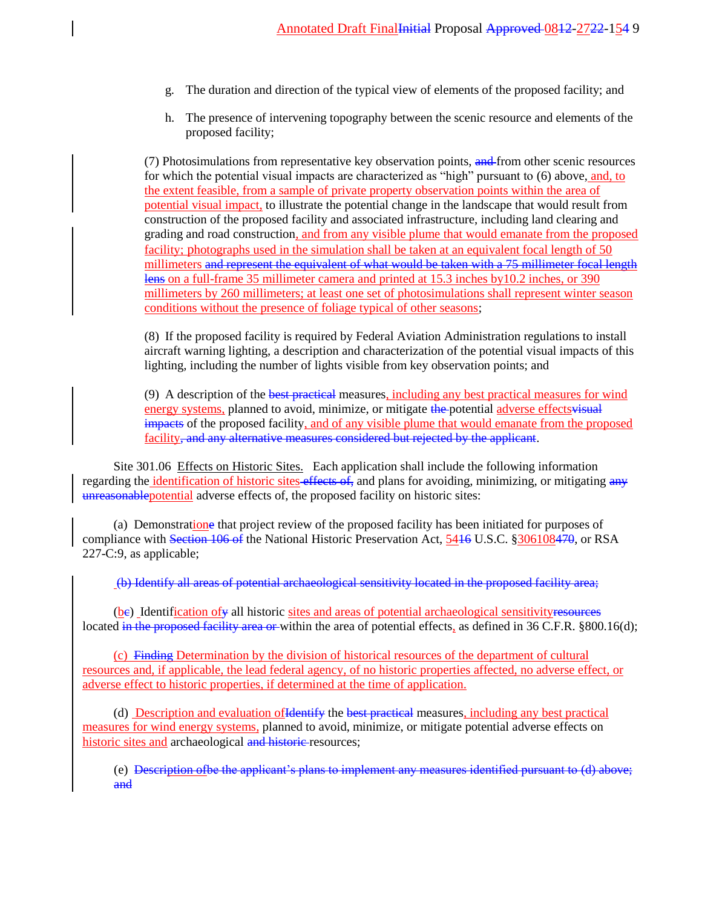- g. The duration and direction of the typical view of elements of the proposed facility; and
- h. The presence of intervening topography between the scenic resource and elements of the proposed facility;

(7) Photosimulations from representative key observation points, and from other scenic resources for which the potential visual impacts are characterized as "high" pursuant to (6) above, and, to the extent feasible, from a sample of private property observation points within the area of potential visual impact, to illustrate the potential change in the landscape that would result from construction of the proposed facility and associated infrastructure, including land clearing and grading and road construction, and from any visible plume that would emanate from the proposed facility; photographs used in the simulation shall be taken at an equivalent focal length of 50 millimeters and represent the equivalent of what would be taken with a 75 millimeter focal length lens on a full-frame 35 millimeter camera and printed at 15.3 inches by 10.2 inches, or 390 millimeters by 260 millimeters; at least one set of photosimulations shall represent winter season conditions without the presence of foliage typical of other seasons;

(8) If the proposed facility is required by Federal Aviation Administration regulations to install aircraft warning lighting, a description and characterization of the potential visual impacts of this lighting, including the number of lights visible from key observation points; and

(9) A description of the best practical measures, including any best practical measures for wind energy systems, planned to avoid, minimize, or mitigate the potential adverse effects visual impacts of the proposed facility, and of any visible plume that would emanate from the proposed facility, and any alternative measures considered but rejected by the applicant.

Site 301.06 Effects on Historic Sites. Each application shall include the following information regarding the identification of historic sites effects of, and plans for avoiding, minimizing, or mitigating any unreasonablepotential adverse effects of, the proposed facility on historic sites:

(a) Demonstratione that project review of the proposed facility has been initiated for purposes of compliance with Section 106 of the National Historic Preservation Act, 5416 U.S.C. §306108470, or RSA 227-C:9, as applicable;

(b) Identify all areas of potential archaeological sensitivity located in the proposed facility area;

 $(be)$  Identification of  $\psi$  all historic sites and areas of potential archaeological sensitivity resources located in the proposed facility area or within the area of potential effects, as defined in 36 C.F.R. §800.16(d);

(c) Finding Determination by the division of historical resources of the department of cultural resources and, if applicable, the lead federal agency, of no historic properties affected, no adverse effect, or adverse effect to historic properties, if determined at the time of application.

(d) Description and evaluation of Identify the best practical measures, including any best practical measures for wind energy systems, planned to avoid, minimize, or mitigate potential adverse effects on historic sites and archaeological and historic resources;

(e) Description ofbe the applicant's plans to implement any measures identified pursuant to (d) above; and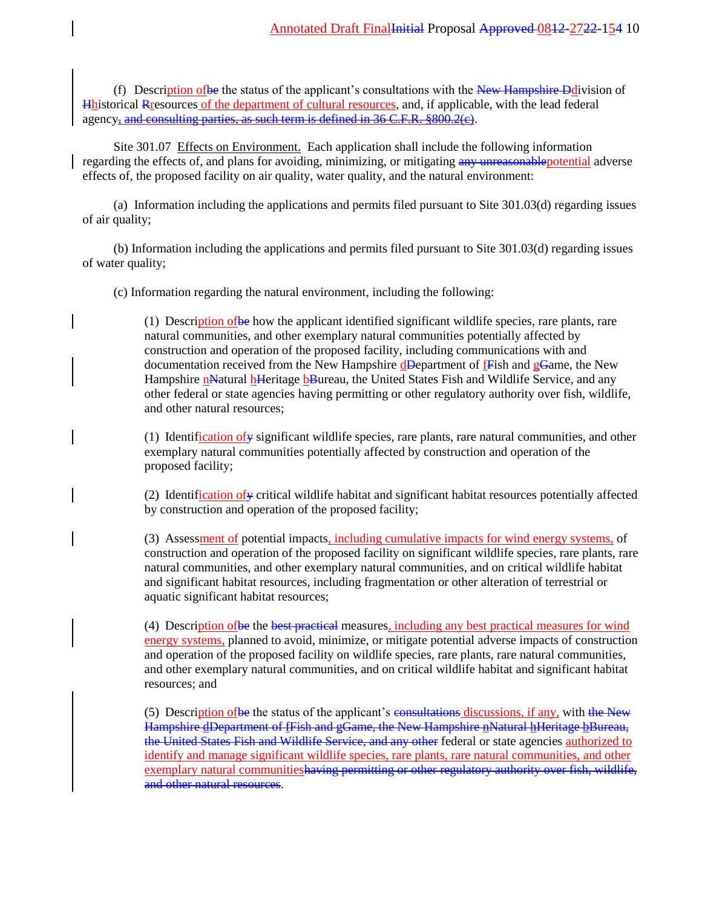(f) Description of be the status of the applicant's consultations with the  $New$  Hampshire Ddivision of Hhistorical Rresources of the department of cultural resources, and, if applicable, with the lead federal agency, and consulting parties, as such term is defined in 36 C.F.R. §800.2(c).

Site 301.07 Effects on Environment. Each application shall include the following information regarding the effects of, and plans for avoiding, minimizing, or mitigating any unreasonable potential adverse effects of, the proposed facility on air quality, water quality, and the natural environment:

(a) Information including the applications and permits filed pursuant to Site 301.03(d) regarding issues of air quality;

(b) Information including the applications and permits filed pursuant to Site 301.03(d) regarding issues of water quality;

(c) Information regarding the natural environment, including the following:

(1) Description ofbe how the applicant identified significant wildlife species, rare plants, rare natural communities, and other exemplary natural communities potentially affected by construction and operation of the proposed facility, including communications with and documentation received from the New Hampshire  $d$ **Department of F**ish and  $g$ **Game**, the New Hampshire nNatural hHeritage bBureau, the United States Fish and Wildlife Service, and any other federal or state agencies having permitting or other regulatory authority over fish, wildlife, and other natural resources;

(1) Identification of  $\gamma$  significant wildlife species, rare plants, rare natural communities, and other exemplary natural communities potentially affected by construction and operation of the proposed facility;

(2) Identification of  $\psi$  critical wildlife habitat and significant habitat resources potentially affected by construction and operation of the proposed facility;

(3) Assessment of potential impacts, including cumulative impacts for wind energy systems, of construction and operation of the proposed facility on significant wildlife species, rare plants, rare natural communities, and other exemplary natural communities, and on critical wildlife habitat and significant habitat resources, including fragmentation or other alteration of terrestrial or aquatic significant habitat resources;

(4) Description of be the best practical measures, including any best practical measures for wind energy systems, planned to avoid, minimize, or mitigate potential adverse impacts of construction and operation of the proposed facility on wildlife species, rare plants, rare natural communities, and other exemplary natural communities, and on critical wildlife habitat and significant habitat resources; and

(5) Description of be the status of the applicant's consultations discussions, if any, with the New Hampshire dDepartment of fFish and gGame, the New Hampshire nNatural hHeritage bBureau, the United States Fish and Wildlife Service, and any other federal or state agencies authorized to identify and manage significant wildlife species, rare plants, rare natural communities, and other exemplary natural communitieshaving permitting or other regulatory authority over fish, wildlife, and other natural resources.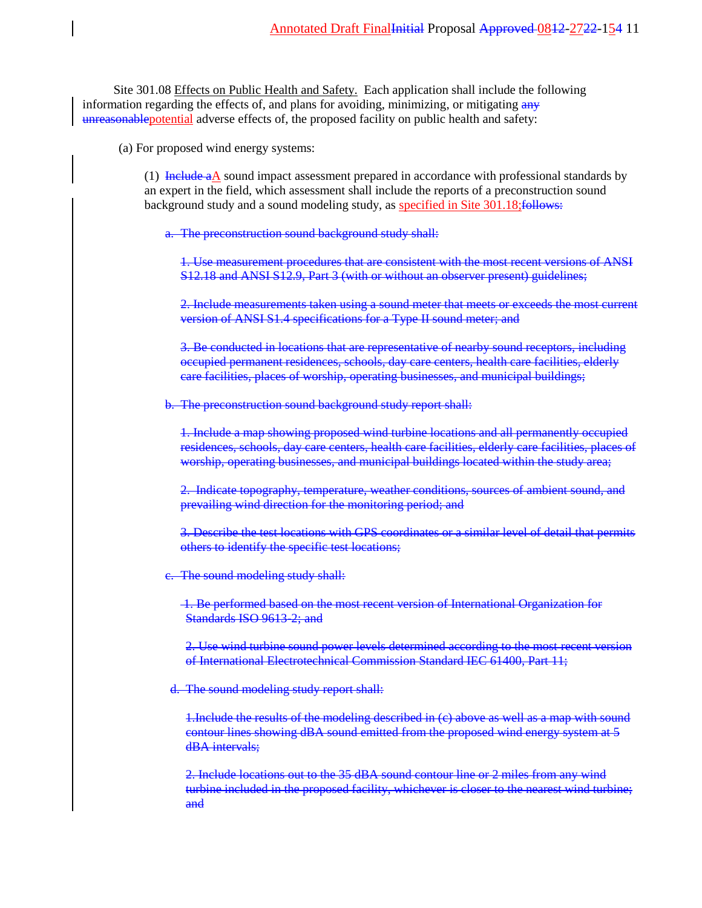Site 301.08 Effects on Public Health and Safety. Each application shall include the following information regarding the effects of, and plans for avoiding, minimizing, or mitigating any unreasonablepotential adverse effects of, the proposed facility on public health and safety:

(a) For proposed wind energy systems:

(1) Include  $a\Delta$  sound impact assessment prepared in accordance with professional standards by an expert in the field, which assessment shall include the reports of a preconstruction sound background study and a sound modeling study, as specified in Site 301.18; follows:

a. The preconstruction sound background study shall:

1. Use measurement procedures that are consistent with the most recent versions of ANSI S12.18 and ANSI S12.9, Part 3 (with or without an observer present) guidelines;

2. Include measurements taken using a sound meter that meets or exceeds the most current version of ANSI S1.4 specifications for a Type II sound meter; and

3. Be conducted in locations that are representative of nearby sound receptors, including occupied permanent residences, schools, day care centers, health care facilities, elderly care facilities, places of worship, operating businesses, and municipal buildings;

b. The preconstruction sound background study report shall:

1. Include a map showing proposed wind turbine locations and all permanently occupied residences, schools, day care centers, health care facilities, elderly care facilities, places of worship, operating businesses, and municipal buildings located within the study area;

2. Indicate topography, temperature, weather conditions, sources of ambient sound, and prevailing wind direction for the monitoring period; and

3. Describe the test locations with GPS coordinates or a similar level of detail that permits others to identify the specific test locations;

c. The sound modeling study shall:

1. Be performed based on the most recent version of International Organization for Standards ISO 9613-2; and

2. Use wind turbine sound power levels determined according to the most recent version of International Electrotechnical Commission Standard IEC 61400, Part 11;

d. The sound modeling study report shall:

1.Include the results of the modeling described in (c) above as well as a map with sound contour lines showing dBA sound emitted from the proposed wind energy system at 5 dBA intervals;

2. Include locations out to the 35 dBA sound contour line or 2 miles from any wind turbine included in the proposed facility, whichever is closer to the nearest wind turbine; and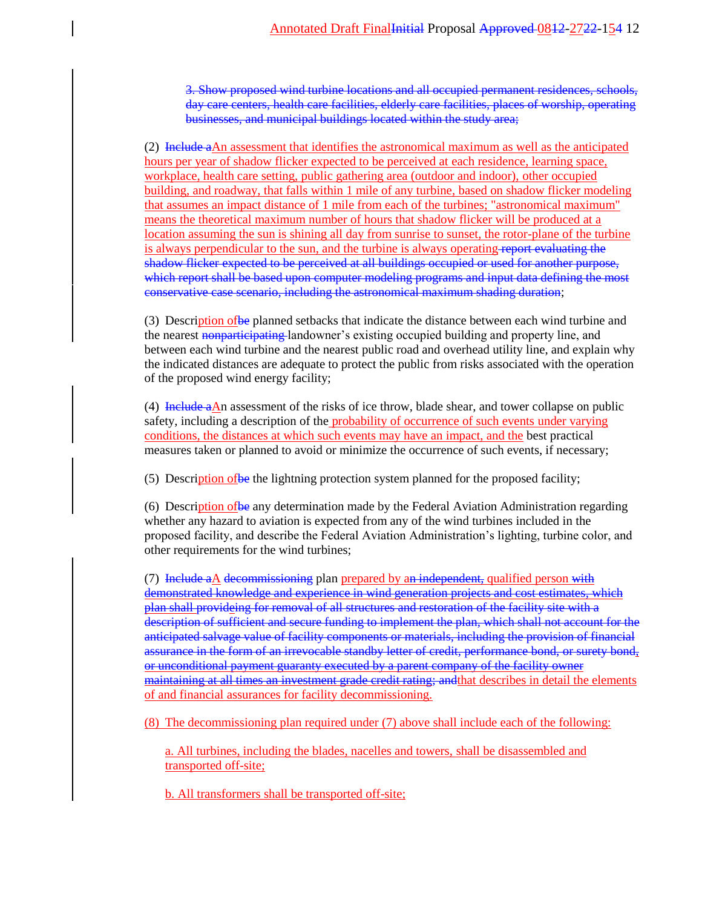3. Show proposed wind turbine locations and all occupied permanent residences, schools, day care centers, health care facilities, elderly care facilities, places of worship, operating businesses, and municipal buildings located within the study area;

(2) Include aAn assessment that identifies the astronomical maximum as well as the anticipated hours per year of shadow flicker expected to be perceived at each residence, learning space, workplace, health care setting, public gathering area (outdoor and indoor), other occupied building, and roadway, that falls within 1 mile of any turbine, based on shadow flicker modeling that assumes an impact distance of 1 mile from each of the turbines; "astronomical maximum" means the theoretical maximum number of hours that shadow flicker will be produced at a location assuming the sun is shining all day from sunrise to sunset, the rotor-plane of the turbine is always perpendicular to the sun, and the turbine is always operating report evaluating the shadow flicker expected to be perceived at all buildings occupied or used for another purpose, which report shall be based upon computer modeling programs and input data defining the most conservative case scenario, including the astronomical maximum shading duration;

(3) Description of be planned setbacks that indicate the distance between each wind turbine and the nearest nonparticipating landowner's existing occupied building and property line, and between each wind turbine and the nearest public road and overhead utility line, and explain why the indicated distances are adequate to protect the public from risks associated with the operation of the proposed wind energy facility;

(4) Include aAn assessment of the risks of ice throw, blade shear, and tower collapse on public safety, including a description of the probability of occurrence of such events under varying conditions, the distances at which such events may have an impact, and the best practical measures taken or planned to avoid or minimize the occurrence of such events, if necessary;

(5) Description ofbe the lightning protection system planned for the proposed facility;

(6) Description ofbe any determination made by the Federal Aviation Administration regarding whether any hazard to aviation is expected from any of the wind turbines included in the proposed facility, and describe the Federal Aviation Administration's lighting, turbine color, and other requirements for the wind turbines;

(7) Include  $a\underline{A}$  decommissioning plan prepared by an independent, qualified person with demonstrated knowledge and experience in wind generation projects and cost estimates, which plan shall provideing for removal of all structures and restoration of the facility site with a description of sufficient and secure funding to implement the plan, which shall not account for the anticipated salvage value of facility components or materials, including the provision of financial assurance in the form of an irrevocable standby letter of credit, performance bond, or surety bond, or unconditional payment guaranty executed by a parent company of the facility owner maintaining at all times an investment grade credit rating; and that describes in detail the elements of and financial assurances for facility decommissioning.

(8) The decommissioning plan required under (7) above shall include each of the following:

a. All turbines, including the blades, nacelles and towers, shall be disassembled and transported off-site;

b. All transformers shall be transported off-site;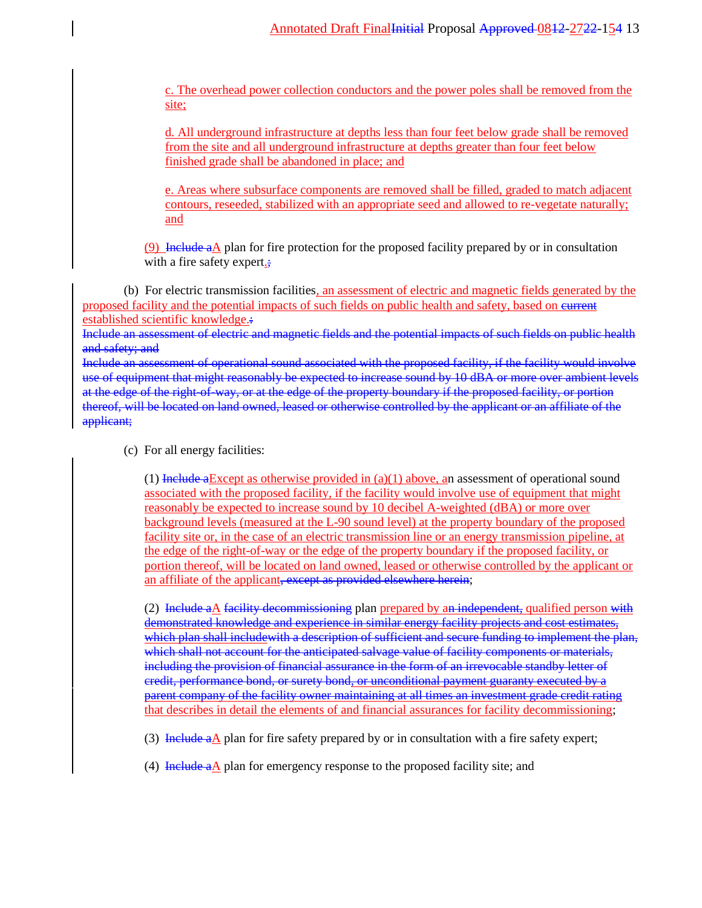c. The overhead power collection conductors and the power poles shall be removed from the site;

d. All underground infrastructure at depths less than four feet below grade shall be removed from the site and all underground infrastructure at depths greater than four feet below finished grade shall be abandoned in place; and

e. Areas where subsurface components are removed shall be filled, graded to match adjacent contours, reseeded, stabilized with an appropriate seed and allowed to re-vegetate naturally; and

(9) Include aA plan for fire protection for the proposed facility prepared by or in consultation with a fire safety expert.;

(b) For electric transmission facilities, an assessment of electric and magnetic fields generated by the proposed facility and the potential impacts of such fields on public health and safety, based on current established scientific knowledge.:

Include an assessment of electric and magnetic fields and the potential impacts of such fields on public health and safety; and

Include an assessment of operational sound associated with the proposed facility, if the facility would involve use of equipment that might reasonably be expected to increase sound by 10 dBA or more over ambient levels at the edge of the right-of-way, or at the edge of the property boundary if the proposed facility, or portion thereof, will be located on land owned, leased or otherwise controlled by the applicant or an affiliate of the applicant;

(c) For all energy facilities:

(1) Include a Except as otherwise provided in  $(a)(1)$  above, an assessment of operational sound associated with the proposed facility, if the facility would involve use of equipment that might reasonably be expected to increase sound by 10 decibel A-weighted (dBA) or more over background levels (measured at the L-90 sound level) at the property boundary of the proposed facility site or, in the case of an electric transmission line or an energy transmission pipeline, at the edge of the right-of-way or the edge of the property boundary if the proposed facility, or portion thereof, will be located on land owned, leased or otherwise controlled by the applicant or an affiliate of the applicant, except as provided elsewhere herein;

(2) Include a $\Delta$  facility decommissioning plan prepared by an independent, qualified person with demonstrated knowledge and experience in similar energy facility projects and cost estimates, which plan shall includewith a description of sufficient and secure funding to implement the plan, which shall not account for the anticipated salvage value of facility components or materials, including the provision of financial assurance in the form of an irrevocable standby letter of credit, performance bond, or surety bond, or unconditional payment guaranty executed by a parent company of the facility owner maintaining at all times an investment grade credit rating that describes in detail the elements of and financial assurances for facility decommissioning;

- (3) Include  $a\Delta$  plan for fire safety prepared by or in consultation with a fire safety expert;
- (4) Include  $a\Delta$  plan for emergency response to the proposed facility site; and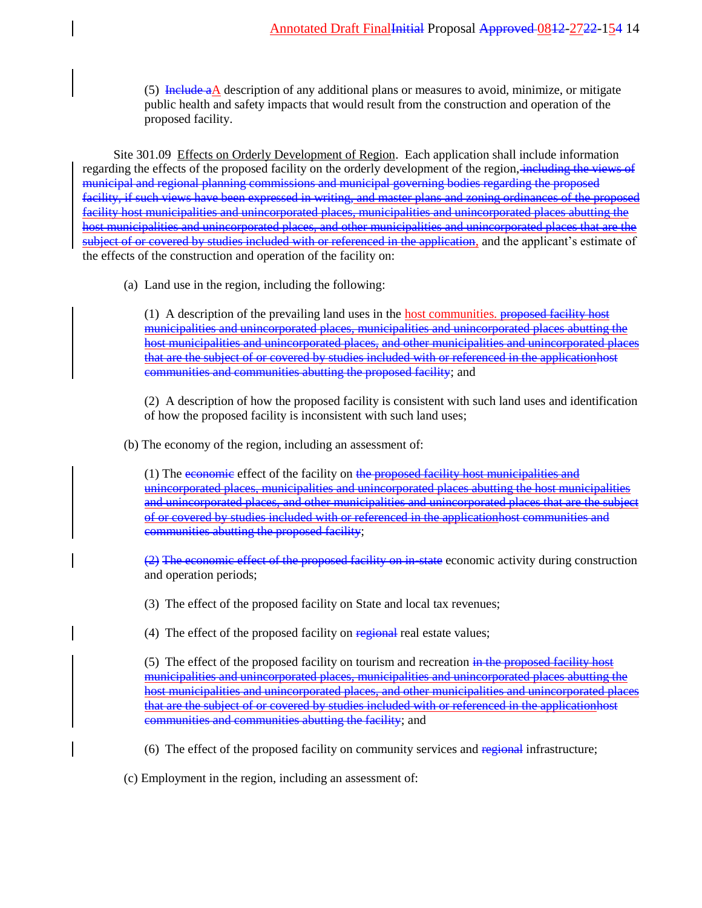(5) Include aA description of any additional plans or measures to avoid, minimize, or mitigate public health and safety impacts that would result from the construction and operation of the proposed facility.

Site 301.09 Effects on Orderly Development of Region. Each application shall include information regarding the effects of the proposed facility on the orderly development of the region, including the views of municipal and regional planning commissions and municipal governing bodies regarding the proposed facility, if such views have been expressed in writing, and master plans and zoning ordinances of the proposed facility host municipalities and unincorporated places, municipalities and unincorporated places abutting the host municipalities and unincorporated places, and other municipalities and unincorporated places that are the subject of or covered by studies included with or referenced in the application, and the applicant's estimate of the effects of the construction and operation of the facility on:

(a) Land use in the region, including the following:

(1) A description of the prevailing land uses in the host communities. <del>proposed facility host</del> municipalities and unincorporated places, municipalities and unincorporated places abutting the host municipalities and unincorporated places, and other municipalities and unincorporated places that are the subject of or covered by studies included with or referenced in the applicationhost communities and communities abutting the proposed facility; and

(2) A description of how the proposed facility is consistent with such land uses and identification of how the proposed facility is inconsistent with such land uses;

(b) The economy of the region, including an assessment of:

(1) The economic effect of the facility on the proposed facility host municipalities and unincorporated places, municipalities and unincorporated places abutting the host municipalities and unincorporated places, and other municipalities and unincorporated places that are the subject of or covered by studies included with or referenced in the applicationhost communities and communities abutting the proposed facility;

(2) The economic effect of the proposed facility on in-state economic activity during construction and operation periods;

(3) The effect of the proposed facility on State and local tax revenues;

(4) The effect of the proposed facility on regional real estate values;

(5) The effect of the proposed facility on tourism and recreation in the proposed facility host municipalities and unincorporated places, municipalities and unincorporated places abutting the host municipalities and unincorporated places, and other municipalities and unincorporated places that are the subject of or covered by studies included with or referenced in the applicationhost communities and communities abutting the facility; and

(6) The effect of the proposed facility on community services and regional infrastructure;

(c) Employment in the region, including an assessment of: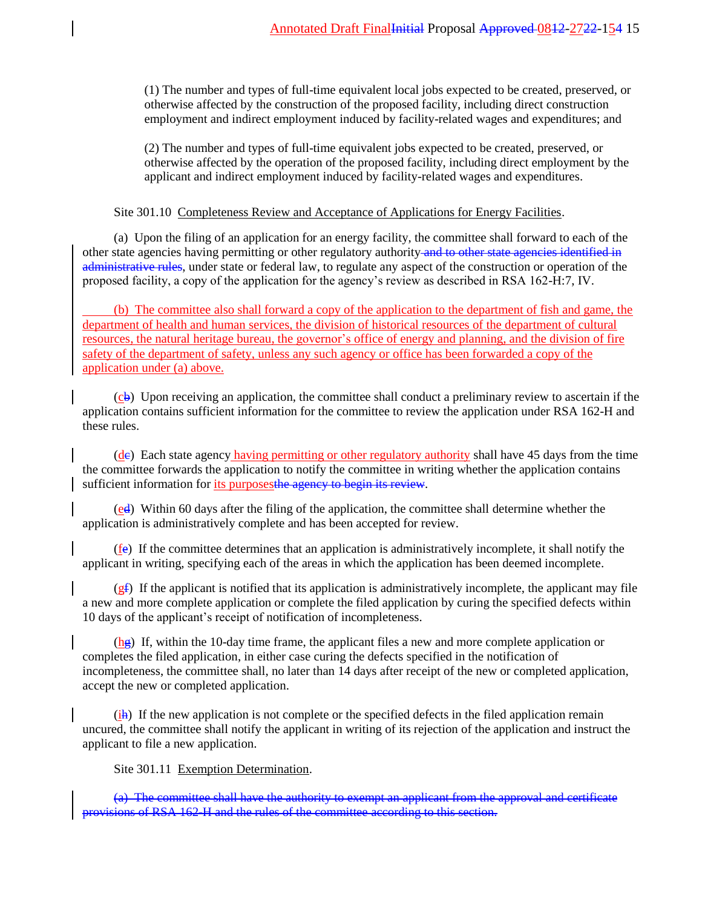(1) The number and types of full-time equivalent local jobs expected to be created, preserved, or otherwise affected by the construction of the proposed facility, including direct construction employment and indirect employment induced by facility-related wages and expenditures; and

(2) The number and types of full-time equivalent jobs expected to be created, preserved, or otherwise affected by the operation of the proposed facility, including direct employment by the applicant and indirect employment induced by facility-related wages and expenditures.

Site 301.10 Completeness Review and Acceptance of Applications for Energy Facilities.

(a) Upon the filing of an application for an energy facility, the committee shall forward to each of the other state agencies having permitting or other regulatory authority and to other state agencies identified in administrative rules, under state or federal law, to regulate any aspect of the construction or operation of the proposed facility, a copy of the application for the agency's review as described in RSA 162-H:7, IV.

(b) The committee also shall forward a copy of the application to the department of fish and game, the department of health and human services, the division of historical resources of the department of cultural resources, the natural heritage bureau, the governor's office of energy and planning, and the division of fire safety of the department of safety, unless any such agency or office has been forwarded a copy of the application under (a) above.

 $(c<sub>b</sub>)$  Upon receiving an application, the committee shall conduct a preliminary review to ascertain if the application contains sufficient information for the committee to review the application under RSA 162-H and these rules.

(de) Each state agency having permitting or other regulatory authority shall have 45 days from the time the committee forwards the application to notify the committee in writing whether the application contains sufficient information for its purposes the agency to begin its review.

 $\left(\frac{ed}{ed}\right)$  Within 60 days after the filing of the application, the committee shall determine whether the application is administratively complete and has been accepted for review.

(fe) If the committee determines that an application is administratively incomplete, it shall notify the applicant in writing, specifying each of the areas in which the application has been deemed incomplete.

 $(gf)$  If the applicant is notified that its application is administratively incomplete, the applicant may file a new and more complete application or complete the filed application by curing the specified defects within 10 days of the applicant's receipt of notification of incompleteness.

 $(\frac{h\cdot g}{g})$  If, within the 10-day time frame, the applicant files a new and more complete application or completes the filed application, in either case curing the defects specified in the notification of incompleteness, the committee shall, no later than 14 days after receipt of the new or completed application, accept the new or completed application.

(ih) If the new application is not complete or the specified defects in the filed application remain uncured, the committee shall notify the applicant in writing of its rejection of the application and instruct the applicant to file a new application.

Site 301.11 Exemption Determination.

(a) The committee shall have the authority to exempt an applicant from the approval and certificate provisions of RSA 162-H and the rules of the committee according to this section.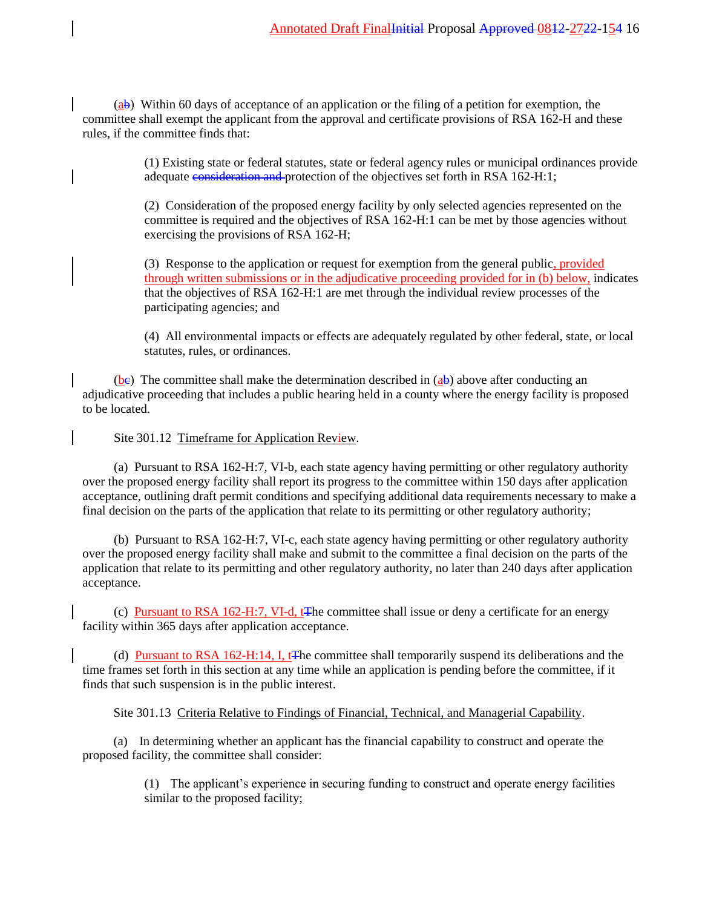$(a\bar{b})$  Within 60 days of acceptance of an application or the filing of a petition for exemption, the committee shall exempt the applicant from the approval and certificate provisions of RSA 162-H and these rules, if the committee finds that:

> (1) Existing state or federal statutes, state or federal agency rules or municipal ordinances provide adequate consideration and protection of the objectives set forth in RSA 162-H:1;

(2) Consideration of the proposed energy facility by only selected agencies represented on the committee is required and the objectives of RSA 162-H:1 can be met by those agencies without exercising the provisions of RSA 162-H;

(3) Response to the application or request for exemption from the general public, provided through written submissions or in the adjudicative proceeding provided for in (b) below, indicates that the objectives of RSA 162-H:1 are met through the individual review processes of the participating agencies; and

(4) All environmental impacts or effects are adequately regulated by other federal, state, or local statutes, rules, or ordinances.

(be) The committee shall make the determination described in  $(a\bar{b})$  above after conducting an adjudicative proceeding that includes a public hearing held in a county where the energy facility is proposed to be located.

Site 301.12 Timeframe for Application Review.

(a) Pursuant to RSA 162-H:7, VI-b, each state agency having permitting or other regulatory authority over the proposed energy facility shall report its progress to the committee within 150 days after application acceptance, outlining draft permit conditions and specifying additional data requirements necessary to make a final decision on the parts of the application that relate to its permitting or other regulatory authority;

(b) Pursuant to RSA 162-H:7, VI-c, each state agency having permitting or other regulatory authority over the proposed energy facility shall make and submit to the committee a final decision on the parts of the application that relate to its permitting and other regulatory authority, no later than 240 days after application acceptance.

(c) Pursuant to RSA 162-H:7, VI-d, tThe committee shall issue or deny a certificate for an energy facility within 365 days after application acceptance.

(d) Pursuant to RSA 162-H:14, I, t<sub>T</sub>he committee shall temporarily suspend its deliberations and the time frames set forth in this section at any time while an application is pending before the committee, if it finds that such suspension is in the public interest.

Site 301.13 Criteria Relative to Findings of Financial, Technical, and Managerial Capability.

(a) In determining whether an applicant has the financial capability to construct and operate the proposed facility, the committee shall consider:

> (1) The applicant's experience in securing funding to construct and operate energy facilities similar to the proposed facility;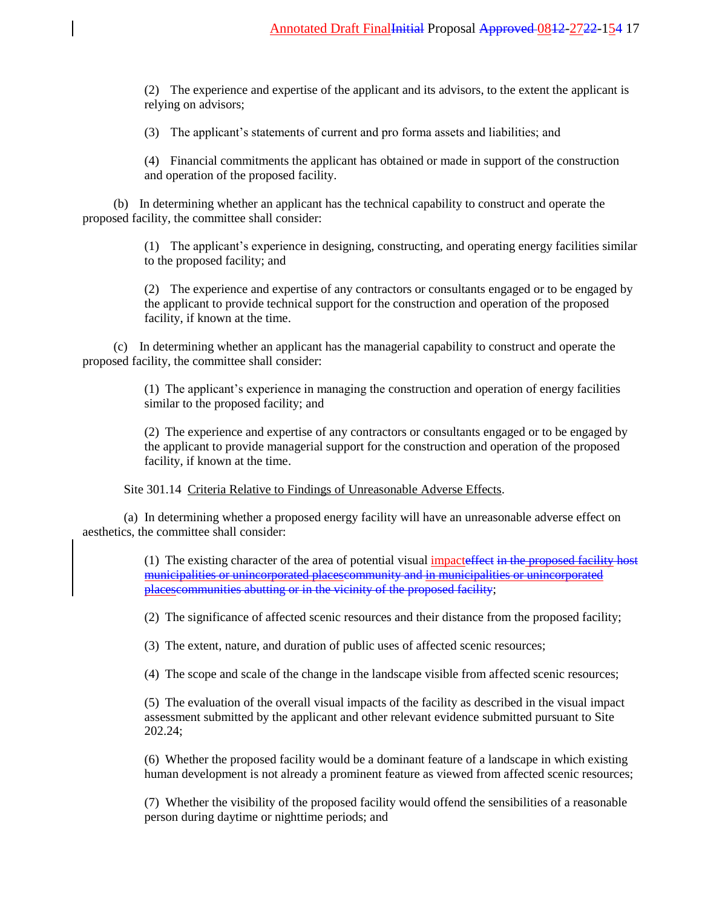(2) The experience and expertise of the applicant and its advisors, to the extent the applicant is relying on advisors;

(3) The applicant's statements of current and pro forma assets and liabilities; and

(4) Financial commitments the applicant has obtained or made in support of the construction and operation of the proposed facility.

(b) In determining whether an applicant has the technical capability to construct and operate the proposed facility, the committee shall consider:

> (1) The applicant's experience in designing, constructing, and operating energy facilities similar to the proposed facility; and

> (2) The experience and expertise of any contractors or consultants engaged or to be engaged by the applicant to provide technical support for the construction and operation of the proposed facility, if known at the time.

(c) In determining whether an applicant has the managerial capability to construct and operate the proposed facility, the committee shall consider:

> (1) The applicant's experience in managing the construction and operation of energy facilities similar to the proposed facility; and

(2) The experience and expertise of any contractors or consultants engaged or to be engaged by the applicant to provide managerial support for the construction and operation of the proposed facility, if known at the time.

Site 301.14 Criteria Relative to Findings of Unreasonable Adverse Effects.

(a) In determining whether a proposed energy facility will have an unreasonable adverse effect on aesthetics, the committee shall consider:

> (1) The existing character of the area of potential visual impacteffect in the proposed facility host municipalities or unincorporated placescommunity and in municipalities or unincorporated placescommunities abutting or in the vicinity of the proposed facility;

(2) The significance of affected scenic resources and their distance from the proposed facility;

(3) The extent, nature, and duration of public uses of affected scenic resources;

(4) The scope and scale of the change in the landscape visible from affected scenic resources;

(5) The evaluation of the overall visual impacts of the facility as described in the visual impact assessment submitted by the applicant and other relevant evidence submitted pursuant to Site 202.24;

(6) Whether the proposed facility would be a dominant feature of a landscape in which existing human development is not already a prominent feature as viewed from affected scenic resources;

(7) Whether the visibility of the proposed facility would offend the sensibilities of a reasonable person during daytime or nighttime periods; and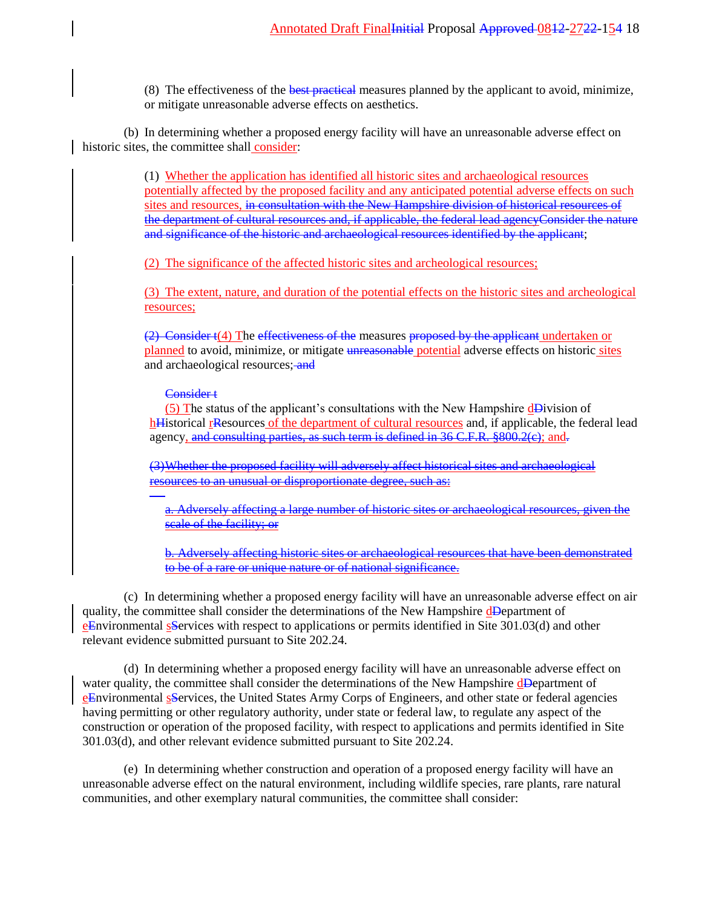(8) The effectiveness of the best practical measures planned by the applicant to avoid, minimize, or mitigate unreasonable adverse effects on aesthetics.

(b) In determining whether a proposed energy facility will have an unreasonable adverse effect on historic sites, the committee shall consider:

> (1) Whether the application has identified all historic sites and archaeological resources potentially affected by the proposed facility and any anticipated potential adverse effects on such sites and resources, in consultation with the New Hampshire division of historical resources of the department of cultural resources and, if applicable, the federal lead agencyConsider the nature and significance of the historic and archaeological resources identified by the applicant;

(2) The significance of the affected historic sites and archeological resources;

(3) The extent, nature, and duration of the potential effects on the historic sites and archeological resources;

(2) Consider t(4) The effectiveness of the measures proposed by the applicant undertaken or planned to avoid, minimize, or mitigate unreasonable potential adverse effects on historic sites and archaeological resources; and

Consider<sub>t</sub>

(5) The status of the applicant's consultations with the New Hampshire dDivision of hHistorical rResources of the department of cultural resources and, if applicable, the federal lead agency, and consulting parties, as such term is defined in 36 C.F.R. §800.2(e); and.

(3)Whether the proposed facility will adversely affect historical sites and archaeological resources to an unusual or disproportionate degree, such as:

Adversely affecting a large number of historic sites or archaeological resources, given the scale of the facility; or

b. Adversely affecting historic sites or archaeological resources that have been demonstrated to be of a rare or unique nature or of national significance.

(c) In determining whether a proposed energy facility will have an unreasonable adverse effect on air quality, the committee shall consider the determinations of the New Hampshire dDepartment of eEnvironmental sServices with respect to applications or permits identified in Site 301.03(d) and other relevant evidence submitted pursuant to Site 202.24.

(d) In determining whether a proposed energy facility will have an unreasonable adverse effect on water quality, the committee shall consider the determinations of the New Hampshire dDepartment of eEnvironmental sServices, the United States Army Corps of Engineers, and other state or federal agencies having permitting or other regulatory authority, under state or federal law, to regulate any aspect of the construction or operation of the proposed facility, with respect to applications and permits identified in Site 301.03(d), and other relevant evidence submitted pursuant to Site 202.24.

(e) In determining whether construction and operation of a proposed energy facility will have an unreasonable adverse effect on the natural environment, including wildlife species, rare plants, rare natural communities, and other exemplary natural communities, the committee shall consider: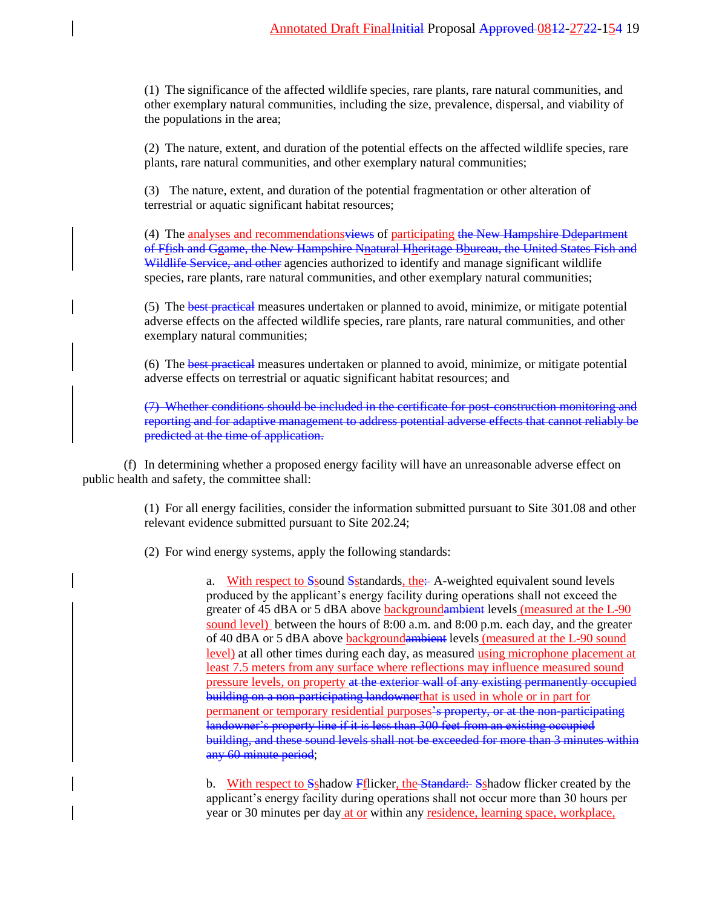(1) The significance of the affected wildlife species, rare plants, rare natural communities, and other exemplary natural communities, including the size, prevalence, dispersal, and viability of the populations in the area;

(2) The nature, extent, and duration of the potential effects on the affected wildlife species, rare plants, rare natural communities, and other exemplary natural communities;

(3) The nature, extent, and duration of the potential fragmentation or other alteration of terrestrial or aquatic significant habitat resources;

(4) The analyses and recommendations<del>views</del> of participating the New Hampshire Ddepartment of Ffish and Ggame, the New Hampshire Nnatural Hheritage Bhureau, the United States Fish and Wildlife Service, and other agencies authorized to identify and manage significant wildlife species, rare plants, rare natural communities, and other exemplary natural communities;

(5) The best practical measures undertaken or planned to avoid, minimize, or mitigate potential adverse effects on the affected wildlife species, rare plants, rare natural communities, and other exemplary natural communities;

(6) The best practical measures undertaken or planned to avoid, minimize, or mitigate potential adverse effects on terrestrial or aquatic significant habitat resources; and

(7) Whether conditions should be included in the certificate for post-construction monitoring and reporting and for adaptive management to address potential adverse effects that cannot reliably be predicted at the time of application.

(f) In determining whether a proposed energy facility will have an unreasonable adverse effect on public health and safety, the committee shall:

> (1) For all energy facilities, consider the information submitted pursuant to Site 301.08 and other relevant evidence submitted pursuant to Site 202.24;

(2) For wind energy systems, apply the following standards:

a. With respect to Ssound Sstandards, the  $\div$  A-weighted equivalent sound levels produced by the applicant's energy facility during operations shall not exceed the greater of 45 dBA or 5 dBA above **backgroundambient** levels (measured at the L-90 sound level) between the hours of 8:00 a.m. and 8:00 p.m. each day, and the greater of 40 dBA or 5 dBA above backgroundambient levels (measured at the L-90 sound level) at all other times during each day, as measured using microphone placement at least 7.5 meters from any surface where reflections may influence measured sound pressure levels, on property at the exterior wall of any existing permanently occupied building on a non-participating landownerthat is used in whole or in part for permanent or temporary residential purposes's property, or at the non-participating landowner's property line if it is less than 300 feet from an existing occupied building, and these sound levels shall not be exceeded for more than 3 minutes within any 60 minute period;

b. With respect to Sshadow Fflicker, the Standard: Sshadow flicker created by the applicant's energy facility during operations shall not occur more than 30 hours per year or 30 minutes per day at or within any residence, learning space, workplace,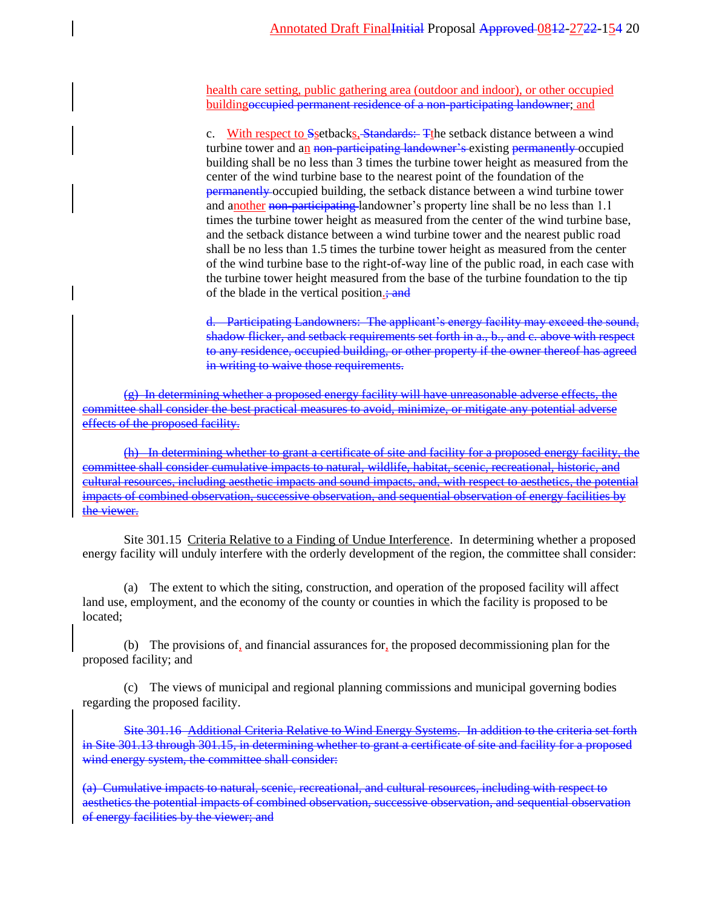health care setting, public gathering area (outdoor and indoor), or other occupied buildingoccupied permanent residence of a non-participating landowner; and

c. With respect to Ssetbacks, Standards: Tthe setback distance between a wind turbine tower and an non-participating landowner's existing permanently occupied building shall be no less than 3 times the turbine tower height as measured from the center of the wind turbine base to the nearest point of the foundation of the permanently occupied building, the setback distance between a wind turbine tower and another non-participating landowner's property line shall be no less than 1.1 times the turbine tower height as measured from the center of the wind turbine base, and the setback distance between a wind turbine tower and the nearest public road shall be no less than 1.5 times the turbine tower height as measured from the center of the wind turbine base to the right-of-way line of the public road, in each case with the turbine tower height measured from the base of the turbine foundation to the tip of the blade in the vertical position.; and

d. Participating Landowners: The applicant's energy facility may exceed the sound, shadow flicker, and setback requirements set forth in a., b., and c. above with respect to any residence, occupied building, or other property if the owner thereof has agreed in writing to waive those requirements.

 $(g)$  In determining whether a proposed energy facility will have unreasonable adverse effects, the committee shall consider the best practical measures to avoid, minimize, or mitigate any potential adverse effects of the proposed facility.

(h) In determining whether to grant a certificate of site and facility for a proposed energy facility, the committee shall consider cumulative impacts to natural, wildlife, habitat, scenic, recreational, historic, and cultural resources, including aesthetic impacts and sound impacts, and, with respect to aesthetics, the potential impacts of combined observation, successive observation, and sequential observation of energy facilities by the viewer.

Site 301.15 Criteria Relative to a Finding of Undue Interference. In determining whether a proposed energy facility will unduly interfere with the orderly development of the region, the committee shall consider:

(a) The extent to which the siting, construction, and operation of the proposed facility will affect land use, employment, and the economy of the county or counties in which the facility is proposed to be located;

(b) The provisions of, and financial assurances for, the proposed decommissioning plan for the proposed facility; and

(c) The views of municipal and regional planning commissions and municipal governing bodies regarding the proposed facility.

Site 301.16 Additional Criteria Relative to Wind Energy Systems. In addition to the criteria set forth in Site 301.13 through 301.15, in determining whether to grant a certificate of site and facility for a proposed wind energy system, the committee shall consider:

(a) Cumulative impacts to natural, scenic, recreational, and cultural resources, including with respect to aesthetics the potential impacts of combined observation, successive observation, and sequential observation of energy facilities by the viewer; and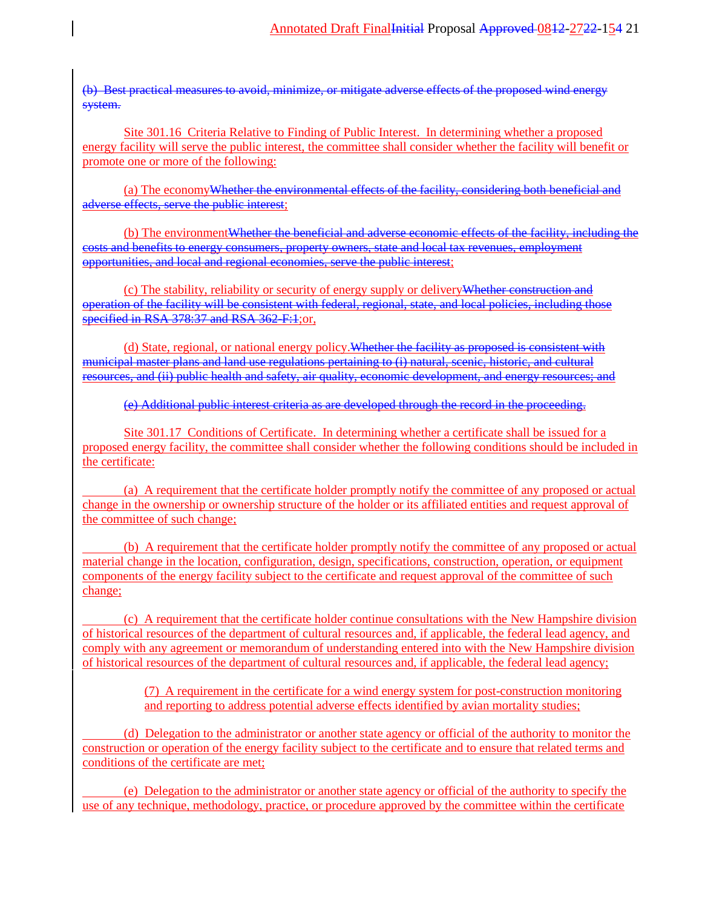(b) Best practical measures to avoid, minimize, or mitigate adverse effects of the proposed wind energy system.

Site 301.16 Criteria Relative to Finding of Public Interest. In determining whether a proposed energy facility will serve the public interest, the committee shall consider whether the facility will benefit or promote one or more of the following:

(a) The economyWhether the environmental effects of the facility, considering both beneficial and adverse effects, serve the public interest;

(b) The environment<del>Whether the beneficial and adverse economic effects of the facility, including the</del> costs and benefits to energy consumers, property owners, state and local tax revenues, employment opportunities, and local and regional economies, serve the public interest;

(c) The stability, reliability or security of energy supply or deliveryWhether construction and operation of the facility will be consistent with federal, regional, state, and local policies, including those specified in RSA 378:37 and RSA 362-F:1;or,

(d) State, regional, or national energy policy. Whether the facility as proposed is consistent with municipal master plans and land use regulations pertaining to (i) natural, scenic, historic, and cultural resources, and (ii) public health and safety, air quality, economic development, and energy resources; and

(e) Additional public interest criteria as are developed through the record in the proceeding.

Site 301.17 Conditions of Certificate. In determining whether a certificate shall be issued for a proposed energy facility, the committee shall consider whether the following conditions should be included in the certificate:

(a) A requirement that the certificate holder promptly notify the committee of any proposed or actual change in the ownership or ownership structure of the holder or its affiliated entities and request approval of the committee of such change;

(b) A requirement that the certificate holder promptly notify the committee of any proposed or actual material change in the location, configuration, design, specifications, construction, operation, or equipment components of the energy facility subject to the certificate and request approval of the committee of such change;

(c) A requirement that the certificate holder continue consultations with the New Hampshire division of historical resources of the department of cultural resources and, if applicable, the federal lead agency, and comply with any agreement or memorandum of understanding entered into with the New Hampshire division of historical resources of the department of cultural resources and, if applicable, the federal lead agency;

> (7) A requirement in the certificate for a wind energy system for post-construction monitoring and reporting to address potential adverse effects identified by avian mortality studies;

(d) Delegation to the administrator or another state agency or official of the authority to monitor the construction or operation of the energy facility subject to the certificate and to ensure that related terms and conditions of the certificate are met;

(e) Delegation to the administrator or another state agency or official of the authority to specify the use of any technique, methodology, practice, or procedure approved by the committee within the certificate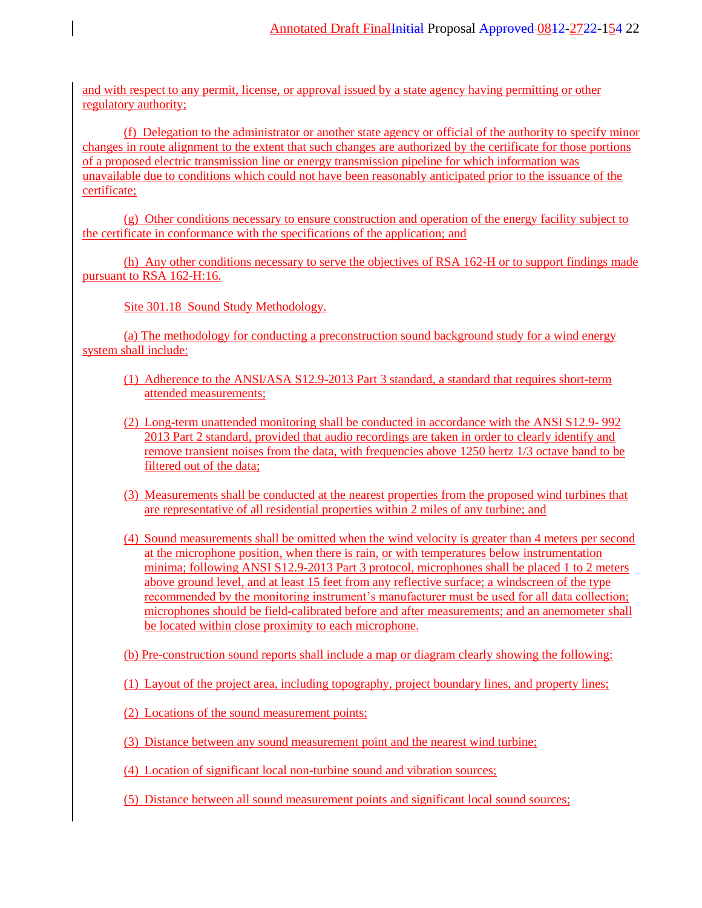and with respect to any permit, license, or approval issued by a state agency having permitting or other regulatory authority;

(f) Delegation to the administrator or another state agency or official of the authority to specify minor changes in route alignment to the extent that such changes are authorized by the certificate for those portions of a proposed electric transmission line or energy transmission pipeline for which information was unavailable due to conditions which could not have been reasonably anticipated prior to the issuance of the certificate;

(g) Other conditions necessary to ensure construction and operation of the energy facility subject to the certificate in conformance with the specifications of the application; and

(h) Any other conditions necessary to serve the objectives of RSA 162-H or to support findings made pursuant to RSA 162-H:16.

Site 301.18 Sound Study Methodology.

(a) The methodology for conducting a preconstruction sound background study for a wind energy system shall include:

- (1) Adherence to the ANSI/ASA S12.9-2013 Part 3 standard, a standard that requires short-term attended measurements;
- (2) Long-term unattended monitoring shall be conducted in accordance with the ANSI S12.9- 992 2013 Part 2 standard, provided that audio recordings are taken in order to clearly identify and remove transient noises from the data, with frequencies above 1250 hertz 1/3 octave band to be filtered out of the data;
- (3) Measurements shall be conducted at the nearest properties from the proposed wind turbines that are representative of all residential properties within 2 miles of any turbine; and
- (4) Sound measurements shall be omitted when the wind velocity is greater than 4 meters per second at the microphone position, when there is rain, or with temperatures below instrumentation minima; following ANSI S12.9-2013 Part 3 protocol, microphones shall be placed 1 to 2 meters above ground level, and at least 15 feet from any reflective surface; a windscreen of the type recommended by the monitoring instrument's manufacturer must be used for all data collection; microphones should be field-calibrated before and after measurements; and an anemometer shall be located within close proximity to each microphone.

(b) Pre-construction sound reports shall include a map or diagram clearly showing the following:

(1) Layout of the project area, including topography, project boundary lines, and property lines;

(2) Locations of the sound measurement points;

(3) Distance between any sound measurement point and the nearest wind turbine;

(4) Location of significant local non-turbine sound and vibration sources;

(5) Distance between all sound measurement points and significant local sound sources;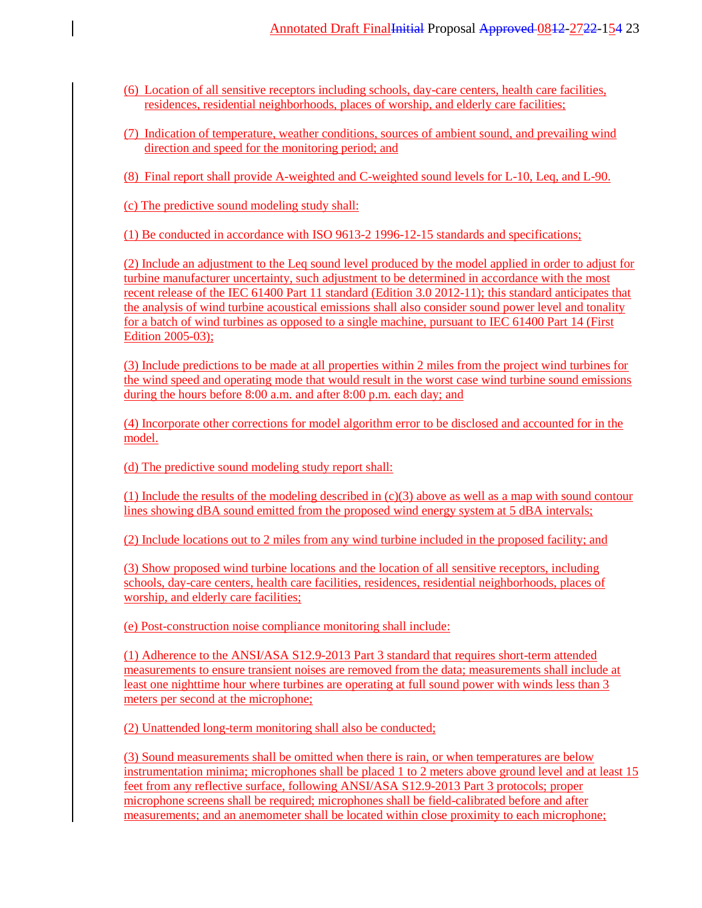- (6) Location of all sensitive receptors including schools, day-care centers, health care facilities, residences, residential neighborhoods, places of worship, and elderly care facilities;
- (7) Indication of temperature, weather conditions, sources of ambient sound, and prevailing wind direction and speed for the monitoring period; and

(8) Final report shall provide A-weighted and C-weighted sound levels for L-10, Leq, and L-90.

(c) The predictive sound modeling study shall:

(1) Be conducted in accordance with ISO 9613-2 1996-12-15 standards and specifications;

(2) Include an adjustment to the Leq sound level produced by the model applied in order to adjust for turbine manufacturer uncertainty, such adjustment to be determined in accordance with the most recent release of the IEC 61400 Part 11 standard (Edition 3.0 2012-11); this standard anticipates that the analysis of wind turbine acoustical emissions shall also consider sound power level and tonality for a batch of wind turbines as opposed to a single machine, pursuant to IEC 61400 Part 14 (First Edition 2005-03);

(3) Include predictions to be made at all properties within 2 miles from the project wind turbines for the wind speed and operating mode that would result in the worst case wind turbine sound emissions during the hours before 8:00 a.m. and after 8:00 p.m. each day; and

(4) Incorporate other corrections for model algorithm error to be disclosed and accounted for in the model.

(d) The predictive sound modeling study report shall:

(1) Include the results of the modeling described in  $(c)(3)$  above as well as a map with sound contour lines showing dBA sound emitted from the proposed wind energy system at 5 dBA intervals;

(2) Include locations out to 2 miles from any wind turbine included in the proposed facility; and

(3) Show proposed wind turbine locations and the location of all sensitive receptors, including schools, day-care centers, health care facilities, residences, residential neighborhoods, places of worship, and elderly care facilities;

(e) Post-construction noise compliance monitoring shall include:

(1) Adherence to the ANSI/ASA S12.9-2013 Part 3 standard that requires short-term attended measurements to ensure transient noises are removed from the data; measurements shall include at least one nighttime hour where turbines are operating at full sound power with winds less than 3 meters per second at the microphone;

(2) Unattended long-term monitoring shall also be conducted;

(3) Sound measurements shall be omitted when there is rain, or when temperatures are below instrumentation minima; microphones shall be placed 1 to 2 meters above ground level and at least 15 feet from any reflective surface, following ANSI/ASA S12.9-2013 Part 3 protocols; proper microphone screens shall be required; microphones shall be field-calibrated before and after measurements; and an anemometer shall be located within close proximity to each microphone;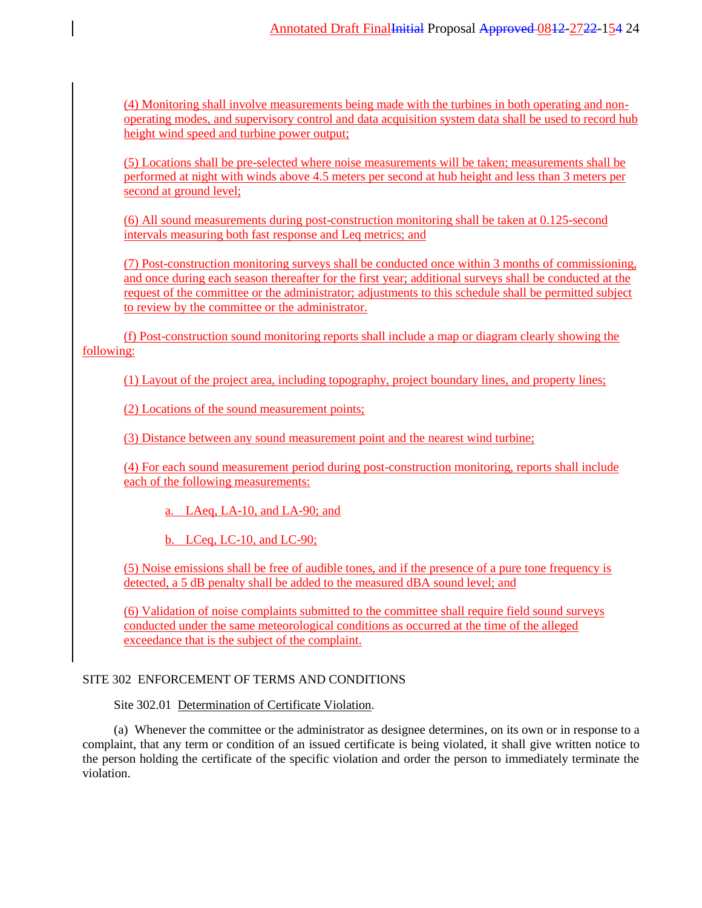(4) Monitoring shall involve measurements being made with the turbines in both operating and nonoperating modes, and supervisory control and data acquisition system data shall be used to record hub height wind speed and turbine power output;

(5) Locations shall be pre-selected where noise measurements will be taken; measurements shall be performed at night with winds above 4.5 meters per second at hub height and less than 3 meters per second at ground level;

(6) All sound measurements during post-construction monitoring shall be taken at 0.125-second intervals measuring both fast response and Leq metrics; and

(7) Post-construction monitoring surveys shall be conducted once within 3 months of commissioning, and once during each season thereafter for the first year; additional surveys shall be conducted at the request of the committee or the administrator; adjustments to this schedule shall be permitted subject to review by the committee or the administrator.

(f) Post-construction sound monitoring reports shall include a map or diagram clearly showing the following:

(1) Layout of the project area, including topography, project boundary lines, and property lines;

(2) Locations of the sound measurement points;

(3) Distance between any sound measurement point and the nearest wind turbine;

(4) For each sound measurement period during post-construction monitoring, reports shall include each of the following measurements:

a. LAeq, LA-10, and LA-90; and

b. LCeq, LC-10, and LC-90;

(5) Noise emissions shall be free of audible tones, and if the presence of a pure tone frequency is detected, a 5 dB penalty shall be added to the measured dBA sound level; and

(6) Validation of noise complaints submitted to the committee shall require field sound surveys conducted under the same meteorological conditions as occurred at the time of the alleged exceedance that is the subject of the complaint.

## SITE 302 ENFORCEMENT OF TERMS AND CONDITIONS

Site 302.01 Determination of Certificate Violation.

(a) Whenever the committee or the administrator as designee determines, on its own or in response to a complaint, that any term or condition of an issued certificate is being violated, it shall give written notice to the person holding the certificate of the specific violation and order the person to immediately terminate the violation.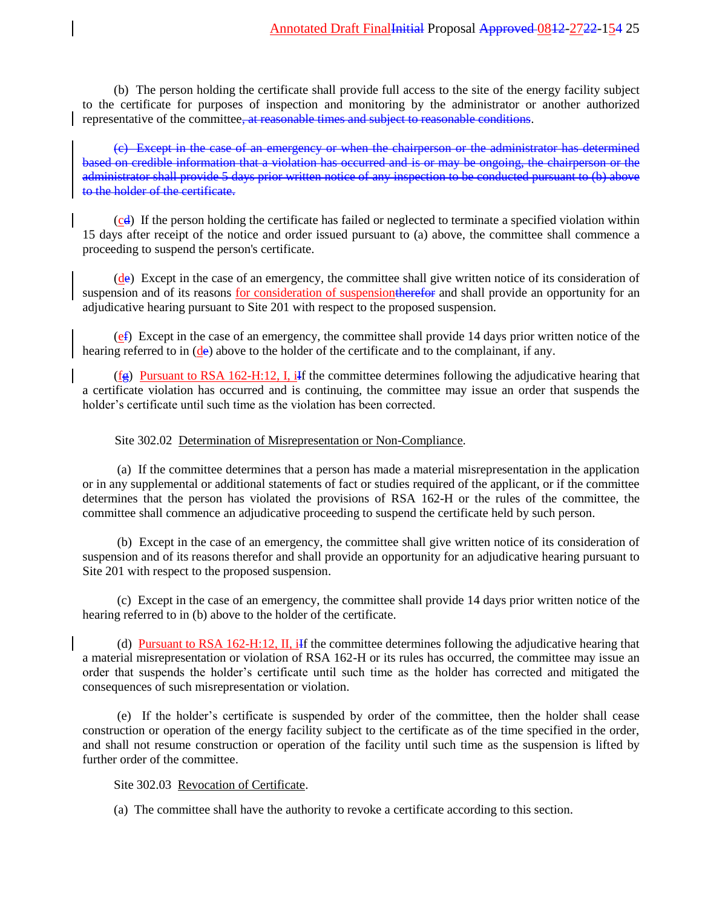(b) The person holding the certificate shall provide full access to the site of the energy facility subject to the certificate for purposes of inspection and monitoring by the administrator or another authorized representative of the committee, at reasonable times and subject to reasonable conditions.

(c) Except in the case of an emergency or when the chairperson or the administrator has determined based on credible information that a violation has occurred and is or may be ongoing, the chairperson or the administrator shall provide 5 days prior written notice of any inspection to be conducted pursuant to (b) above to the holder of the certificate.

 $(c_d)$  If the person holding the certificate has failed or neglected to terminate a specified violation within 15 days after receipt of the notice and order issued pursuant to (a) above, the committee shall commence a proceeding to suspend the person's certificate.

(de) Except in the case of an emergency, the committee shall give written notice of its consideration of suspension and of its reasons for consideration of suspension therefore and shall provide an opportunity for an adjudicative hearing pursuant to Site 201 with respect to the proposed suspension.

 $(e<sub>f</sub>)$  Except in the case of an emergency, the committee shall provide 14 days prior written notice of the hearing referred to in (de) above to the holder of the certificate and to the complainant, if any.

 $(f<sub>g</sub>)$  Pursuant to RSA 162-H:12, I, iff the committee determines following the adjudicative hearing that a certificate violation has occurred and is continuing, the committee may issue an order that suspends the holder's certificate until such time as the violation has been corrected.

## Site 302.02 Determination of Misrepresentation or Non-Compliance.

(a) If the committee determines that a person has made a material misrepresentation in the application or in any supplemental or additional statements of fact or studies required of the applicant, or if the committee determines that the person has violated the provisions of RSA 162-H or the rules of the committee, the committee shall commence an adjudicative proceeding to suspend the certificate held by such person.

(b) Except in the case of an emergency, the committee shall give written notice of its consideration of suspension and of its reasons therefor and shall provide an opportunity for an adjudicative hearing pursuant to Site 201 with respect to the proposed suspension.

(c) Except in the case of an emergency, the committee shall provide 14 days prior written notice of the hearing referred to in (b) above to the holder of the certificate.

(d) Pursuant to RSA 162-H:12, II, iIf the committee determines following the adjudicative hearing that a material misrepresentation or violation of RSA 162-H or its rules has occurred, the committee may issue an order that suspends the holder's certificate until such time as the holder has corrected and mitigated the consequences of such misrepresentation or violation.

(e) If the holder's certificate is suspended by order of the committee, then the holder shall cease construction or operation of the energy facility subject to the certificate as of the time specified in the order, and shall not resume construction or operation of the facility until such time as the suspension is lifted by further order of the committee.

### Site 302.03 Revocation of Certificate.

(a) The committee shall have the authority to revoke a certificate according to this section.